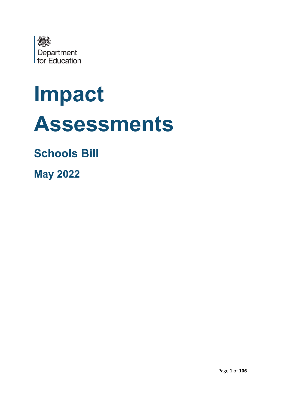

# **Impact Assessments**

# **Schools Bill**

**May 2022**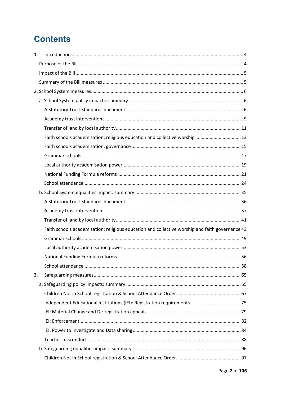# **Contents**

| 1. |                                                                                                 |  |
|----|-------------------------------------------------------------------------------------------------|--|
|    |                                                                                                 |  |
|    |                                                                                                 |  |
|    |                                                                                                 |  |
|    |                                                                                                 |  |
|    |                                                                                                 |  |
|    |                                                                                                 |  |
|    |                                                                                                 |  |
|    |                                                                                                 |  |
|    | Faith schools academisation: religious education and collective worship 13                      |  |
|    |                                                                                                 |  |
|    |                                                                                                 |  |
|    |                                                                                                 |  |
|    |                                                                                                 |  |
|    |                                                                                                 |  |
|    |                                                                                                 |  |
|    |                                                                                                 |  |
|    |                                                                                                 |  |
|    |                                                                                                 |  |
|    | Faith schools academisation: religious education and collective worship and faith governance 43 |  |
|    |                                                                                                 |  |
|    |                                                                                                 |  |
|    |                                                                                                 |  |
|    |                                                                                                 |  |
| 3. |                                                                                                 |  |
|    |                                                                                                 |  |
|    |                                                                                                 |  |
|    |                                                                                                 |  |
|    |                                                                                                 |  |
|    |                                                                                                 |  |
|    |                                                                                                 |  |
|    |                                                                                                 |  |
|    |                                                                                                 |  |
|    |                                                                                                 |  |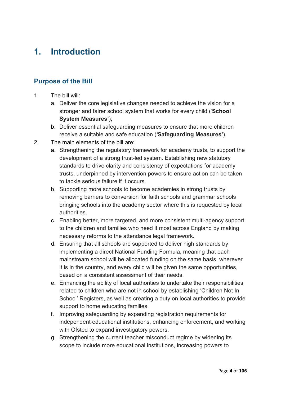# <span id="page-3-0"></span>**1. Introduction**

# <span id="page-3-1"></span>**Purpose of the Bill**

- 1. The bill will:
	- a. Deliver the core legislative changes needed to achieve the vision for a stronger and fairer school system that works for every child ('**School System Measures'**);
	- b. Deliver essential safeguarding measures to ensure that more children receive a suitable and safe education (*'***Safeguarding Measures'**).
- 2. The main elements of the bill are:
	- a. Strengthening the regulatory framework for academy trusts, to support the development of a strong trust-led system. Establishing new statutory standards to drive clarity and consistency of expectations for academy trusts, underpinned by intervention powers to ensure action can be taken to tackle serious failure if it occurs.
	- b. Supporting more schools to become academies in strong trusts by removing barriers to conversion for faith schools and grammar schools bringing schools into the academy sector where this is requested by local authorities.
	- c. Enabling better, more targeted, and more consistent multi-agency support to the children and families who need it most across England by making necessary reforms to the attendance legal framework.
	- d. Ensuring that all schools are supported to deliver high standards by implementing a direct National Funding Formula, meaning that each mainstream school will be allocated funding on the same basis, wherever it is in the country, and every child will be given the same opportunities, based on a consistent assessment of their needs.
	- e. Enhancing the ability of local authorities to undertake their responsibilities related to children who are not in school by establishing 'Children Not In School' Registers, as well as creating a duty on local authorities to provide support to home educating families.
	- f. Improving safeguarding by expanding registration requirements for independent educational institutions, enhancing enforcement, and working with Ofsted to expand investigatory powers.
	- g. Strengthening the current teacher misconduct regime by widening its scope to include more educational institutions, increasing powers to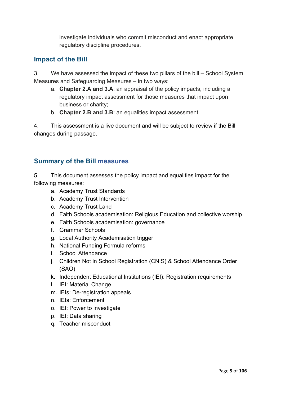investigate individuals who commit misconduct and enact appropriate regulatory discipline procedures.

# <span id="page-4-0"></span>**Impact of the Bill**

3. We have assessed the impact of these two pillars of the bill – School System Measures and Safeguarding Measures – in two ways:

- a. **Chapter 2.A and 3.A**: an appraisal of the policy impacts, including a regulatory impact assessment for those measures that impact upon business or charity;
- b. **Chapter 2.B and 3.B**: an equalities impact assessment.

4. This assessment is a live document and will be subject to review if the Bill changes during passage.

# <span id="page-4-1"></span>**Summary of the Bill measures**

5. This document assesses the policy impact and equalities impact for the following measures:

- a. Academy Trust Standards
- b. Academy Trust Intervention
- c. Academy Trust Land
- d. Faith Schools academisation: Religious Education and collective worship
- e. Faith Schools academisation: governance
- f. Grammar Schools
- g. Local Authority Academisation trigger
- h. National Funding Formula reforms
- i. School Attendance
- j. Children Not in School Registration (CNIS) & School Attendance Order (SAO)
- k. Independent Educational Institutions (IEI): Registration requirements
- l. IEI: Material Change
- m. IEIs: De-registration appeals
- n. IEIs: Enforcement
- o. IEI: Power to investigate
- p. IEI: Data sharing
- q. Teacher misconduct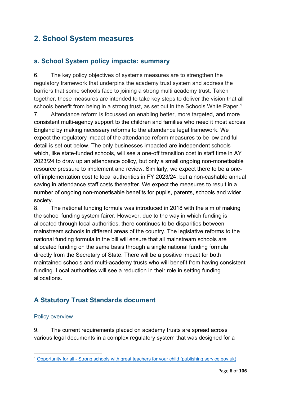# <span id="page-5-0"></span>**2. School System measures**

# <span id="page-5-1"></span>**a. School System policy impacts: summary**

6. The key policy objectives of systems measures are to strengthen the regulatory framework that underpins the academy trust system and address the barriers that some schools face to joining a strong multi academy trust. Taken together, these measures are intended to take key steps to deliver the vision that all schools benefit from being in a strong trust, as set out in the Schools White Paper.<sup>[1](#page-5-3)</sup>

7. Attendance reform is focussed on enabling better, more targeted, and more consistent multi-agency support to the children and families who need it most across England by making necessary reforms to the attendance legal framework. We expect the regulatory impact of the attendance reform measures to be low and full detail is set out below. The only businesses impacted are independent schools which, like state-funded schools, will see a one-off transition cost in staff time in AY 2023/24 to draw up an attendance policy, but only a small ongoing non-monetisable resource pressure to implement and review. Similarly, we expect there to be a oneoff implementation cost to local authorities in FY 2023/24, but a non-cashable annual saving in attendance staff costs thereafter. We expect the measures to result in a number of ongoing non-monetisable benefits for pupils, parents, schools and wider society.

8. The national funding formula was introduced in 2018 with the aim of making the school funding system fairer. However, due to the way in which funding is allocated through local authorities, there continues to be disparities between mainstream schools in different areas of the country. The legislative reforms to the national funding formula in the bill will ensure that all mainstream schools are allocated funding on the same basis through a single national funding formula directly from the Secretary of State. There will be a positive impact for both maintained schools and multi-academy trusts who will benefit from having consistent funding. Local authorities will see a reduction in their role in setting funding allocations.

# <span id="page-5-2"></span>**A Statutory Trust Standards document**

#### Policy overview

9. The current requirements placed on academy trusts are spread across various legal documents in a complex regulatory system that was designed for a

<span id="page-5-3"></span><sup>1</sup> [Opportunity for all - Strong schools with great teachers for your child \(publishing.service.gov.uk\)](https://assets.publishing.service.gov.uk/government/uploads/system/uploads/attachment_data/file/1063602/Opportunity_for_all_strong_schools_with_great_teachers_for_your_child__print_version_.pdf)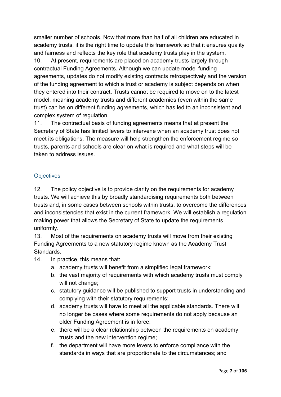smaller number of schools. Now that more than half of all children are educated in academy trusts, it is the right time to update this framework so that it ensures quality and fairness and reflects the key role that academy trusts play in the system.

10. At present, requirements are placed on academy trusts largely through contractual Funding Agreements. Although we can update model funding agreements, updates do not modify existing contracts retrospectively and the version of the funding agreement to which a trust or academy is subject depends on when they entered into their contract. Trusts cannot be required to move on to the latest model, meaning academy trusts and different academies (even within the same trust) can be on different funding agreements, which has led to an inconsistent and complex system of regulation.

11. The contractual basis of funding agreements means that at present the Secretary of State has limited levers to intervene when an academy trust does not meet its obligations. The measure will help strengthen the enforcement regime so trusts, parents and schools are clear on what is required and what steps will be taken to address issues.

# **Objectives**

12. The policy objective is to provide clarity on the requirements for academy trusts. We will achieve this by broadly standardising requirements both between trusts and, in some cases between schools within trusts, to overcome the differences and inconsistencies that exist in the current framework. We will establish a regulation making power that allows the Secretary of State to update the requirements uniformly.

13. Most of the requirements on academy trusts will move from their existing Funding Agreements to a new statutory regime known as the Academy Trust **Standards** 

- 14. In practice, this means that:
	- a. academy trusts will benefit from a simplified legal framework;
	- b. the vast majority of requirements with which academy trusts must comply will not change;
	- c. statutory guidance will be published to support trusts in understanding and complying with their statutory requirements;
	- d. academy trusts will have to meet all the applicable standards. There will no longer be cases where some requirements do not apply because an older Funding Agreement is in force;
	- e. there will be a clear relationship between the requirements on academy trusts and the new intervention regime;
	- f. the department will have more levers to enforce compliance with the standards in ways that are proportionate to the circumstances; and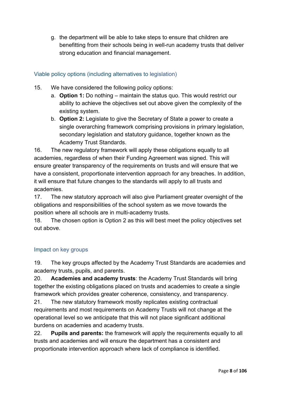g. the department will be able to take steps to ensure that children are benefitting from their schools being in well-run academy trusts that deliver strong education and financial management.

# Viable policy options (including alternatives to legislation)

- 15. We have considered the following policy options:
	- a. **Option 1:** Do nothing maintain the status quo. This would restrict our ability to achieve the objectives set out above given the complexity of the existing system.
	- b. **Option 2:** Legislate to give the Secretary of State a power to create a single overarching framework comprising provisions in primary legislation, secondary legislation and statutory guidance, together known as the Academy Trust Standards.

16. The new regulatory framework will apply these obligations equally to all academies, regardless of when their Funding Agreement was signed. This will ensure greater transparency of the requirements on trusts and will ensure that we have a consistent, proportionate intervention approach for any breaches. In addition, it will ensure that future changes to the standards will apply to all trusts and academies.

17. The new statutory approach will also give Parliament greater oversight of the obligations and responsibilities of the school system as we move towards the position where all schools are in multi-academy trusts.

18. The chosen option is Option 2 as this will best meet the policy objectives set out above.

# Impact on key groups

19. The key groups affected by the Academy Trust Standards are academies and academy trusts, pupils, and parents.

20. **Academies and academy trusts**: the Academy Trust Standards will bring together the existing obligations placed on trusts and academies to create a single framework which provides greater coherence, consistency, and transparency.

21. The new statutory framework mostly replicates existing contractual requirements and most requirements on Academy Trusts will not change at the operational level so we anticipate that this will not place significant additional burdens on academies and academy trusts.

22. **Pupils and parents:** the framework will apply the requirements equally to all trusts and academies and will ensure the department has a consistent and proportionate intervention approach where lack of compliance is identified.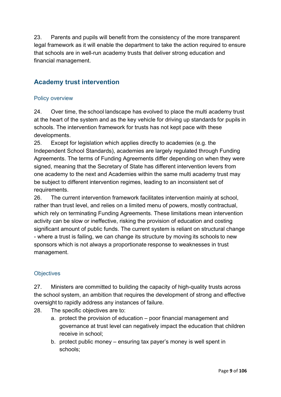23. Parents and pupils will benefit from the consistency of the more transparent legal framework as it will enable the department to take the action required to ensure that schools are in well-run academy trusts that deliver strong education and financial management.

# <span id="page-8-0"></span>**Academy trust intervention**

# Policy overview

24. Over time, the school landscape has evolved to place the multi academy trust at the heart of the system and as the key vehicle for driving up standards for pupils in schools. The intervention framework for trusts has not kept pace with these developments.

25. Except for legislation which applies directly to academies (e.g. the Independent School Standards), academies are largely regulated through Funding Agreements. The terms of Funding Agreements differ depending on when they were signed, meaning that the Secretary of State has different intervention levers from one academy to the next and Academies within the same multi academy trust may be subject to different intervention regimes, leading to an inconsistent set of requirements.

26. The current intervention framework facilitates intervention mainly at school, rather than trust level, and relies on a limited menu of powers, mostly contractual, which rely on terminating Funding Agreements. These limitations mean intervention activity can be slow or ineffective, risking the provision of education and costing significant amount of public funds. The current system is reliant on structural change - where a trust is failing, we can change its structure by moving its schools to new sponsors which is not always a proportionate response to weaknesses in trust management.

# **Objectives**

27. Ministers are committed to building the capacity of high-quality trusts across the school system, an ambition that requires the development of strong and effective oversight to rapidly address any instances of failure.

- 28. The specific objectives are to:
	- a. protect the provision of education poor financial management and governance at trust level can negatively impact the education that children receive in school;
	- b. protect public money ensuring tax payer's money is well spent in schools;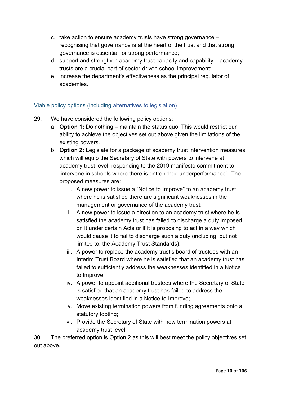- c. take action to ensure academy trusts have strong governance recognising that governance is at the heart of the trust and that strong governance is essential for strong performance;
- d. support and strengthen academy trust capacity and capability academy trusts are a crucial part of sector-driven school improvement;
- e. increase the department's effectiveness as the principal regulator of academies.

# Viable policy options (including alternatives to legislation)

- 29. We have considered the following policy options:
	- a. **Option 1:** Do nothing maintain the status quo. This would restrict our ability to achieve the objectives set out above given the limitations of the existing powers.
	- b. **Option 2:** Legislate for a package of academy trust intervention measures which will equip the Secretary of State with powers to intervene at academy trust level, responding to the 2019 manifesto commitment to 'intervene in schools where there is entrenched underperformance'.  The proposed measures are:
		- i. A new power to issue a "Notice to Improve" to an academy trust where he is satisfied there are significant weaknesses in the management or governance of the academy trust;
		- ii. A new power to issue a direction to an academy trust where he is satisfied the academy trust has failed to discharge a duty imposed on it under certain Acts or if it is proposing to act in a way which would cause it to fail to discharge such a duty (including, but not limited to, the Academy Trust Standards);
		- iii. A power to replace the academy trust's board of trustees with an Interim Trust Board where he is satisfied that an academy trust has failed to sufficiently address the weaknesses identified in a Notice to Improve;
		- iv. A power to appoint additional trustees where the Secretary of State is satisfied that an academy trust has failed to address the weaknesses identified in a Notice to Improve;
		- v. Move existing termination powers from funding agreements onto a statutory footing;
		- vi. Provide the Secretary of State with new termination powers at academy trust level;

30. The preferred option is Option 2 as this will best meet the policy objectives set out above.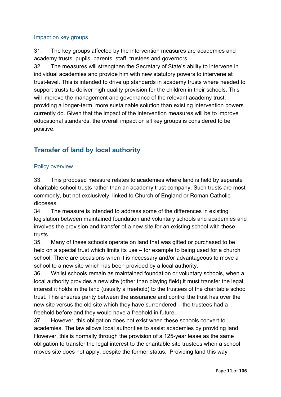# Impact on key groups

31. The key groups affected by the intervention measures are academies and academy trusts, pupils, parents, staff, trustees and governors.

32. The measures will strengthen the Secretary of State's ability to intervene in individual academies and provide him with new statutory powers to intervene at trust-level. This is intended to drive up standards in academy trusts where needed to support trusts to deliver high quality provision for the children in their schools. This will improve the management and governance of the relevant academy trust, providing a longer-term, more sustainable solution than existing intervention powers currently do. Given that the impact of the intervention measures will be to improve educational standards, the overall impact on all key groups is considered to be positive.

# <span id="page-10-0"></span>**Transfer of land by local authority**

# Policy overview

33. This proposed measure relates to academies where land is held by separate charitable school trusts rather than an academy trust company. Such trusts are most commonly, but not exclusively, linked to Church of England or Roman Catholic dioceses.

34. The measure is intended to address some of the differences in existing legislation between maintained foundation and voluntary schools and academies and involves the provision and transfer of a new site for an existing school with these trusts.

35. Many of these schools operate on land that was gifted or purchased to be held on a special trust which limits its use – for example to being used for a church school. There are occasions when it is necessary and/or advantageous to move a school to a new site which has been provided by a local authority.

36. Whilst schools remain as maintained foundation or voluntary schools, when a local authority provides a new site (other than playing field) it must transfer the legal interest it holds in the land (usually a freehold) to the trustees of the charitable school trust. This ensures parity between the assurance and control the trust has over the new site versus the old site which they have surrendered – the trustees had a freehold before and they would have a freehold in future.

37. However, this obligation does not exist when these schools convert to academies. The law allows local authorities to assist academies by providing land. However, this is normally through the provision of a 125-year lease as the same obligation to transfer the legal interest to the charitable site trustees when a school moves site does not apply, despite the former status. Providing land this way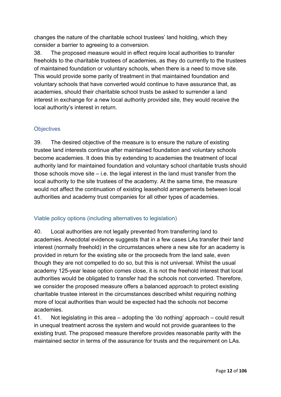changes the nature of the charitable school trustees' land holding, which they consider a barrier to agreeing to a conversion.

38. The proposed measure would in effect require local authorities to transfer freeholds to the charitable trustees of academies, as they do currently to the trustees of maintained foundation or voluntary schools, when there is a need to move site. This would provide some parity of treatment in that maintained foundation and voluntary schools that have converted would continue to have assurance that, as academies, should their charitable school trusts be asked to surrender a land interest in exchange for a new local authority provided site, they would receive the local authority's interest in return.

# **Objectives**

39. The desired objective of the measure is to ensure the nature of existing trustee land interests continue after maintained foundation and voluntary schools become academies. It does this by extending to academies the treatment of local authority land for maintained foundation and voluntary school charitable trusts should those schools move site – i.e. the legal interest in the land must transfer from the local authority to the site trustees of the academy. At the same time, the measure would not affect the continuation of existing leasehold arrangements between local authorities and academy trust companies for all other types of academies.

# Viable policy options (including alternatives to legislation)

40. Local authorities are not legally prevented from transferring land to academies. Anecdotal evidence suggests that in a few cases LAs transfer their land interest (normally freehold) in the circumstances where a new site for an academy is provided in return for the existing site or the proceeds from the land sale, even though they are not compelled to do so, but this is not universal. Whilst the usual academy 125-year lease option comes close, it is not the freehold interest that local authorities would be obligated to transfer had the schools not converted. Therefore, we consider the proposed measure offers a balanced approach to protect existing charitable trustee interest in the circumstances described whilst requiring nothing more of local authorities than would be expected had the schools not become academies.

41. Not legislating in this area – adopting the 'do nothing' approach – could result in unequal treatment across the system and would not provide guarantees to the existing trust. The proposed measure therefore provides reasonable parity with the maintained sector in terms of the assurance for trusts and the requirement on LAs.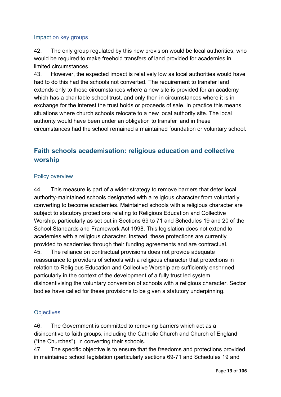# Impact on key groups

42. The only group regulated by this new provision would be local authorities, who would be required to make freehold transfers of land provided for academies in limited circumstances.

43. However, the expected impact is relatively low as local authorities would have had to do this had the schools not converted. The requirement to transfer land extends only to those circumstances where a new site is provided for an academy which has a charitable school trust, and only then in circumstances where it is in exchange for the interest the trust holds or proceeds of sale. In practice this means situations where church schools relocate to a new local authority site. The local authority would have been under an obligation to transfer land in these circumstances had the school remained a maintained foundation or voluntary school.

# <span id="page-12-0"></span>**Faith schools academisation: religious education and collective worship**

#### Policy overview

44. This measure is part of a wider strategy to remove barriers that deter local authority-maintained schools designated with a religious character from voluntarily converting to become academies. Maintained schools with a religious character are subject to statutory protections relating to Religious Education and Collective Worship, particularly as set out in Sections 69 to 71 and Schedules 19 and 20 of the School Standards and Framework Act 1998. This legislation does not extend to academies with a religious character. Instead, these protections are currently provided to academies through their funding agreements and are contractual. 45. The reliance on contractual provisions does not provide adequate reassurance to providers of schools with a religious character that protections in relation to Religious Education and Collective Worship are sufficiently enshrined, particularly in the context of the development of a fully trust led system, disincentivising the voluntary conversion of schools with a religious character. Sector bodies have called for these provisions to be given a statutory underpinning.

# **Objectives**

46. The Government is committed to removing barriers which act as a disincentive to faith groups, including the Catholic Church and Church of England ("the Churches"), in converting their schools.

47. The specific objective is to ensure that the freedoms and protections provided in maintained school legislation (particularly sections 69-71 and Schedules 19 and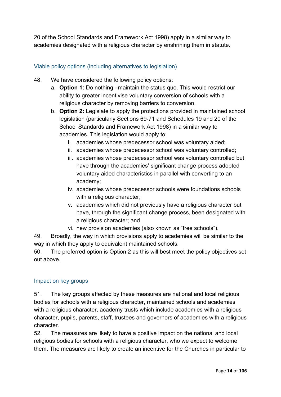20 of the School Standards and Framework Act 1998) apply in a similar way to academies designated with a religious character by enshrining them in statute.

# Viable policy options (including alternatives to legislation)

- 48. We have considered the following policy options:
	- a. **Option 1:** Do nothing –maintain the status quo. This would restrict our ability to greater incentivise voluntary conversion of schools with a religious character by removing barriers to conversion.
	- b. **Option 2:** Legislate to apply the protections provided in maintained school legislation (particularly Sections 69-71 and Schedules 19 and 20 of the School Standards and Framework Act 1998) in a similar way to academies. This legislation would apply to:
		- i. academies whose predecessor school was voluntary aided;
		- ii. academies whose predecessor school was voluntary controlled;
		- iii. academies whose predecessor school was voluntary controlled but have through the academies' significant change process adopted voluntary aided characteristics in parallel with converting to an academy;
		- iv. academies whose predecessor schools were foundations schools with a religious character;
		- v. academies which did not previously have a religious character but have, through the significant change process, been designated with a religious character; and
		- vi. new provision academies (also known as "free schools").

49. Broadly, the way in which provisions apply to academies will be similar to the way in which they apply to equivalent maintained schools.

50. The preferred option is Option 2 as this will best meet the policy objectives set out above.

#### Impact on key groups

51. The key groups affected by these measures are national and local religious bodies for schools with a religious character, maintained schools and academies with a religious character, academy trusts which include academies with a religious character, pupils, parents, staff, trustees and governors of academies with a religious character.

52. The measures are likely to have a positive impact on the national and local religious bodies for schools with a religious character, who we expect to welcome them. The measures are likely to create an incentive for the Churches in particular to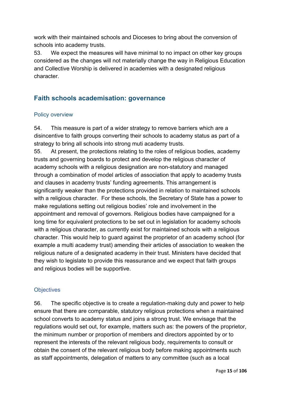work with their maintained schools and Dioceses to bring about the conversion of schools into academy trusts.

53. We expect the measures will have minimal to no impact on other key groups considered as the changes will not materially change the way in Religious Education and Collective Worship is delivered in academies with a designated religious character.

# <span id="page-14-0"></span>**Faith schools academisation: governance**

#### Policy overview

54. This measure is part of a wider strategy to remove barriers which are a disincentive to faith groups converting their schools to academy status as part of a strategy to bring all schools into strong muti academy trusts.

55. At present, the protections relating to the roles of religious bodies, academy trusts and governing boards to protect and develop the religious character of academy schools with a religious designation are non-statutory and managed through a combination of model articles of association that apply to academy trusts and clauses in academy trusts' funding agreements. This arrangement is significantly weaker than the protections provided in relation to maintained schools with a religious character. For these schools, the Secretary of State has a power to make regulations setting out religious bodies' role and involvement in the appointment and removal of governors. Religious bodies have campaigned for a long time for equivalent protections to be set out in legislation for academy schools with a religious character, as currently exist for maintained schools with a religious character. This would help to guard against the proprietor of an academy school (for example a multi academy trust) amending their articles of association to weaken the religious nature of a designated academy in their trust. Ministers have decided that they wish to legislate to provide this reassurance and we expect that faith groups and religious bodies will be supportive.

#### **Objectives**

56. The specific objective is to create a regulation-making duty and power to help ensure that there are comparable, statutory religious protections when a maintained school converts to academy status and joins a strong trust. We envisage that the regulations would set out, for example, matters such as: the powers of the proprietor, the minimum number or proportion of members and directors appointed by or to represent the interests of the relevant religious body, requirements to consult or obtain the consent of the relevant religious body before making appointments such as staff appointments, delegation of matters to any committee (such as a local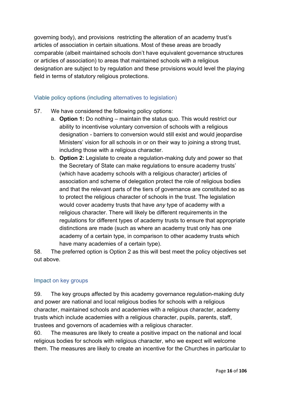governing body), and provisions restricting the alteration of an academy trust's articles of association in certain situations. Most of these areas are broadly comparable (albeit maintained schools don't have equivalent governance structures or articles of association) to areas that maintained schools with a religious designation are subject to by regulation and these provisions would level the playing field in terms of statutory religious protections.

# Viable policy options (including alternatives to legislation)

- 57. We have considered the following policy options:
	- a. **Option 1:** Do nothing maintain the status quo. This would restrict our ability to incentivise voluntary conversion of schools with a religious designation - barriers to conversion would still exist and would jeopardise Ministers' vision for all schools in or on their way to joining a strong trust, including those with a religious character.
	- b. **Option 2:** Legislate to create a regulation-making duty and power so that the Secretary of State can make regulations to ensure academy trusts' (which have academy schools with a religious character) articles of association and scheme of delegation protect the role of religious bodies and that the relevant parts of the tiers of governance are constituted so as to protect the religious character of schools in the trust. The legislation would cover academy trusts that have *any* type of academy with a religious character. There will likely be different requirements in the regulations for different types of academy trusts to ensure that appropriate distinctions are made (such as where an academy trust only has one academy of a certain type, in comparison to other academy trusts which have many academies of a certain type).

58. The preferred option is Option 2 as this will best meet the policy objectives set out above.

#### Impact on key groups

59. The key groups affected by this academy governance regulation-making duty and power are national and local religious bodies for schools with a religious character, maintained schools and academies with a religious character, academy trusts which include academies with a religious character, pupils, parents, staff, trustees and governors of academies with a religious character.

60. The measures are likely to create a positive impact on the national and local religious bodies for schools with religious character, who we expect will welcome them. The measures are likely to create an incentive for the Churches in particular to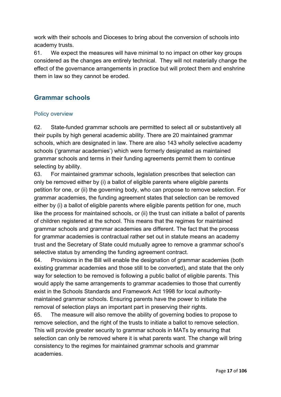work with their schools and Dioceses to bring about the conversion of schools into academy trusts.

61. We expect the measures will have minimal to no impact on other key groups considered as the changes are entirely technical. They will not materially change the effect of the governance arrangements in practice but will protect them and enshrine them in law so they cannot be eroded.

# <span id="page-16-0"></span>**Grammar schools**

# Policy overview

62. State-funded grammar schools are permitted to select all or substantively all their pupils by high general academic ability. There are 20 maintained grammar schools, which are designated in law. There are also 143 wholly selective academy schools ('grammar academies') which were formerly designated as maintained grammar schools and terms in their funding agreements permit them to continue selecting by ability.

63. For maintained grammar schools, legislation prescribes that selection can only be removed either by (i) a ballot of eligible parents where eligible parents petition for one, or (ii) the governing body, who can propose to remove selection. For grammar academies, the funding agreement states that selection can be removed either by (i) a ballot of eligible parents where eligible parents petition for one, much like the process for maintained schools, or (ii) the trust can initiate a ballot of parents of children registered at the school. This means that the regimes for maintained grammar schools and grammar academies are different. The fact that the process for grammar academies is contractual rather set out in statute means an academy trust and the Secretary of State could mutually agree to remove a grammar school's selective status by amending the funding agreement contract.

64. Provisions in the Bill will enable the designation of grammar academies (both existing grammar academies and those still to be converted), and state that the only way for selection to be removed is following a public ballot of eligible parents. This would apply the same arrangements to grammar academies to those that currently exist in the Schools Standards and Framework Act 1998 for local authoritymaintained grammar schools. Ensuring parents have the power to initiate the removal of selection plays an important part in preserving their rights.

65. The measure will also remove the ability of governing bodies to propose to remove selection, and the right of the trusts to initiate a ballot to remove selection. This will provide greater security to grammar schools in MATs by ensuring that selection can only be removed where it is what parents want. The change will bring consistency to the regimes for maintained grammar schools and grammar academies.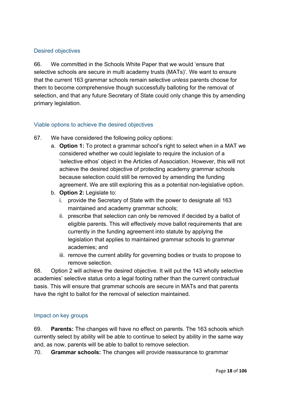# Desired objectives

66. We committed in the Schools White Paper that we would 'ensure that selective schools are secure in multi academy trusts (MATs)'. We want to ensure that the current 163 grammar schools remain selective *unless* parents choose for them to become comprehensive though successfully balloting for the removal of selection, and that any future Secretary of State could only change this by amending primary legislation.

# Viable options to achieve the desired objectives

- 67. We have considered the following policy options:
	- a. **Option 1:** To protect a grammar school's right to select when in a MAT we considered whether we could legislate to require the inclusion of a 'selective ethos' object in the Articles of Association. However, this will not achieve the desired objective of protecting academy grammar schools because selection could still be removed by amending the funding agreement. We are still exploring this as a potential non-legislative option.
	- b. **Option 2:** Legislate to:
		- i. provide the Secretary of State with the power to designate all 163 maintained and academy grammar schools;
		- ii. prescribe that selection can only be removed if decided by a ballot of eligible parents. This will effectively move ballot requirements that are currently in the funding agreement into statute by applying the legislation that applies to maintained grammar schools to grammar academies; and
		- iii. remove the current ability for governing bodies or trusts to propose to remove selection.

68. Option 2 will achieve the desired objective. It will put the 143 wholly selective academies' selective status onto a legal footing rather than the current contractual basis. This will ensure that grammar schools are secure in MATs and that parents have the right to ballot for the removal of selection maintained.

# Impact on key groups

69. **Parents:** The changes will have no effect on parents. The 163 schools which currently select by ability will be able to continue to select by ability in the same way and, as now, parents will be able to ballot to remove selection.

70. **Grammar schools:** The changes will provide reassurance to grammar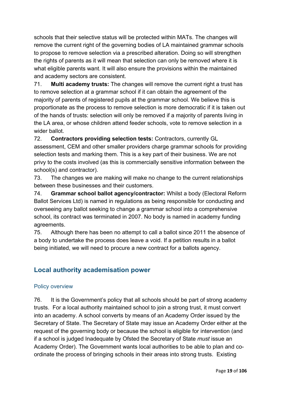schools that their selective status will be protected within MATs. The changes will remove the current right of the governing bodies of LA maintained grammar schools to propose to remove selection via a prescribed alteration. Doing so will strengthen the rights of parents as it will mean that selection can only be removed where it is what eligible parents want. It will also ensure the provisions within the maintained and academy sectors are consistent.

71. **Multi academy trusts:** The changes will remove the current right a trust has to remove selection at a grammar school if it can obtain the agreement of the majority of parents of registered pupils at the grammar school. We believe this is proportionate as the process to remove selection is more democratic if it is taken out of the hands of trusts: selection will only be removed if a majority of parents living in the LA area, or whose children attend feeder schools, vote to remove selection in a wider ballot.

72. **Contractors providing selection tests:** Contractors, currently GL assessment, CEM and other smaller providers charge grammar schools for providing selection tests and marking them. This is a key part of their business. We are not privy to the costs involved (as this is commercially sensitive information between the school(s) and contractor).

73. The changes we are making will make no change to the current relationships between these businesses and their customers.

74. **Grammar school ballot agency/contractor:** Whilst a body (Electoral Reform Ballot Services Ltd) is named in regulations as being responsible for conducting and overseeing any ballot seeking to change a grammar school into a comprehensive school, its contract was terminated in 2007. No body is named in academy funding agreements.

75. Although there has been no attempt to call a ballot since 2011 the absence of a body to undertake the process does leave a void. If a petition results in a ballot being initiated, we will need to procure a new contract for a ballots agency.

# <span id="page-18-0"></span>**Local authority academisation power**

# Policy overview

76. It is the Government's policy that all schools should be part of strong academy trusts. For a local authority maintained school to join a strong trust, it must convert into an academy. A school converts by means of an Academy Order issued by the Secretary of State. The Secretary of State may issue an Academy Order either at the request of the governing body or because the school is eligible for intervention (and if a school is judged Inadequate by Ofsted the Secretary of State *must* issue an Academy Order). The Government wants local authorities to be able to plan and coordinate the process of bringing schools in their areas into strong trusts. Existing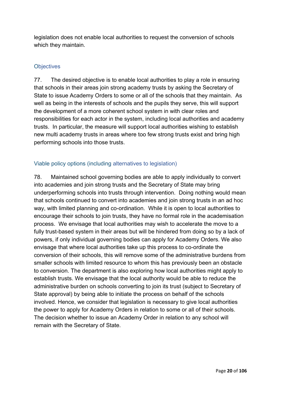legislation does not enable local authorities to request the conversion of schools which they maintain.

# **Objectives**

77. The desired objective is to enable local authorities to play a role in ensuring that schools in their areas join strong academy trusts by asking the Secretary of State to issue Academy Orders to some or all of the schools that they maintain. As well as being in the interests of schools and the pupils they serve, this will support the development of a more coherent school system in with clear roles and responsibilities for each actor in the system, including local authorities and academy trusts.In particular, the measure will support local authorities wishing to establish new multi academy trusts in areas where too few strong trusts exist and bring high performing schools into those trusts.

# Viable policy options (including alternatives to legislation)

78. Maintained school governing bodies are able to apply individually to convert into academies and join strong trusts and the Secretary of State may bring underperforming schools into trusts through intervention. Doing nothing would mean that schools continued to convert into academies and join strong trusts in an ad hoc way, with limited planning and co-ordination. While it is open to local authorities to encourage their schools to join trusts, they have no formal role in the academisation process. We envisage that local authorities may wish to accelerate the move to a fully trust-based system in their areas but will be hindered from doing so by a lack of powers, if only individual governing bodies can apply for Academy Orders. We also envisage that where local authorities take up this process to co-ordinate the conversion of their schools, this will remove some of the administrative burdens from smaller schools with limited resource to whom this has previously been an obstacle to conversion. The department is also exploring how local authorities might apply to establish trusts. We envisage that the local authority would be able to reduce the administrative burden on schools converting to join its trust (subject to Secretary of State approval) by being able to initiate the process on behalf of the schools involved. Hence, we consider that legislation is necessary to give local authorities the power to apply for Academy Orders in relation to some or all of their schools. The decision whether to issue an Academy Order in relation to any school will remain with the Secretary of State.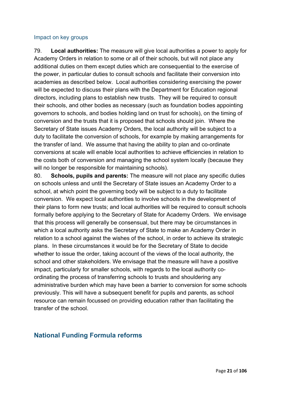#### Impact on key groups

79. **Local authorities:** The measure will give local authorities a power to apply for Academy Orders in relation to some or all of their schools, but will not place any additional duties on them except duties which are consequential to the exercise of the power, in particular duties to consult schools and facilitate their conversion into academies as described below. Local authorities considering exercising the power will be expected to discuss their plans with the Department for Education regional directors, including plans to establish new trusts. They will be required to consult their schools, and other bodies as necessary (such as foundation bodies appointing governors to schools, and bodies holding land on trust for schools), on the timing of conversion and the trusts that it is proposed that schools should join. Where the Secretary of State issues Academy Orders, the local authority will be subject to a duty to facilitate the conversion of schools, for example by making arrangements for the transfer of land. We assume that having the ability to plan and co-ordinate conversions at scale will enable local authorities to achieve efficiencies in relation to the costs both of conversion and managing the school system locally (because they will no longer be responsible for maintaining schools).

80. **Schools, pupils and parents:** The measure will not place any specific duties on schools unless and until the Secretary of State issues an Academy Order to a school, at which point the governing body will be subject to a duty to facilitate conversion. We expect local authorities to involve schools in the development of their plans to form new trusts; and local authorities will be required to consult schools formally before applying to the Secretary of State for Academy Orders. We envisage that this process will generally be consensual, but there may be circumstances in which a local authority asks the Secretary of State to make an Academy Order in relation to a school against the wishes of the school, in order to achieve its strategic plans. In these circumstances it would be for the Secretary of State to decide whether to issue the order, taking account of the views of the local authority, the school and other stakeholders. We envisage that the measure will have a positive impact, particularly for smaller schools, with regards to the local authority coordinating the process of transferring schools to trusts and shouldering any administrative burden which may have been a barrier to conversion for some schools previously. This will have a subsequent benefit for pupils and parents, as school resource can remain focussed on providing education rather than facilitating the transfer of the school.

# <span id="page-20-0"></span>**National Funding Formula reforms**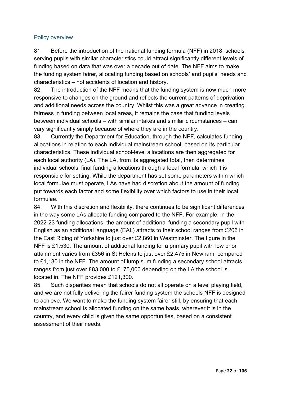#### Policy overview

81. Before the introduction of the national funding formula (NFF) in 2018, schools serving pupils with similar characteristics could attract significantly different levels of funding based on data that was over a decade out of date. The NFF aims to make the funding system fairer, allocating funding based on schools' and pupils' needs and characteristics – not accidents of location and history.

82. The introduction of the NFF means that the funding system is now much more responsive to changes on the ground and reflects the current patterns of deprivation and additional needs across the country. Whilst this was a great advance in creating fairness in funding between local areas, it remains the case that funding levels between individual schools – with similar intakes and similar circumstances – can vary significantly simply because of where they are in the country.

83. Currently the Department for Education, through the NFF, calculates funding allocations in relation to each individual mainstream school, based on its particular characteristics. These individual school-level allocations are then aggregated for each local authority (LA). The LA, from its aggregated total, then determines individual schools' final funding allocations through a local formula, which it is responsible for setting. While the department has set some parameters within which local formulae must operate, LAs have had discretion about the amount of funding put towards each factor and some flexibility over which factors to use in their local formulae.

84. With this discretion and flexibility, there continues to be significant differences in the way some LAs allocate funding compared to the NFF. For example, in the 2022-23 funding allocations, the amount of additional funding a secondary pupil with English as an additional language (EAL) attracts to their school ranges from £206 in the East Riding of Yorkshire to just over £2,860 in Westminster. The figure in the NFF is £1,530. The amount of additional funding for a primary pupil with low prior attainment varies from £356 in St Helens to just over £2,475 in Newham, compared to £1,130 in the NFF. The amount of lump sum funding a secondary school attracts ranges from just over £83,000 to £175,000 depending on the LA the school is located in. The NFF provides £121,300.

85. Such disparities mean that schools do not all operate on a level playing field, and we are not fully delivering the fairer funding system the schools NFF is designed to achieve. We want to make the funding system fairer still, by ensuring that each mainstream school is allocated funding on the same basis, wherever it is in the country, and every child is given the same opportunities, based on a consistent assessment of their needs.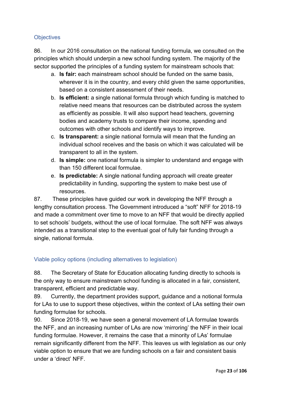# **Objectives**

86. In our 2016 consultation on the national funding formula, we consulted on the principles which should underpin a new school funding system. The majority of the sector supported the principles of a funding system for mainstream schools that:

- a. **Is fair:** each mainstream school should be funded on the same basis, wherever it is in the country, and every child given the same opportunities, based on a consistent assessment of their needs.
- b. **Is efficient:** a single national formula through which funding is matched to relative need means that resources can be distributed across the system as efficiently as possible. It will also support head teachers, governing bodies and academy trusts to compare their income, spending and outcomes with other schools and identify ways to improve.
- c. **Is transparent:** a single national formula will mean that the funding an individual school receives and the basis on which it was calculated will be transparent to all in the system.
- d. **Is simple:** one national formula is simpler to understand and engage with than 150 different local formulae.
- e. **Is predictable:** A single national funding approach will create greater predictability in funding, supporting the system to make best use of resources.

87. These principles have guided our work in developing the NFF through a lengthy consultation process. The Government introduced a "soft" NFF for 2018-19 and made a commitment over time to move to an NFF that would be directly applied to set schools' budgets, without the use of local formulae. The soft NFF was always intended as a transitional step to the eventual goal of fully fair funding through a single, national formula.

# Viable policy options (including alternatives to legislation)

88. The Secretary of State for Education allocating funding directly to schools is the only way to ensure mainstream school funding is allocated in a fair, consistent, transparent, efficient and predictable way.

89. Currently, the department provides support, guidance and a notional formula for LAs to use to support these objectives, within the context of LAs setting their own funding formulae for schools.

90. Since 2018-19, we have seen a general movement of LA formulae towards the NFF, and an increasing number of LAs are now 'mirroring' the NFF in their local funding formulae. However, it remains the case that a minority of LAs' formulae remain significantly different from the NFF. This leaves us with legislation as our only viable option to ensure that we are funding schools on a fair and consistent basis under a 'direct' NFF.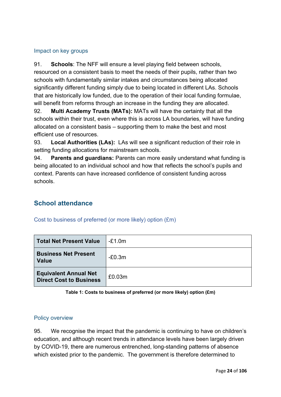# Impact on key groups

91. **Schools**: The NFF will ensure a level playing field between schools, resourced on a consistent basis to meet the needs of their pupils, rather than two schools with fundamentally similar intakes and circumstances being allocated significantly different funding simply due to being located in different LAs. Schools that are historically low funded, due to the operation of their local funding formulae, will benefit from reforms through an increase in the funding they are allocated.

92. **Multi Academy Trusts (MATs):** MATs will have the certainty that all the schools within their trust, even where this is across LA boundaries, will have funding allocated on a consistent basis – supporting them to make the best and most efficient use of resources.

93. **Local Authorities (LAs):** LAs will see a significant reduction of their role in setting funding allocations for mainstream schools.

94. **Parents and guardians:** Parents can more easily understand what funding is being allocated to an individual school and how that reflects the school's pupils and context. Parents can have increased confidence of consistent funding across schools.

# <span id="page-23-0"></span>**School attendance**

# Cost to business of preferred (or more likely) option (£m)

| <b>Total Net Present Value</b>                                 | $-E1.0m$ |
|----------------------------------------------------------------|----------|
| <b>Business Net Present</b><br><b>Value</b>                    | $-E0.3m$ |
| <b>Equivalent Annual Net</b><br><b>Direct Cost to Business</b> | £0.03m   |

**Table 1: Costs to business of preferred (or more likely) option (£m)**

#### Policy overview

95. We recognise the impact that the pandemic is continuing to have on children's education, and although recent trends in attendance levels have been largely driven by COVID-19, there are numerous entrenched, long-standing patterns of absence which existed prior to the pandemic. The government is therefore determined to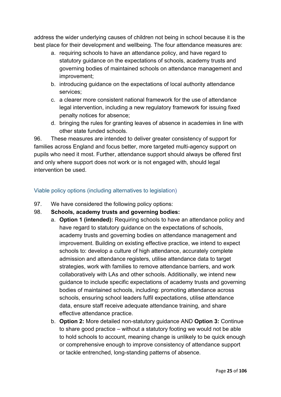address the wider underlying causes of children not being in school because it is the best place for their development and wellbeing. The four attendance measures are:

- a. requiring schools to have an attendance policy, and have regard to statutory guidance on the expectations of schools, academy trusts and governing bodies of maintained schools on attendance management and improvement;
- b. introducing guidance on the expectations of local authority attendance services;
- c. a clearer more consistent national framework for the use of attendance legal intervention, including a new regulatory framework for issuing fixed penalty notices for absence;
- d. bringing the rules for granting leaves of absence in academies in line with other state funded schools.

96. These measures are intended to deliver greater consistency of support for families across England and focus better, more targeted multi-agency support on pupils who need it most. Further, attendance support should always be offered first and only where support does not work or is not engaged with, should legal intervention be used.

# Viable policy options (including alternatives to legislation)

- 97. We have considered the following policy options:
- 98. **Schools, academy trusts and governing bodies:**
	- a. **Option 1 (intended):** Requiring schools to have an attendance policy and have regard to statutory guidance on the expectations of schools, academy trusts and governing bodies on attendance management and improvement. Building on existing effective practice, we intend to expect schools to: develop a culture of high attendance, accurately complete admission and attendance registers, utilise attendance data to target strategies, work with families to remove attendance barriers, and work collaboratively with LAs and other schools. Additionally, we intend new guidance to include specific expectations of academy trusts and governing bodies of maintained schools, including: promoting attendance across schools, ensuring school leaders fulfil expectations, utilise attendance data, ensure staff receive adequate attendance training, and share effective attendance practice.
	- b. **Option 2:** More detailed non-statutory guidance AND **Option 3:** Continue to share good practice – without a statutory footing we would not be able to hold schools to account, meaning change is unlikely to be quick enough or comprehensive enough to improve consistency of attendance support or tackle entrenched, long-standing patterns of absence.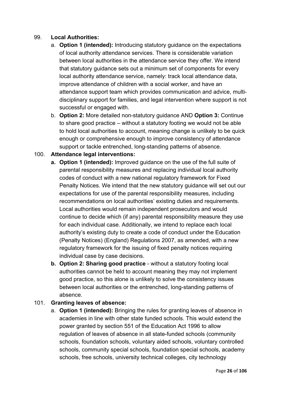# 99. **Local Authorities:**

- a. **Option 1 (intended):** Introducing statutory guidance on the expectations of local authority attendance services. There is considerable variation between local authorities in the attendance service they offer. We intend that statutory guidance sets out a minimum set of components for every local authority attendance service, namely: track local attendance data, improve attendance of children with a social worker, and have an attendance support team which provides communication and advice, multidisciplinary support for families, and legal intervention where support is not successful or engaged with.
- b. **Option 2:** More detailed non-statutory guidance AND **Option 3:** Continue to share good practice – without a statutory footing we would not be able to hold local authorities to account, meaning change is unlikely to be quick enough or comprehensive enough to improve consistency of attendance support or tackle entrenched, long-standing patterns of absence.

# 100. **Attendance legal interventions:**

- **a. Option 1 (intended):** Improved guidance on the use of the full suite of parental responsibility measures and replacing individual local authority codes of conduct with a new national regulatory framework for Fixed Penalty Notices. We intend that the new statutory guidance will set out our expectations for use of the parental responsibility measures, including recommendations on local authorities' existing duties and requirements. Local authorities would remain independent prosecutors and would continue to decide which (if any) parental responsibility measure they use for each individual case. Additionally, we intend to replace each local authority's existing duty to create a code of conduct under the Education (Penalty Notices) (England) Regulations 2007, as amended, with a new regulatory framework for the issuing of fixed penalty notices requiring individual case by case decisions.
- **b. Option 2: Sharing good practice** without a statutory footing local authorities cannot be held to account meaning they may not implement good practice, so this alone is unlikely to solve the consistency issues between local authorities or the entrenched, long-standing patterns of absence.

#### 101. **Granting leaves of absence:**

a. **Option 1 (intended):** Bringing the rules for granting leaves of absence in academies in line with other state funded schools. This would extend the power granted by section 551 of the Education Act 1996 to allow regulation of leaves of absence in all state-funded schools (community schools, foundation schools, voluntary aided schools, voluntary controlled schools, community special schools, foundation special schools, academy schools, free schools, university technical colleges, city technology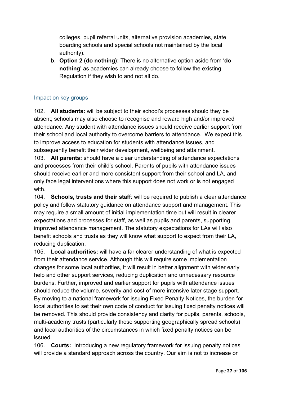colleges, pupil referral units, alternative provision academies, state boarding schools and special schools not maintained by the local authority).

b. **Option 2 (do nothing):** There is no alternative option aside from '**do nothing**' as academies can already choose to follow the existing Regulation if they wish to and not all do.

# Impact on key groups

102. **All students:** will be subject to their school's processes should they be absent; schools may also choose to recognise and reward high and/or improved attendance. Any student with attendance issues should receive earlier support from their school and local authority to overcome barriers to attendance. We expect this to improve access to education for students with attendance issues, and subsequently benefit their wider development, wellbeing and attainment.

103. **All parents:** should have a clear understanding of attendance expectations and processes from their child's school. Parents of pupils with attendance issues should receive earlier and more consistent support from their school and LA, and only face legal interventions where this support does not work or is not engaged with.

104. **Schools, trusts and their staff**: will be required to publish a clear attendance policy and follow statutory guidance on attendance support and management. This may require a small amount of initial implementation time but will result in clearer expectations and processes for staff, as well as pupils and parents, supporting improved attendance management. The statutory expectations for LAs will also benefit schools and trusts as they will know what support to expect from their LA, reducing duplication.

105. **Local authorities:** will have a far clearer understanding of what is expected from their attendance service. Although this will require some implementation changes for some local authorities, it will result in better alignment with wider early help and other support services, reducing duplication and unnecessary resource burdens. Further, improved and earlier support for pupils with attendance issues should reduce the volume, severity and cost of more intensive later stage support. By moving to a national framework for issuing Fixed Penalty Notices, the burden for local authorities to set their own code of conduct for issuing fixed penalty notices will be removed. This should provide consistency and clarity for pupils, parents, schools, multi-academy trusts (particularly those supporting geographically spread schools) and local authorities of the circumstances in which fixed penalty notices can be issued.

106. **Courts:** Introducing a new regulatory framework for issuing penalty notices will provide a standard approach across the country. Our aim is not to increase or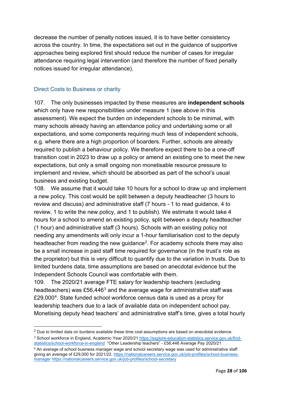decrease the number of penalty notices issued, it is to have better consistency across the country. In time, the expectations set out in the guidance of supportive approaches being explored first should reduce the number of cases for irregular attendance requiring legal intervention (and therefore the number of fixed penalty notices issued for irregular attendance).

# Direct Costs to Business or charity

107. The only businesses impacted by these measures are **independent schools** which only have new responsibilities under measure 1 (see above in this assessment). We expect the burden on independent schools to be minimal, with many schools already having an attendance policy and undertaking some or all expectations, and some components requiring much less of independent schools, e.g. where there are a high proportion of boarders. Further, schools are already required to publish a behaviour policy. We therefore expect there to be a one-off transition cost in 2023 to draw up a policy or amend an existing one to meet the new expectations, but only a small ongoing non monetisable resource pressure to implement and review, which should be absorbed as part of the school's usual business and existing budget.

108. We assume that it would take 10 hours for a school to draw up and implement a new policy. This cost would be split between a deputy headteacher (3 hours to review and discuss) and administrative staff (7 hours - 1 to read guidance, 4 to review, 1 to write the new policy, and 1 to publish). We estimate it would take 4 hours for a school to amend an existing policy, split between a deputy headteacher (1 hour) and administrative staff (3 hours). Schools with an existing policy not needing any amendments will only incur a 1-hour familiarisation cost to the deputy headteacher from reading the new guidance<sup>2</sup>. For academy schools there may also be a small increase in paid staff time required for governance (in the trust's role as the proprietor) but this is very difficult to quantify due to the variation in trusts. Due to limited burdens data, time assumptions are based on anecdotal evidence but the Independent Schools Council was comfortable with them.

109. The 2020/21 average FTE salary for leadership teachers (excluding headteachers) was  $£56,446^3$  $£56,446^3$  and the average wage for administrative staff was £29,000[4](#page-27-2). State funded school workforce census data is used as a proxy for leadership teachers due to a lack of available data on independent school pay. Monetising deputy head teachers' and administrative staff's time, gives a total hourly

<span id="page-27-0"></span><sup>&</sup>lt;sup>2</sup> Due to limited data on burdens available these time cost assumptions are based on anecdotal evidence.

<span id="page-27-1"></span><sup>3</sup> School workforce in England, Academic Year 2020/21 [https://explore-education-statistics.service.gov.uk/find](https://explore-education-statistics.service.gov.uk/find-statistics/school-workforce-in-england)[statistics/school-workforce-in-england](https://explore-education-statistics.service.gov.uk/find-statistics/school-workforce-in-england) "Other Leadership teachers" - £56,446 Average Pay 2020/21

<span id="page-27-2"></span><sup>4</sup> An average of school business manager wage and school secretary wage was used for administrative staff giving an average of £29,000 for 2021/22. [https://nationalcareers.service.gov.uk/job-profiles/school-business](https://nationalcareers.service.gov.uk/job-profiles/school-business-manager)[manager](https://nationalcareers.service.gov.uk/job-profiles/school-business-manager) <https://nationalcareers.service.gov.uk/job-profiles/school-secretary>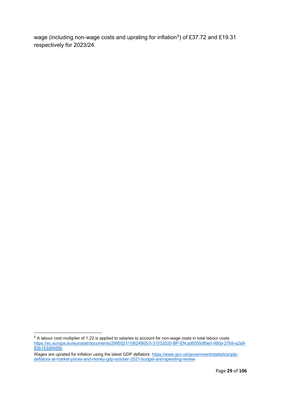wage (including non-wage costs and uprating for inflation<sup>5</sup>) of £37.72 and £19.31 respectively for 2023/24.

<span id="page-28-0"></span><sup>5</sup> A labour cost multiplier of 1.22 is applied to salaries to account for non-wage costs in total labour costs [https://ec.europa.eu/eurostat/documents/2995521/10624905/3-31032020-BP-EN.pdf/055df0e0-980d-27b9-a2a9-](https://ec.europa.eu/eurostat/documents/2995521/10624905/3-31032020-BP-EN.pdf/055df0e0-980d-27b9-a2a9-83b143d94d5b) [83b143d94d5b](https://ec.europa.eu/eurostat/documents/2995521/10624905/3-31032020-BP-EN.pdf/055df0e0-980d-27b9-a2a9-83b143d94d5b)

Wages are uprated for inflation using the latest GDP deflators: <u>https://www.gov.uk/government/statistics/gdp</u>[deflators-at-market-prices-and-money-gdp-october-2021-budget-and-spending-review](https://www.gov.uk/government/statistics/gdp-deflators-at-market-prices-and-money-gdp-october-2021-budget-and-spending-review)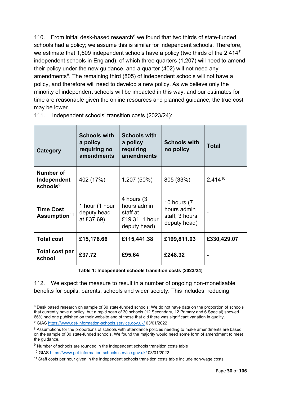110. From initial desk-based research<sup>[6](#page-29-0)</sup> we found that two thirds of state-funded schools had a policy; we assume this is similar for independent schools. Therefore, we estimate that 1,609 independent schools have a policy (two thirds of the  $2.414<sup>7</sup>$  $2.414<sup>7</sup>$  $2.414<sup>7</sup>$ independent schools in England), of which three quarters (1,207) will need to amend their policy under the new guidance, and a quarter (402) will not need any amendments<sup>[8](#page-29-2)</sup>. The remaining third (805) of independent schools will not have a policy, and therefore will need to develop a new policy. As we believe only the minority of independent schools will be impacted in this way, and our estimates for time are reasonable given the online resources and planned guidance, the true cost may be lower.

| Category                                     | <b>Schools with</b><br>a policy<br>requiring no<br><b>amendments</b> | <b>Schools with</b><br>a policy<br>requiring<br>amendments               | <b>Schools with</b><br>no policy                             | <b>Total</b> |
|----------------------------------------------|----------------------------------------------------------------------|--------------------------------------------------------------------------|--------------------------------------------------------------|--------------|
| Number of<br>Independent<br>$s$ chools $9$   | 402 (17%)                                                            | 1,207 (50%)                                                              | 805 (33%)                                                    | 2,41410      |
| <b>Time Cost</b><br>Assumption <sup>11</sup> | 1 hour (1 hour<br>deputy head<br>at £37.69)                          | 4 hours (3)<br>hours admin<br>staff at<br>£19.31, 1 hour<br>deputy head) | 10 hours (7<br>hours admin<br>staff, 3 hours<br>deputy head) |              |
| <b>Total cost</b>                            | £15,176.66                                                           | £115,441.38                                                              | £199,811.03                                                  | £330,429.07  |
| Total cost per<br>school                     | £37.72                                                               | £95.64                                                                   | £248.32                                                      |              |

111. Independent schools' transition costs (2023/24):

**Table 1: Independent schools transition costs (2023/24)**

112. We expect the measure to result in a number of ongoing non-monetisable benefits for pupils, parents, schools and wider society. This includes: reducing

<span id="page-29-0"></span><sup>&</sup>lt;sup>6</sup> Desk based research on sample of 30 state-funded schools: We do not have data on the proportion of schools that currently have a policy, but a rapid scan of 30 schools (12 Secondary, 12 Primary and 6 Special) showed 66% had one published on their website and of those that did there was significant variation in quality.

<span id="page-29-1"></span><sup>7</sup> GIAS<https://www.get-information-schools.service.gov.uk/> 03/01/2022

<span id="page-29-2"></span><sup>&</sup>lt;sup>8</sup> Assumptions for the proportions of schools with attendance policies needing to make amendments are based on the sample of 30 state-funded schools. We found the majority would need some form of amendment to meet the guidance.

<span id="page-29-3"></span><sup>&</sup>lt;sup>9</sup> Number of schools are rounded in the independent schools transition costs table

<span id="page-29-4"></span><sup>10</sup> GIAS<https://www.get-information-schools.service.gov.uk/> 03/01/2022

<span id="page-29-5"></span><sup>&</sup>lt;sup>11</sup> Staff costs per hour given in the independent schools transition costs table include non-wage costs.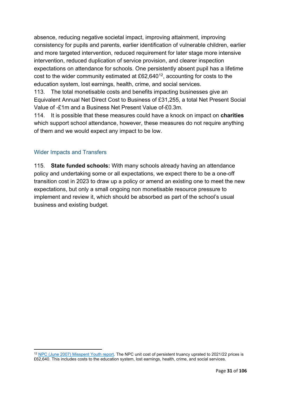absence, reducing negative societal impact, improving attainment, improving consistency for pupils and parents, earlier identification of vulnerable children, earlier and more targeted intervention, reduced requirement for later stage more intensive intervention, reduced duplication of service provision, and clearer inspection expectations on attendance for schools. One persistently absent pupil has a lifetime cost to the wider community estimated at  $£62,640^{12}$  $£62,640^{12}$  $£62,640^{12}$ , accounting for costs to the education system, lost earnings, health, crime, and social services.

113. The total monetisable costs and benefits impacting businesses give an Equivalent Annual Net Direct Cost to Business of £31,255, a total Net Present Social Value of -£1m and a Business Net Present Value of-£0.3m.

114. It is possible that these measures could have a knock on impact on **charities** which support school attendance, however, these measures do not require anything of them and we would expect any impact to be low.

# Wider Impacts and Transfers

115. **State funded schools:** With many schools already having an attendance policy and undertaking some or all expectations, we expect there to be a one-off transition cost in 2023 to draw up a policy or amend an existing one to meet the new expectations, but only a small ongoing non monetisable resource pressure to implement and review it, which should be absorbed as part of the school's usual business and existing budget.

<span id="page-30-0"></span><sup>12</sup> [NPC \(June 2007\) Misspent Youth report.](https://www.thinknpc.org/resource-hub/misspent-youth/) The NPC unit cost of persistent truancy uprated to 2021/22 prices is £62,640. This includes costs to the education system, lost earnings, health, crime, and social services.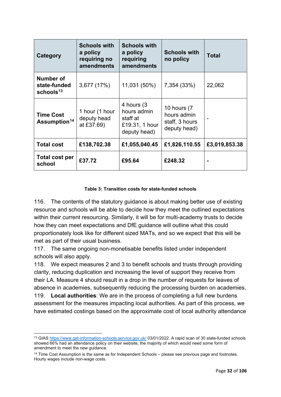| Category                                                  | <b>Schools with</b><br>a policy<br>requiring no<br><b>amendments</b> | <b>Schools with</b><br>a policy<br>requiring<br>amendments               | <b>Schools with</b><br>no policy                             | <b>Total</b>  |
|-----------------------------------------------------------|----------------------------------------------------------------------|--------------------------------------------------------------------------|--------------------------------------------------------------|---------------|
| <b>Number of</b><br>state-funded<br>schools <sup>13</sup> | 3,677 (17%)                                                          | 11,031 (50%)                                                             | 7,354 (33%)                                                  | 22,062        |
| <b>Time Cost</b><br>Assumption <sup>14</sup>              | 1 hour (1 hour<br>deputy head<br>at £37.69)                          | 4 hours (3)<br>hours admin<br>staff at<br>£19.31, 1 hour<br>deputy head) | 10 hours (7<br>hours admin<br>staff, 3 hours<br>deputy head) |               |
| <b>Total cost</b>                                         | £138,702.38                                                          | £1,055,040.45                                                            | £1,826,110.55                                                | £3,019,853.38 |
| <b>Total cost per</b><br>school                           | £37.72                                                               | £95.64                                                                   | £248.32                                                      |               |

#### **Table 3: Transition costs for state-funded schools**

116. The contents of the statutory guidance is about making better use of existing resource and schools will be able to decide how they meet the outlined expectations within their current resourcing. Similarly, it will be for multi-academy trusts to decide how they can meet expectations and DfE guidance will outline what this could proportionately look like for different sized MATs, and so we expect that this will be met as part of their usual business.

117. The same ongoing non-monetisable benefits listed under independent schools will also apply.

118. We expect measures 2 and 3 to benefit schools and trusts through providing clarity, reducing duplication and increasing the level of support they receive from their LA. Measure 4 should result in a drop in the number of requests for leaves of absence in academies, subsequently reducing the processing burden on academies. 119. **Local authorities**: We are in the process of completing a full new burdens assessment for the measures impacting local authorities. As part of this process, we

have estimated costings based on the approximate cost of local authority attendance

<span id="page-31-0"></span><sup>13</sup> GIAS<https://www.get-information-schools.service.gov.uk/> 03/01/2022. A rapid scan of 30 state-funded schools showed 66% had an attendance policy on their website, the majority of which would need some form of amendment to meet the new guidance.

<span id="page-31-1"></span> $14$  Time Cost Assumption is the same as for Independent Schools  $-$  please see previous page and footnotes. Hourly wages include non-wage costs.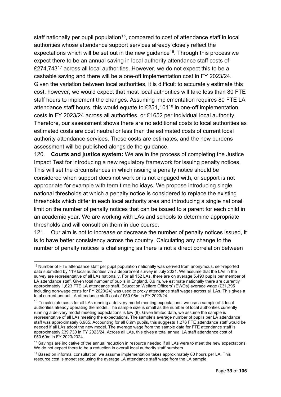staff nationally per pupil population<sup>[15](#page-32-0)</sup>, compared to cost of attendance staff in local authorities whose attendance support services already closely reflect the expectations which will be set out in the new guidance<sup>16</sup>. Through this process we expect there to be an annual saving in local authority attendance staff costs of £274,743<sup>[17](#page-32-2)</sup> across all local authorities. However, we do not expect this to be a cashable saving and there will be a one-off implementation cost in FY 2023/24. Given the variation between local authorities, it is difficult to accurately estimate this cost, however, we would expect that most local authorities will take less than 80 FTE staff hours to implement the changes. Assuming implementation requires 80 FTE LA attendance staff hours, this would equate to  $£251,101^{18}$  $£251,101^{18}$  $£251,101^{18}$  in one-off implementation costs in FY 2023/24 across all authorities, or £1652 per individual local authority. Therefore, our assessment shows there are no additional costs to local authorities as estimated costs are cost neutral or less than the estimated costs of current local authority attendance services. These costs are estimates, and the new burdens assessment will be published alongside the guidance.

120. **Courts and justice system:** We are in the process of completing the Justice Impact Test for introducing a new regulatory framework for issuing penalty notices. This will set the circumstances in which issuing a penalty notice should be considered when support does not work or is not engaged with, or support is not appropriate for example with term time holidays. We propose introducing single national thresholds at which a penalty notice is considered to replace the existing thresholds which differ in each local authority area and introducing a single national limit on the number of penalty notices that can be issued to a parent for each child in an academic year. We are working with LAs and schools to determine appropriate thresholds and will consult on them in due course.

121. Our aim is not to increase or decrease the number of penalty notices issued, it is to have better consistency across the country. Calculating any change to the number of penalty notices is challenging as there is not a direct correlation between

<span id="page-32-0"></span><sup>15</sup> Number of FTE attendance staff per pupil population nationally was derived from anonymous, self-reported data submitted by 119 local authorities via a department survey in July 2021. We assume that the LAs in the survey are representative of all LAs nationally. For all 152 LAs, there are on average 5,490 pupils per member of LA attendance staff. Given total number of pupils in England, 8.9 m, we estimate nationally there are currently approximately 1,623 FTE LA attendance staff. Education Welfare Officers' (EWOs) average wage (£31,395 including non-wage costs for FY 2023/24) was used to proxy attendance staff wages across all LAs. This gives a total current annual LA attendance staff cost of £50.96m in FY 2023/24.

<span id="page-32-1"></span> $16$  To calculate costs for all LAs running a delivery model meeting expectations, we use a sample of 4 local authorities already operating the model. The sample size is small as the number of local authorities currently running a delivery model meeting expectations is low (8). Given limited data, we assume the sample is representative of all LAs meeting the expectations. The sample's average number of pupils per LA attendance staff was approximately 6,985. Accounting for all 8.9m pupils, this suggests 1,276 FTE attendance staff would be needed if all LAs adopt the new model. The average wage from the sample data for FTE attendance staff is approximately £39,730 in FY 2023/24. Across all LAs, this gives a total annual LA staff attendance cost of £50.69m in FY 2023/2024.

<span id="page-32-2"></span><sup>&</sup>lt;sup>17</sup> Savings are indicative of the annual reduction in resource needed if all LAs were to meet the new expectations. We do not expect there to be a reduction in overall local authority staff numbers.

<span id="page-32-3"></span><sup>&</sup>lt;sup>18</sup> Based on informal consultation, we assume implementation takes approximately 80 hours per LA. This resource cost is monetised using the average LA attendance staff wage from the LA sample.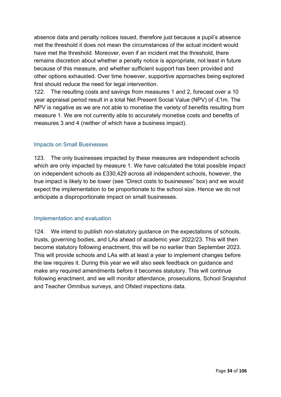absence data and penalty notices issued, therefore just because a pupil's absence met the threshold it does not mean the circumstances of the actual incident would have met the threshold. Moreover, even if an incident met the threshold, there remains discretion about whether a penalty notice is appropriate, not least in future because of this measure, and whether sufficient support has been provided and other options exhausted. Over time however, supportive approaches being explored first should reduce the need for legal intervention.

122. The resulting costs and savings from measures 1 and 2, forecast over a 10 year appraisal period result in a total Net Present Social Value (NPV) of -£1m. The NPV is negative as we are not able to monetise the variety of benefits resulting from measure 1. We are not currently able to accurately monetise costs and benefits of measures 3 and 4 (neither of which have a business impact).

# Impacts on Small Businesses

123. The only businesses impacted by these measures are independent schools which are only impacted by measure 1. We have calculated the total possible impact on independent schools as £330,429 across all independent schools, however, the true impact is likely to be lower (see "Direct costs to businesses" box) and we would expect the implementation to be proportionate to the school size. Hence we do not anticipate a disproportionate impact on small businesses.

#### Implementation and evaluation

124. We intend to publish non-statutory guidance on the expectations of schools, trusts, governing bodies, and LAs ahead of academic year 2022/23. This will then become statutory following enactment, this will be no earlier than September 2023. This will provide schools and LAs with at least a year to implement changes before the law requires it. During this year we will also seek feedback on guidance and make any required amendments before it becomes statutory. This will continue following enactment, and we will monitor attendance, prosecutions, School Snapshot and Teacher Omnibus surveys, and Ofsted inspections data.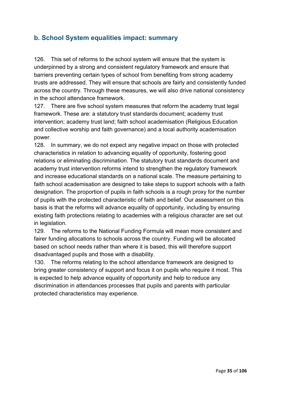# <span id="page-34-0"></span>**b. School System equalities impact: summary**

126. This set of reforms to the school system will ensure that the system is underpinned by a strong and consistent regulatory framework and ensure that barriers preventing certain types of school from benefiting from strong academy trusts are addressed. They will ensure that schools are fairly and consistently funded across the country. Through these measures, we will also drive national consistency in the school attendance framework.

127. There are five school system measures that reform the academy trust legal framework. These are: a statutory trust standards document; academy trust intervention; academy trust land; faith school academisation (Religious Education and collective worship and faith governance) and a local authority academisation power.

128. In summary, we do not expect any negative impact on those with protected characteristics in relation to advancing equality of opportunity, fostering good relations or eliminating discrimination. The statutory trust standards document and academy trust intervention reforms intend to strengthen the regulatory framework and increase educational standards on a national scale. The measure pertaining to faith school academisation are designed to take steps to support schools with a faith designation. The proportion of pupils in faith schools is a rough proxy for the number of pupils with the protected characteristic of faith and belief. Our assessment on this basis is that the reforms will advance equality of opportunity, including by ensuring existing faith protections relating to academies with a religious character are set out in legislation.

129. The reforms to the National Funding Formula will mean more consistent and fairer funding allocations to schools across the country. Funding will be allocated based on school needs rather than where it is based, this will therefore support disadvantaged pupils and those with a disability.

130. The reforms relating to the school attendance framework are designed to bring greater consistency of support and focus it on pupils who require it most. This is expected to help advance equality of opportunity and help to reduce any discrimination in attendances processes that pupils and parents with particular protected characteristics may experience.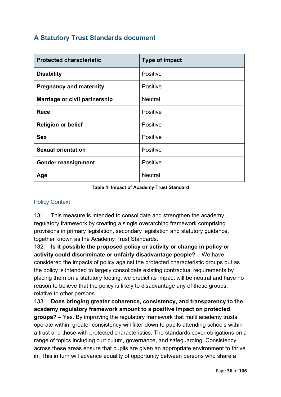# <span id="page-35-0"></span>**A Statutory Trust Standards document**

| <b>Protected characteristic</b> | <b>Type of impact</b> |
|---------------------------------|-----------------------|
| <b>Disability</b>               | <b>Positive</b>       |
| <b>Pregnancy and maternity</b>  | <b>Positive</b>       |
| Marriage or civil partnership   | <b>Neutral</b>        |
| Race                            | <b>Positive</b>       |
| <b>Religion or belief</b>       | <b>Positive</b>       |
| <b>Sex</b>                      | <b>Positive</b>       |
| <b>Sexual orientation</b>       | Positive              |
| <b>Gender reassignment</b>      | <b>Positive</b>       |
| Age                             | <b>Neutral</b>        |

#### **Table 4: Impact of Academy Trust Standard**

# Policy Context

131. This measure is intended to consolidate and strengthen the academy regulatory framework by creating a single overarching framework comprising provisions in primary legislation, secondary legislation and statutory guidance, together known as the Academy Trust Standards.

132. **Is it possible the proposed policy or activity or change in policy or activity could discriminate or unfairly disadvantage people?** – We have considered the impacts of policy against the protected characteristic groups but as the policy is intended to largely consolidate existing contractual requirements by placing them on a statutory footing, we predict its impact will be neutral and have no reason to believe that the policy is likely to disadvantage any of these groups, relative to other persons.

133. **Does bringing greater coherence, consistency, and transparency to the academy regulatory framework amount to a positive impact on protected groups?** – Yes. By improving the regulatory framework that multi academy trusts operate within, greater consistency will filter down to pupils attending schools within a trust and those with protected characteristics. The standards cover obligations on a range of topics including curriculum, governance, and safeguarding. Consistency across these areas ensure that pupils are given an appropriate environment to thrive in. This in turn will advance equality of opportunity between persons who share a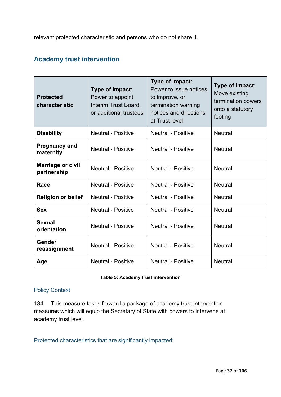relevant protected characteristic and persons who do not share it.

## **Academy trust intervention**

| <b>Protected</b><br>characteristic      | Type of impact:<br>Power to appoint<br>Interim Trust Board,<br>or additional trustees | Type of impact:<br>Power to issue notices<br>to improve, or<br>termination warning<br>notices and directions<br>at Trust level | Type of impact:<br>Move existing<br>termination powers<br>onto a statutory<br>footing |
|-----------------------------------------|---------------------------------------------------------------------------------------|--------------------------------------------------------------------------------------------------------------------------------|---------------------------------------------------------------------------------------|
| <b>Disability</b>                       | <b>Neutral - Positive</b>                                                             | <b>Neutral - Positive</b>                                                                                                      | <b>Neutral</b>                                                                        |
| <b>Pregnancy and</b><br>maternity       | <b>Neutral - Positive</b>                                                             | <b>Neutral - Positive</b>                                                                                                      | <b>Neutral</b>                                                                        |
| <b>Marriage or civil</b><br>partnership | <b>Neutral - Positive</b>                                                             | <b>Neutral - Positive</b>                                                                                                      | <b>Neutral</b>                                                                        |
| Race                                    | <b>Neutral - Positive</b>                                                             | <b>Neutral - Positive</b>                                                                                                      | <b>Neutral</b>                                                                        |
| <b>Religion or belief</b>               | <b>Neutral - Positive</b>                                                             | <b>Neutral - Positive</b>                                                                                                      | <b>Neutral</b>                                                                        |
| <b>Sex</b>                              | <b>Neutral - Positive</b>                                                             | <b>Neutral - Positive</b>                                                                                                      | <b>Neutral</b>                                                                        |
| <b>Sexual</b><br>orientation            | <b>Neutral - Positive</b>                                                             | <b>Neutral - Positive</b>                                                                                                      | <b>Neutral</b>                                                                        |
| Gender<br>reassignment                  | <b>Neutral - Positive</b>                                                             | <b>Neutral - Positive</b>                                                                                                      | <b>Neutral</b>                                                                        |
| Age                                     | <b>Neutral - Positive</b>                                                             | <b>Neutral - Positive</b>                                                                                                      | <b>Neutral</b>                                                                        |

#### **Table 5: Academy trust intervention**

#### Policy Context

134. This measure takes forward a package of academy trust intervention measures which will equip the Secretary of State with powers to intervene at academy trust level.

Protected characteristics that are significantly impacted: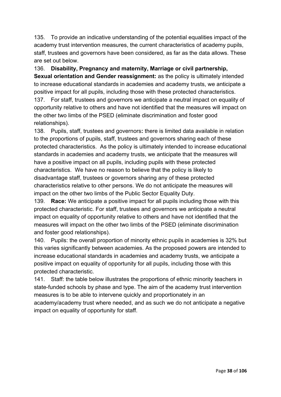135. To provide an indicative understanding of the potential equalities impact of the academy trust intervention measures, the current characteristics of academy pupils, staff, trustees and governors have been considered, as far as the data allows. These are set out below.

136. **Disability, Pregnancy and maternity, Marriage or civil partnership,** 

**Sexual orientation and Gender reassignment:** as the policy is ultimately intended to increase educational standards in academies and academy trusts, we anticipate a positive impact for all pupils, including those with these protected characteristics. 137. For staff, trustees and governors we anticipate a neutral impact on equality of opportunity relative to others and have not identified that the measures will impact on the other two limbs of the PSED (eliminate discrimination and foster good relationships).

138. Pupils, staff, trustees and governors**:** there is limited data available in relation to the proportions of pupils, staff, trustees and governors sharing each of these protected characteristics. As the policy is ultimately intended to increase educational standards in academies and academy trusts, we anticipate that the measures will have a positive impact on all pupils, including pupils with these protected characteristics. We have no reason to believe that the policy is likely to disadvantage staff, trustees or governors sharing any of these protected characteristics relative to other persons. We do not anticipate the measures will impact on the other two limbs of the Public Sector Equality Duty.

139. **Race:** We anticipate a positive impact for all pupils including those with this protected characteristic. For staff, trustees and governors we anticipate a neutral impact on equality of opportunity relative to others and have not identified that the measures will impact on the other two limbs of the PSED (eliminate discrimination and foster good relationships).

140. Pupils: the overall proportion of minority ethnic pupils in academies is 32% but this varies significantly between academies. As the proposed powers are intended to increase educational standards in academies and academy trusts, we anticipate a positive impact on equality of opportunity for all pupils, including those with this protected characteristic.

141. Staff: the table below illustrates the proportions of ethnic minority teachers in state-funded schools by phase and type. The aim of the academy trust intervention measures is to be able to intervene quickly and proportionately in an academy/academy trust where needed, and as such we do not anticipate a negative impact on equality of opportunity for staff.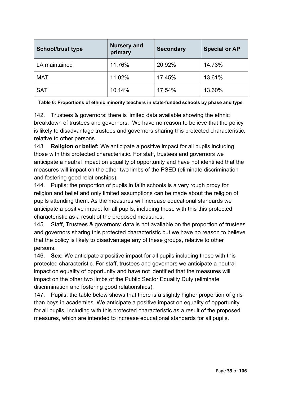| <b>School/trust type</b> | <b>Nursery and</b><br>primary | <b>Secondary</b> | <b>Special or AP</b> |
|--------------------------|-------------------------------|------------------|----------------------|
| LA maintained            | 11.76%                        | 20.92%           | 14.73%               |
| <b>MAT</b>               | 11.02%                        | 17.45%           | 13.61%               |
| <b>SAT</b>               | 10.14%                        | 17.54%           | 13.60%               |

|  | Table 6: Proportions of ethnic minority teachers in state-funded schools by phase and type |  |
|--|--------------------------------------------------------------------------------------------|--|
|  |                                                                                            |  |

142. Trustees & governors: there is limited data available showing the ethnic breakdown of trustees and governors. We have no reason to believe that the policy is likely to disadvantage trustees and governors sharing this protected characteristic, relative to other persons.

143. **Religion or belief:** We anticipate a positive impact for all pupils including those with this protected characteristic. For staff, trustees and governors we anticipate a neutral impact on equality of opportunity and have not identified that the measures will impact on the other two limbs of the PSED (eliminate discrimination and fostering good relationships).

144. Pupils: the proportion of pupils in faith schools is a very rough proxy for religion and belief and only limited assumptions can be made about the religion of pupils attending them. As the measures will increase educational standards we anticipate a positive impact for all pupils, including those with this this protected characteristic as a result of the proposed measures.

145. Staff, Trustees & governors: data is not available on the proportion of trustees and governors sharing this protected characteristic but we have no reason to believe that the policy is likely to disadvantage any of these groups, relative to other persons.

146. **Sex:** We anticipate a positive impact for all pupils including those with this protected characteristic. For staff, trustees and governors we anticipate a neutral impact on equality of opportunity and have not identified that the measures will impact on the other two limbs of the Public Sector Equality Duty (eliminate discrimination and fostering good relationships).

147. Pupils: the table below shows that there is a slightly higher proportion of girls than boys in academies. We anticipate a positive impact on equality of opportunity for all pupils, including with this protected characteristic as a result of the proposed measures, which are intended to increase educational standards for all pupils.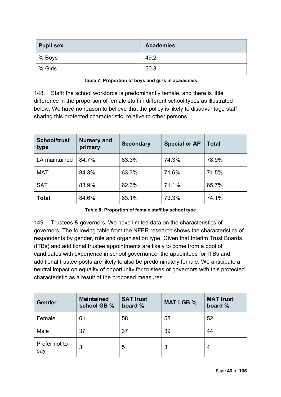| <b>Pupil sex</b> | <b>Academies</b> |
|------------------|------------------|
| % Boys           | 49.2             |
| % Girls          | 50.8             |

### **Table 7: Proportion of boys and girls in academies**

148. Staff: the school workforce is predominantly female, and there is little difference in the proportion of female staff in different school types as illustrated below. We have no reason to believe that the policy is likely to disadvantage staff sharing this protected characteristic, relative to other persons.

| <b>School/trust</b><br>type | <b>Nursery and</b><br>primary | <b>Secondary</b> | <b>Special or AP</b> | <b>Total</b> |
|-----------------------------|-------------------------------|------------------|----------------------|--------------|
| LA maintained               | 84.7%                         | 63.3%            | 74.3%                | 78.9%        |
| <b>MAT</b>                  | 84.3%                         | 63.3%            | 71.6%                | 71.5%        |
| <b>SAT</b>                  | 83.9%                         | 62.3%            | 71.1%                | 65.7%        |
| <b>Total</b>                | 84.6%                         | 63.1%            | 73.3%                | 74.1%        |

**Table 8: Proportion of female staff by school type**

149. Trustees & governors: We have limited data on the characteristics of governors. The following table from the NFER research shows the characteristics of respondents by gender, role and organisation type. Given that Interim Trust Boards (ITBs) and additional trustee appointments are likely to come from a pool of candidates with experience in school governance, the appointees for ITBs and additional trustee posts are likely to also be predominately female. We anticipate a neutral impact on equality of opportunity for trustees or governors with this protected characteristic as a result of the proposed measures.

| Gender               | <b>Maintained</b><br>school GB % | <b>SAT trust</b><br>board % | <b>MAT LGB %</b> | <b>MAT trust</b><br>board % |
|----------------------|----------------------------------|-----------------------------|------------------|-----------------------------|
| Female               | 61                               | 58                          | 58               | 52                          |
| Male                 | 37                               | 37                          | 39               | 44                          |
| Prefer not to<br>say | 3                                | 5                           | 3                | 4                           |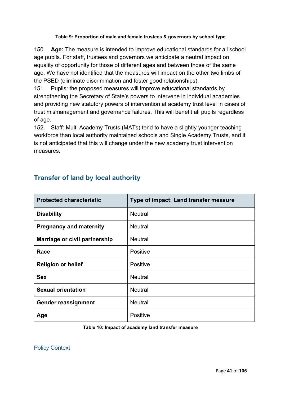### **Table 9: Proportion of male and female trustees & governors by school type**

150. **Age:** The measure is intended to improve educational standards for all school age pupils. For staff, trustees and governors we anticipate a neutral impact on equality of opportunity for those of different ages and between those of the same age. We have not identified that the measures will impact on the other two limbs of the PSED (eliminate discrimination and foster good relationships).

151. Pupils: the proposed measures will improve educational standards by strengthening the Secretary of State's powers to intervene in individual academies and providing new statutory powers of intervention at academy trust level in cases of trust mismanagement and governance failures. This will benefit all pupils regardless of age.

152. Staff: Multi Academy Trusts (MATs) tend to have a slightly younger teaching workforce than local authority maintained schools and Single Academy Trusts, and it is not anticipated that this will change under the new academy trust intervention measures.

| <b>Protected characteristic</b> | Type of impact: Land transfer measure |
|---------------------------------|---------------------------------------|
| <b>Disability</b>               | <b>Neutral</b>                        |
| <b>Pregnancy and maternity</b>  | <b>Neutral</b>                        |
| Marriage or civil partnership   | <b>Neutral</b>                        |
| Race                            | <b>Positive</b>                       |
| <b>Religion or belief</b>       | Positive                              |
| <b>Sex</b>                      | <b>Neutral</b>                        |
| <b>Sexual orientation</b>       | <b>Neutral</b>                        |
| <b>Gender reassignment</b>      | <b>Neutral</b>                        |
| Age                             | Positive                              |

# **Transfer of land by local authority**

#### **Table 10: Impact of academy land transfer measure**

Policy Context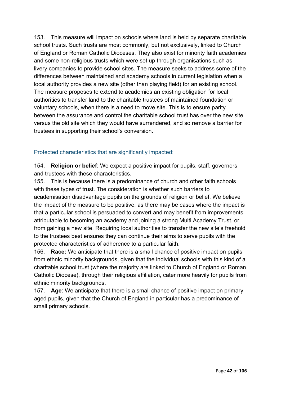153. This measure will impact on schools where land is held by separate charitable school trusts. Such trusts are most commonly, but not exclusively, linked to Church of England or Roman Catholic Dioceses. They also exist for minority faith academies and some non-religious trusts which were set up through organisations such as livery companies to provide school sites. The measure seeks to address some of the differences between maintained and academy schools in current legislation when a local authority provides a new site (other than playing field) for an existing school. The measure proposes to extend to academies an existing obligation for local authorities to transfer land to the charitable trustees of maintained foundation or voluntary schools, when there is a need to move site. This is to ensure parity between the assurance and control the charitable school trust has over the new site versus the old site which they would have surrendered, and so remove a barrier for trustees in supporting their school's conversion.

## Protected characteristics that are significantly impacted:

154. **Religion or belief**: We expect a positive impact for pupils, staff, governors and trustees with these characteristics.

155. This is because there is a predominance of church and other faith schools with these types of trust. The consideration is whether such barriers to academisation disadvantage pupils on the grounds of religion or belief. We believe the impact of the measure to be positive, as there may be cases where the impact is that a particular school is persuaded to convert and may benefit from improvements attributable to becoming an academy and joining a strong Multi Academy Trust, or from gaining a new site. Requiring local authorities to transfer the new site's freehold to the trustees best ensures they can continue their aims to serve pupils with the protected characteristics of adherence to a particular faith.

156. **Race:** We anticipate that there is a small chance of positive impact on pupils from ethnic minority backgrounds, given that the individual schools with this kind of a charitable school trust (where the majority are linked to Church of England or Roman Catholic Diocese), through their religious affiliation, cater more heavily for pupils from ethnic minority backgrounds.

157. **Age**: We anticipate that there is a small chance of positive impact on primary aged pupils, given that the Church of England in particular has a predominance of small primary schools.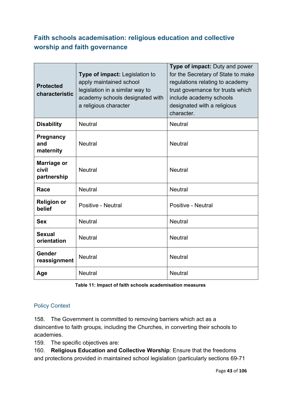# **Faith schools academisation: religious education and collective worship and faith governance**

| <b>Protected</b><br>characteristic         | Type of impact: Legislation to<br>apply maintained school<br>legislation in a similar way to<br>academy schools designated with<br>a religious character | <b>Type of impact: Duty and power</b><br>for the Secretary of State to make<br>regulations relating to academy<br>trust governance for trusts which<br>include academy schools<br>designated with a religious<br>character. |
|--------------------------------------------|----------------------------------------------------------------------------------------------------------------------------------------------------------|-----------------------------------------------------------------------------------------------------------------------------------------------------------------------------------------------------------------------------|
| <b>Disability</b>                          | <b>Neutral</b>                                                                                                                                           | <b>Neutral</b>                                                                                                                                                                                                              |
| <b>Pregnancy</b><br>and<br>maternity       | <b>Neutral</b>                                                                                                                                           | <b>Neutral</b>                                                                                                                                                                                                              |
| <b>Marriage or</b><br>civil<br>partnership | <b>Neutral</b>                                                                                                                                           | <b>Neutral</b>                                                                                                                                                                                                              |
| Race                                       | <b>Neutral</b>                                                                                                                                           | <b>Neutral</b>                                                                                                                                                                                                              |
| <b>Religion or</b><br>belief               | <b>Positive - Neutral</b>                                                                                                                                | Positive - Neutral                                                                                                                                                                                                          |
| <b>Sex</b>                                 | <b>Neutral</b>                                                                                                                                           | <b>Neutral</b>                                                                                                                                                                                                              |
| <b>Sexual</b><br>orientation               | <b>Neutral</b>                                                                                                                                           | <b>Neutral</b>                                                                                                                                                                                                              |
| Gender<br>reassignment                     | <b>Neutral</b>                                                                                                                                           | <b>Neutral</b>                                                                                                                                                                                                              |
| Age                                        | <b>Neutral</b>                                                                                                                                           | <b>Neutral</b>                                                                                                                                                                                                              |

#### **Table 11: Impact of faith schools academisation measures**

## Policy Context

158. The Government is committed to removing barriers which act as a disincentive to faith groups, including the Churches, in converting their schools to academies.

159. The specific objectives are:

160. **Religious Education and Collective Worship**: Ensure that the freedoms and protections provided in maintained school legislation (particularly sections 69-71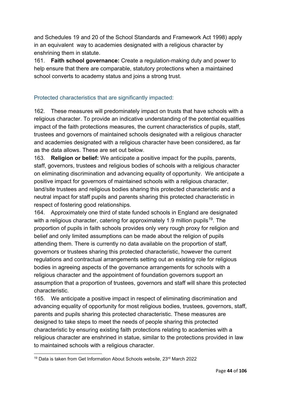and Schedules 19 and 20 of the School Standards and Framework Act 1998) apply in an equivalent way to academies designated with a religious character by enshrining them in statute.

161. **Faith school governance:** Create a regulation-making duty and power to help ensure that there are comparable, statutory protections when a maintained school converts to academy status and joins a strong trust.

## Protected characteristics that are significantly impacted:

162. These measures will predominately impact on trusts that have schools with a religious character. To provide an indicative understanding of the potential equalities impact of the faith protections measures, the current characteristics of pupils, staff, trustees and governors of maintained schools designated with a religious character and academies designated with a religious character have been considered, as far as the data allows. These are set out below.

163. **Religion or belief:** We anticipate a positive impact for the pupils, parents, staff, governors, trustees and religious bodies of schools with a religious character on eliminating discrimination and advancing equality of opportunity. We anticipate a positive impact for governors of maintained schools with a religious character, land/site trustees and religious bodies sharing this protected characteristic and a neutral impact for staff pupils and parents sharing this protected characteristic in respect of fostering good relationships.

164. Approximately one third of state funded schools in England are designated with a religious character, catering for approximately 1.9 million pupils<sup>19</sup>. The proportion of pupils in faith schools provides only very rough proxy for religion and belief and only limited assumptions can be made about the religion of pupils attending them. There is currently no data available on the proportion of staff, governors or trustees sharing this protected characteristic, however the current regulations and contractual arrangements setting out an existing role for religious bodies in agreeing aspects of the governance arrangements for schools with a religious character and the appointment of foundation governors support an assumption that a proportion of trustees, governors and staff will share this protected characteristic.

165. We anticipate a positive impact in respect of eliminating discrimination and advancing equality of opportunity for most religious bodies, trustees, governors, staff, parents and pupils sharing this protected characteristic. These measures are designed to take steps to meet the needs of people sharing this protected characteristic by ensuring existing faith protections relating to academies with a religious character are enshrined in statue, similar to the protections provided in law to maintained schools with a religious character.

<span id="page-43-0"></span><sup>19</sup> Data is taken from Get Information About Schools website, 23rd March 2022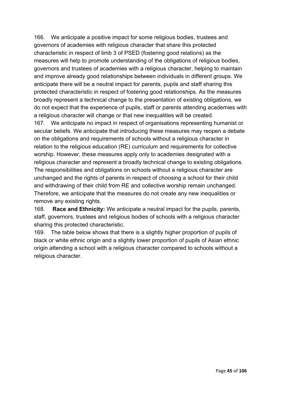166. We anticipate a positive impact for some religious bodies, trustees and governors of academies with religious character that share this protected characteristic in respect of limb 3 of PSED (fostering good relations) as the measures will help to promote understanding of the obligations of religious bodies, governors and trustees of academies with a religious character, helping to maintain and improve already good relationships between individuals in different groups. We anticipate there will be a neutral impact for parents, pupils and staff sharing this protected characteristic in respect of fostering good relationships. As the measures broadly represent a technical change to the presentation of existing obligations, we do not expect that the experience of pupils, staff or parents attending academies with a religious character will change or that new inequalities will be created.

167. We anticipate no impact in respect of organisations representing humanist or secular beliefs. We anticipate that introducing these measures may reopen a debate on the obligations and requirements of schools without a religious character in relation to the religious education (RE) curriculum and requirements for collective worship. However, these measures apply only to academies designated with a religious character and represent a broadly technical change to existing obligations. The responsibilities and obligations on schools without a religious character are unchanged and the rights of parents in respect of choosing a school for their child and withdrawing of their child from RE and collective worship remain unchanged. Therefore, we anticipate that the measures do not create any new inequalities or remove any existing rights.

168. **Race and Ethnicity:** We anticipate a neutral impact for the pupils, parents, staff, governors, trustees and religious bodies of schools with a religious character sharing this protected characteristic.

169. The table below shows that there is a slightly higher proportion of pupils of black or white ethnic origin and a slightly lower proportion of pupils of Asian ethnic origin attending a school with a religious character compared to schools without a religious character.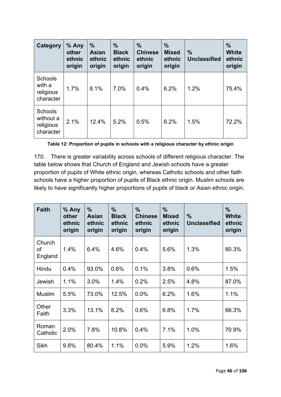| Category                                           | % Any<br>other<br>ethnic<br>origin | $\frac{9}{6}$<br><b>Asian</b><br>ethnic<br>origin | $\frac{9}{6}$<br><b>Black</b><br>ethnic<br>origin | $\%$<br><b>Chinese</b><br>ethnic<br>origin | $\frac{0}{0}$<br><b>Mixed</b><br>ethnic<br>origin | $\frac{9}{6}$<br><b>Unclassified</b> | $\frac{9}{6}$<br><b>White</b><br>ethnic<br>origin |
|----------------------------------------------------|------------------------------------|---------------------------------------------------|---------------------------------------------------|--------------------------------------------|---------------------------------------------------|--------------------------------------|---------------------------------------------------|
| <b>Schools</b><br>with a<br>religious<br>character | 1.7%                               | 8.1%                                              | 7.0%                                              | 0.4%                                       | 6.2%                                              | 1.2%                                 | 75.4%                                             |
| Schools<br>without a<br>religious<br>character     | 2.1%                               | 12.4%                                             | 5.2%                                              | 0.5%                                       | 6.2%                                              | 1.5%                                 | 72.2%                                             |

**Table 12: Proportion of pupils in schools with a religious character by ethnic origin**

170. There is greater variability across schools of different religious character. The table below shows that Church of England and Jewish schools have a greater proportion of pupils of White ethnic origin, whereas Catholic schools and other faith schools have a higher proportion of pupils of Black ethnic origin. Muslim schools are likely to have significantly higher proportions of pupils of black or Asian ethnic origin.

| <b>Faith</b>            | % Any<br>other<br>ethnic<br>origin | $\frac{0}{0}$<br>Asian<br>ethnic<br>origin | $\frac{0}{0}$<br><b>Black</b><br>ethnic<br>origin | $\frac{0}{0}$<br><b>Chinese</b><br>ethnic<br>origin | $\frac{0}{0}$<br><b>Mixed</b><br>ethnic<br>origin | $\frac{9}{6}$<br><b>Unclassified</b> | $\frac{0}{0}$<br><b>White</b><br>ethnic<br>origin |
|-------------------------|------------------------------------|--------------------------------------------|---------------------------------------------------|-----------------------------------------------------|---------------------------------------------------|--------------------------------------|---------------------------------------------------|
| Church<br>of<br>England | 1.4%                               | 6.4%                                       | 4.6%                                              | 0.4%                                                | 5.6%                                              | 1.3%                                 | 80.3%                                             |
| Hindu                   | 0.4%                               | 93.0%                                      | 0.6%                                              | 0.1%                                                | 3.8%                                              | 0.6%                                 | 1.5%                                              |
| Jewish                  | 1.1%                               | 3.0%                                       | 1.4%                                              | 0.2%                                                | 2.5%                                              | 4.8%                                 | 87.0%                                             |
| <b>Muslim</b>           | 5.5%                               | 73.0%                                      | 12.5%                                             | 0.0%                                                | 6.2%                                              | 1.6%                                 | 1.1%                                              |
| Other<br>Faith          | 3.3%                               | 13.1%                                      | 8.2%                                              | 0.6%                                                | 6.8%                                              | 1.7%                                 | 66.3%                                             |
| Roman<br>Catholic       | 2.0%                               | 7.8%                                       | 10.8%                                             | 0.4%                                                | 7.1%                                              | 1.0%                                 | 70.9%                                             |
| Sikh                    | 9.8%                               | 80.4%                                      | 1.1%                                              | 0.0%                                                | 5.9%                                              | 1.2%                                 | 1.6%                                              |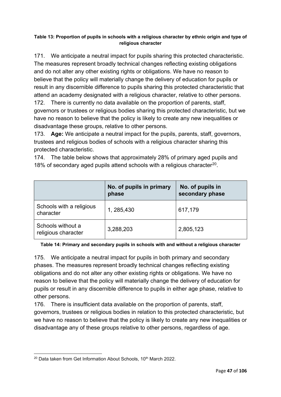### **Table 13: Proportion of pupils in schools with a religious character by ethnic origin and type of religious character**

171. We anticipate a neutral impact for pupils sharing this protected characteristic. The measures represent broadly technical changes reflecting existing obligations and do not alter any other existing rights or obligations. We have no reason to believe that the policy will materially change the delivery of education for pupils or result in any discernible difference to pupils sharing this protected characteristic that attend an academy designated with a religious character, relative to other persons.

172. There is currently no data available on the proportion of parents, staff, governors or trustees or religious bodies sharing this protected characteristic, but we have no reason to believe that the policy is likely to create any new inequalities or disadvantage these groups, relative to other persons.

173. **Age:** We anticipate a neutral impact for the pupils, parents, staff, governors, trustees and religious bodies of schools with a religious character sharing this protected characteristic.

174. The table below shows that approximately 28% of primary aged pupils and 18% of secondary aged pupils attend schools with a religious character<sup>20</sup>.

|                                          | No. of pupils in primary<br>phase | No. of pupils in<br>secondary phase |
|------------------------------------------|-----------------------------------|-------------------------------------|
| Schools with a religious<br>character    | 1, 285, 430                       | 617,179                             |
| Schools without a<br>religious character | 3,288,203                         | 2,805,123                           |

### **Table 14: Primary and secondary pupils in schools with and without a religious character**

175. We anticipate a neutral impact for pupils in both primary and secondary phases. The measures represent broadly technical changes reflecting existing obligations and do not alter any other existing rights or obligations. We have no reason to believe that the policy will materially change the delivery of education for pupils or result in any discernible difference to pupils in either age phase, relative to other persons.

176. There is insufficient data available on the proportion of parents, staff, governors, trustees or religious bodies in relation to this protected characteristic, but we have no reason to believe that the policy is likely to create any new inequalities or disadvantage any of these groups relative to other persons, regardless of age.

<span id="page-46-0"></span><sup>&</sup>lt;sup>20</sup> Data taken from Get Information About Schools, 10<sup>th</sup> March 2022.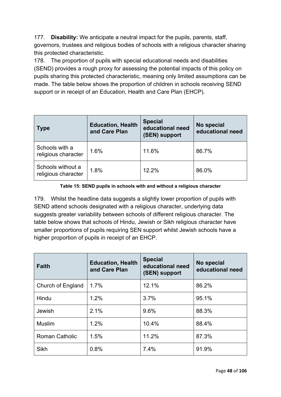177. **Disability:** We anticipate a neutral impact for the pupils, parents, staff, governors, trustees and religious bodies of schools with a religious character sharing this protected characteristic.

178. The proportion of pupils with special educational needs and disabilities (SEND) provides a rough proxy for assessing the potential impacts of this policy on pupils sharing this protected characteristic, meaning only limited assumptions can be made. The table below shows the proportion of children in schools receiving SEND support or in receipt of an Education, Health and Care Plan (EHCP).

| <b>Type</b>                              | <b>Education, Health</b><br>and Care Plan | <b>Special</b><br>educational need<br>(SEN) support | No special<br>educational need |
|------------------------------------------|-------------------------------------------|-----------------------------------------------------|--------------------------------|
| Schools with a<br>religious character    | 1.6%                                      | 11.6%                                               | 86.7%                          |
| Schools without a<br>religious character | 1.8%                                      | 12.2%                                               | 86.0%                          |

### **Table 15: SEND pupils in schools with and without a religious character**

179. Whilst the headline data suggests a slightly lower proportion of pupils with SEND attend schools designated with a religious character, underlying data suggests greater variability between schools of different religious character. The table below shows that schools of Hindu, Jewish or Sikh religious character have smaller proportions of pupils requiring SEN support whilst Jewish schools have a higher proportion of pupils in receipt of an EHCP.

| <b>Faith</b>          | <b>Education, Health</b><br>and Care Plan | <b>Special</b><br>educational need<br>(SEN) support | No special<br>educational need |
|-----------------------|-------------------------------------------|-----------------------------------------------------|--------------------------------|
| Church of England     | 1.7%                                      | 12.1%                                               | 86.2%                          |
| Hindu                 | 1.2%                                      | 3.7%                                                | 95.1%                          |
| Jewish                | 2.1%                                      | 9.6%                                                | 88.3%                          |
| <b>Muslim</b>         | 1.2%                                      | 10.4%                                               | 88.4%                          |
| <b>Roman Catholic</b> | 1.5%                                      | 11.2%                                               | 87.3%                          |
| Sikh                  | 0.8%                                      | 7.4%                                                | 91.9%                          |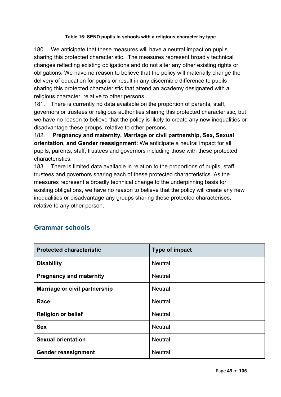### **Table 16: SEND pupils in schools with a religious character by type**

180. We anticipate that these measures will have a neutral impact on pupils sharing this protected characteristic. The measures represent broadly technical changes reflecting existing obligations and do not alter any other existing rights or obligations. We have no reason to believe that the policy will materially change the delivery of education for pupils or result in any discernible difference to pupils sharing this protected characteristic that attend an academy designated with a religious character, relative to other persons.

181. There is currently no data available on the proportion of parents, staff, governors or trustees or religious authorities sharing this protected characteristic, but we have no reason to believe that the policy is likely to create any new inequalities or disadvantage these groups, relative to other persons.

182. **Pregnancy and maternity, Marriage or civil partnership, Sex, Sexual orientation, and Gender reassignment:** We anticipate a neutral impact for all pupils, parents, staff, trustees and governors including those with these protected characteristics.

183. There is limited data available in relation to the proportions of pupils, staff, trustees and governors sharing each of these protected characteristics. As the measures represent a broadly technical change to the underpinning basis for existing obligations, we have no reason to believe that the policy will create any new inequalities or disadvantage any groups sharing these protected characterises, relative to any other person.

## **Grammar schools**

| <b>Protected characteristic</b> | Type of impact |
|---------------------------------|----------------|
| <b>Disability</b>               | <b>Neutral</b> |
| <b>Pregnancy and maternity</b>  | <b>Neutral</b> |
| Marriage or civil partnership   | <b>Neutral</b> |
| Race                            | <b>Neutral</b> |
| <b>Religion or belief</b>       | <b>Neutral</b> |
| <b>Sex</b>                      | <b>Neutral</b> |
| <b>Sexual orientation</b>       | <b>Neutral</b> |
| <b>Gender reassignment</b>      | <b>Neutral</b> |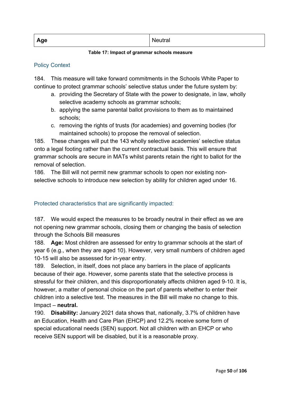| Age | ונו<br>uuai |
|-----|-------------|
|     |             |

### **Table 17: Impact of grammar schools measure**

### Policy Context

184. This measure will take forward commitments in the Schools White Paper to continue to protect grammar schools' selective status under the future system by:

- a. providing the Secretary of State with the power to designate, in law, wholly selective academy schools as grammar schools;
- b. applying the same parental ballot provisions to them as to maintained schools;
- c. removing the rights of trusts (for academies) and governing bodies (for maintained schools) to propose the removal of selection.

185. These changes will put the 143 wholly selective academies' selective status onto a legal footing rather than the current contractual basis. This will ensure that grammar schools are secure in MATs whilst parents retain the right to ballot for the removal of selection.

186. The Bill will not permit new grammar schools to open nor existing nonselective schools to introduce new selection by ability for children aged under 16.

## Protected characteristics that are significantly impacted:

187. We would expect the measures to be broadly neutral in their effect as we are not opening new grammar schools, closing them or changing the basis of selection through the Schools Bill measures

188. **Age:** Most children are assessed for entry to grammar schools at the start of year 6 (e.g., when they are aged 10). However, very small numbers of children aged 10-15 will also be assessed for in-year entry.

189. Selection, in itself, does not place any barriers in the place of applicants because of their age. However, some parents state that the selective process is stressful for their children, and this disproportionately affects children aged 9-10. It is, however, a matter of personal choice on the part of parents whether to enter their children into a selective test. The measures in the Bill will make no change to this. Impact – **neutral.**

190. **Disability:** January 2021 data shows that, nationally, 3.7% of children have an Education, Health and Care Plan (EHCP) and 12.2% receive some form of special educational needs (SEN) support. Not all children with an EHCP or who receive SEN support will be disabled, but it is a reasonable proxy.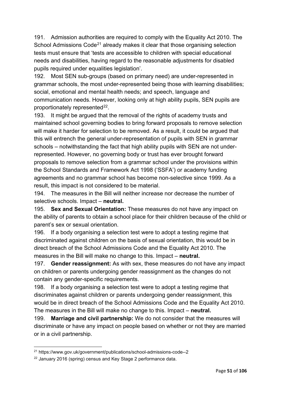191. Admission authorities are required to comply with the Equality Act 2010. The School Admissions Code<sup>[21](#page-50-0)</sup> already makes it clear that those organising selection tests must ensure that 'tests are accessible to children with special educational needs and disabilities, having regard to the reasonable adjustments for disabled pupils required under equalities legislation'.

192. Most SEN sub-groups (based on primary need) are under-represented in grammar schools, the most under-represented being those with learning disabilities; social, emotional and mental health needs; and speech, language and communication needs. However, looking only at high ability pupils, SEN pupils are proportionately represented<sup>[22](#page-50-1)</sup>.

193. It might be argued that the removal of the rights of academy trusts and maintained school governing bodies to bring forward proposals to remove selection will make it harder for selection to be removed. As a result, it could be argued that this will entrench the general under-representation of pupils with SEN in grammar schools – notwithstanding the fact that high ability pupils with SEN are not underrepresented. However, no governing body or trust has ever brought forward proposals to remove selection from a grammar school under the provisions within the School Standards and Framework Act 1998 ('SSFA') or academy funding agreements and no grammar school has become non-selective since 1999. As a result, this impact is not considered to be material.

194. The measures in the Bill will neither increase nor decrease the number of selective schools. Impact – **neutral.**

195. **Sex and Sexual Orientation:** These measures do not have any impact on the ability of parents to obtain a school place for their children because of the child or parent's sex or sexual orientation.

196. If a body organising a selection test were to adopt a testing regime that discriminated against children on the basis of sexual orientation, this would be in direct breach of the School Admissions Code and the Equality Act 2010. The measures in the Bill will make no change to this. Impact – **neutral.**

197. **Gender reassignment:** As with sex, these measures do not have any impact on children or parents undergoing gender reassignment as the changes do not contain any gender-specific requirements.

198. If a body organising a selection test were to adopt a testing regime that discriminates against children or parents undergoing gender reassignment, this would be in direct breach of the School Admissions Code and the Equality Act 2010. The measures in the Bill will make no change to this. Impact – **neutral.**

199. **Marriage and civil partnership:** We do not consider that the measures will discriminate or have any impact on people based on whether or not they are married or in a civil partnership.

<span id="page-50-0"></span><sup>21</sup> https://www.gov.uk/government/publications/school-admissions-code--2

<span id="page-50-1"></span><sup>&</sup>lt;sup>22</sup> January 2016 (spring) census and Key Stage 2 performance data.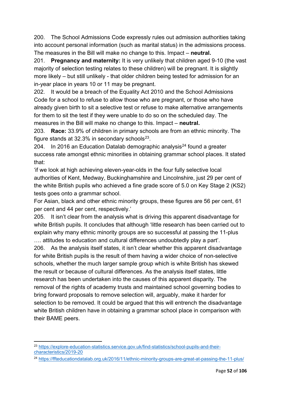200. The School Admissions Code expressly rules out admission authorities taking into account personal information (such as marital status) in the admissions process. The measures in the Bill will make no change to this. Impact – **neutral.**

201. **Pregnancy and maternity:** It is very unlikely that children aged 9-10 (the vast majority of selection testing relates to these children) will be pregnant. It is slightly more likely – but still unlikely - that older children being tested for admission for an in-year place in years 10 or 11 may be pregnant.

202. It would be a breach of the Equality Act 2010 and the School Admissions Code for a school to refuse to allow those who are pregnant, or those who have already given birth to sit a selective test or refuse to make alternative arrangements for them to sit the test if they were unable to do so on the scheduled day. The measures in the Bill will make no change to this. Impact – **neutral.**

203. **Race:** 33.9% of children in primary schools are from an ethnic minority. The figure stands at  $32.3\%$  in secondary schools<sup>[23](#page-51-0)</sup>.

204. In 2016 an Education Datalab demographic analysis<sup>[24](#page-51-1)</sup> found a greater success rate amongst ethnic minorities in obtaining grammar school places. It stated that:

'if we look at high achieving eleven-year-olds in the four fully selective local authorities of Kent, Medway, Buckinghamshire and Lincolnshire, just 29 per cent of the white British pupils who achieved a fine grade score of 5.0 on Key Stage 2 (KS2) tests goes onto a grammar school.

For Asian, black and other ethnic minority groups, these figures are 56 per cent, 61 per cent and 44 per cent, respectively.'

205. It isn't clear from the analysis what is driving this apparent disadvantage for white British pupils. It concludes that although 'little research has been carried out to explain why many ethnic minority groups are so successful at passing the 11-plus …. attitudes to education and cultural differences undoubtedly play a part'.

206. As the analysis itself states, it isn't clear whether this apparent disadvantage for white British pupils is the result of them having a wider choice of non-selective schools, whether the much larger sample group which is white British has skewed the result or because of cultural differences. As the analysis itself states, little research has been undertaken into the causes of this apparent disparity. The removal of the rights of academy trusts and maintained school governing bodies to bring forward proposals to remove selection will, arguably, make it harder for selection to be removed. It could be argued that this will entrench the disadvantage white British children have in obtaining a grammar school place in comparison with their BAME peers.

<span id="page-51-0"></span><sup>23</sup> [https://explore-education-statistics.service.gov.uk/find-statistics/school-pupils-and-their](https://explore-education-statistics.service.gov.uk/find-statistics/school-pupils-and-their-characteristics/2019-20)[characteristics/2019-20](https://explore-education-statistics.service.gov.uk/find-statistics/school-pupils-and-their-characteristics/2019-20) 

<span id="page-51-1"></span><sup>24</sup> <https://ffteducationdatalab.org.uk/2016/11/ethnic-minority-groups-are-great-at-passing-the-11-plus/>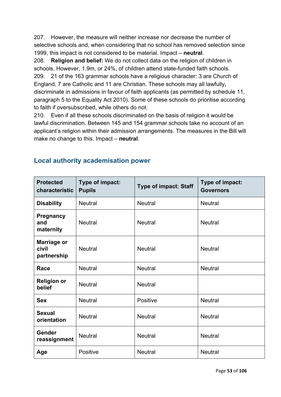207. However, the measure will neither increase nor decrease the number of selective schools and, when considering that no school has removed selection since 1999, this impact is not considered to be material. Impact – **neutral**.

208. **Religion and belief:** We do not collect data on the religion of children in schools. However, 1.9m, or 24%, of children attend state-funded faith schools. 209. 21 of the 163 grammar schools have a religious character: 3 are Church of England, 7 are Catholic and 11 are Christian. These schools may all lawfully, discriminate in admissions in favour of faith applicants (as permitted by schedule 11, paragraph 5 to the Equality Act 2010). Some of these schools do prioritise according to faith if oversubscribed, while others do not.

210. Even if all these schools discriminated on the basis of religion it would be lawful discrimination. Between 145 and 154 grammar schools take no account of an applicant's religion within their admission arrangements. The measures in the Bill will make no change to this. Impact – **neutral**.

| <b>Protected</b><br>characteristic  | Type of impact:<br><b>Pupils</b> | <b>Type of impact: Staff</b> | Type of impact:<br><b>Governors</b> |
|-------------------------------------|----------------------------------|------------------------------|-------------------------------------|
| <b>Disability</b>                   | <b>Neutral</b>                   | <b>Neutral</b>               | <b>Neutral</b>                      |
| Pregnancy<br>and<br>maternity       | <b>Neutral</b>                   | <b>Neutral</b>               | <b>Neutral</b>                      |
| Marriage or<br>civil<br>partnership | <b>Neutral</b>                   | <b>Neutral</b>               | <b>Neutral</b>                      |
| Race                                | <b>Neutral</b>                   | <b>Neutral</b>               | <b>Neutral</b>                      |
| <b>Religion or</b><br>belief        | <b>Neutral</b>                   | <b>Neutral</b>               |                                     |
| <b>Sex</b>                          | <b>Neutral</b>                   | Positive                     | <b>Neutral</b>                      |
| <b>Sexual</b><br>orientation        | <b>Neutral</b>                   | <b>Neutral</b>               | <b>Neutral</b>                      |
| Gender<br>reassignment              | <b>Neutral</b>                   | <b>Neutral</b>               | <b>Neutral</b>                      |
| Age                                 | Positive                         | <b>Neutral</b>               | <b>Neutral</b>                      |

## **Local authority academisation power**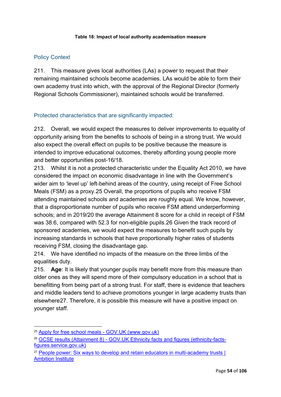#### **Table 18: Impact of local authority academisation measure**

## Policy Context

211. This measure gives local authorities (LAs) a power to request that their remaining maintained schools become academies. LAs would be able to form their own academy trust into which, with the approval of the Regional Director (formerly Regional Schools Commissioner), maintained schools would be transferred.

## Protected characteristics that are significantly impacted:

212. Overall, we would expect the measures to deliver improvements to equality of opportunity arising from the benefits to schools of being in a strong trust. We would also expect the overall effect on pupils to be positive because the measure is intended to improve educational outcomes, thereby affording young people more and better opportunities post-16/18.

213. Whilst it is not a protected characteristic under the Equality Act 2010, we have considered the impact on economic disadvantage in line with the Government's wider aim to 'level up' left-behind areas of the country, using receipt of Free School Meals (FSM) as a proxy.[25](#page-53-0) Overall, the proportions of pupils who receive FSM attending maintained schools and academies are roughly equal. We know, however, that a disproportionate number of pupils who receive FSM attend underperforming schools; and in 2019/20 the average Attainment 8 score for a child in receipt of FSM was 38.6, compared with 52.3 for non-eligible pupils.[26](#page-53-1) Given the track record of sponsored academies, we would expect the measures to benefit such pupils by increasing standards in schools that have proportionally higher rates of students receiving FSM, closing the disadvantage gap.

214. We have identified no impacts of the measure on the three limbs of the equalities duty.

215. **Age**: It is likely that younger pupils may benefit more from this measure than older ones as they will spend more of their compulsory education in a school that is benefitting from being part of a strong trust. For staff, there is evidence that teachers and middle leaders tend to achieve promotions younger in large academy trusts than elsewhere[27.](#page-53-2) Therefore, it is possible this measure will have a positive impact on younger staff.

<span id="page-53-0"></span><sup>25</sup> [Apply for free school meals - GOV.UK](https://www.gov.uk/apply-free-school-meals) (www.gov.uk)

<span id="page-53-1"></span><sup>26</sup> [GCSE results \(Attainment 8\) - GOV.UK Ethnicity facts and figures \(ethnicity-facts](https://www.ethnicity-facts-figures.service.gov.uk/education-skills-and-training/11-to-16-years-old/gcse-results-attainment-8-for-children-aged-14-to-16-key-stage-4/latest#by-ethnicity-and-eligibility-for-free-school-meals)[figures.service.gov.uk\)](https://www.ethnicity-facts-figures.service.gov.uk/education-skills-and-training/11-to-16-years-old/gcse-results-attainment-8-for-children-aged-14-to-16-key-stage-4/latest#by-ethnicity-and-eligibility-for-free-school-meals)

<span id="page-53-2"></span><sup>&</sup>lt;sup>27</sup> People power: Six ways to develop and retain educators in multi-academy trusts | [Ambition Institute](https://www.ambition.org.uk/research-and-insight/people-power/)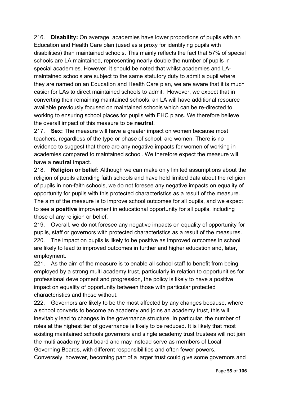216. **Disability:** On average, academies have lower proportions of pupils with an Education and Health Care plan (used as a proxy for identifying pupils with disabilities) than maintained schools. This mainly reflects the fact that 57% of special schools are LA maintained, representing nearly double the number of pupils in special academies. However, it should be noted that whilst academies and LAmaintained schools are subject to the same statutory duty to admit a pupil where they are named on an Education and Health Care plan, we are aware that it is much easier for LAs to direct maintained schools to admit. However, we expect that in converting their remaining maintained schools, an LA will have additional resource available previously focused on maintained schools which can be re-directed to working to ensuring school places for pupils with EHC plans. We therefore believe the overall impact of this measure to be **neutral**.

217. **Sex:** The measure will have a greater impact on women because most teachers, regardless of the type or phase of school, are women. There is no evidence to suggest that there are any negative impacts for women of working in academies compared to maintained school. We therefore expect the measure will have a **neutral** impact.

218. **Religion or belief:** Although we can make only limited assumptions about the religion of pupils attending faith schools and have hold limited data about the religion of pupils in non-faith schools, we do not foresee any negative impacts on equality of opportunity for pupils with this protected characteristics as a result of the measure. The aim of the measure is to improve school outcomes for all pupils, and we expect to see a **positive** improvement in educational opportunity for all pupils, including those of any religion or belief.

219. Overall, we do not foresee any negative impacts on equality of opportunity for pupils, staff or governors with protected characteristics as a result of the measures. 220. The impact on pupils is likely to be positive as improved outcomes in school are likely to lead to improved outcomes in further and higher education and, later, employment.

221. As the aim of the measure is to enable all school staff to benefit from being employed by a strong multi academy trust, particularly in relation to opportunities for professional development and progression, the policy is likely to have a positive impact on equality of opportunity between those with particular protected characteristics and those without.

222. Governors are likely to be the most affected by any changes because, where a school converts to become an academy and joins an academy trust, this will inevitably lead to changes in the governance structure. In particular, the number of roles at the highest tier of governance is likely to be reduced. It is likely that most existing maintained schools governors and single academy trust trustees will not join the multi academy trust board and may instead serve as members of Local Governing Boards, with different responsibilities and often fewer powers. Conversely, however, becoming part of a larger trust could give some governors and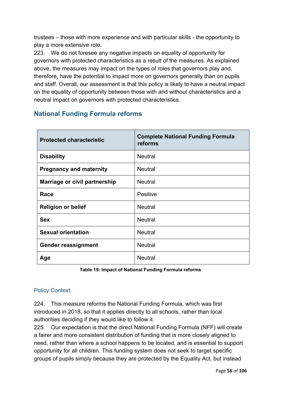trustees – those with more experience and with particular skills - the opportunity to play a more extensive role.

223. We do not foresee any negative impacts on equality of opportunity for governors with protected characteristics as a result of the measures. As explained above, the measures may impact on the types of roles that governors play and, therefore, have the potential to impact more on governors generally than on pupils and staff. Overall, our assessment is that this policy is likely to have a neutral impact on the equality of opportunity between those with and without characteristics and a neutral impact on governors with protected characteristics.

# **National Funding Formula reforms**

| <b>Protected characteristic</b> | <b>Complete National Funding Formula</b><br>reforms |
|---------------------------------|-----------------------------------------------------|
| <b>Disability</b>               | <b>Neutral</b>                                      |
| <b>Pregnancy and maternity</b>  | <b>Neutral</b>                                      |
| Marriage or civil partnership   | <b>Neutral</b>                                      |
| Race                            | <b>Positive</b>                                     |
| <b>Religion or belief</b>       | <b>Neutral</b>                                      |
| <b>Sex</b>                      | <b>Neutral</b>                                      |
| <b>Sexual orientation</b>       | <b>Neutral</b>                                      |
| <b>Gender reassignment</b>      | <b>Neutral</b>                                      |
| Age                             | <b>Neutral</b>                                      |

**Table 19: Impact of National Funding Formula reforms**

## Policy Context

224. This measure reforms the National Funding Formula, which was first introduced in 2018, so that it applies directly to all schools, rather than local authorities deciding if they would like to follow it.

225. Our expectation is that the direct National Funding Formula (NFF) will create a fairer and more consistent distribution of funding that is more closely aligned to need, rather than where a school happens to be located, and is essential to support opportunity for all children. This funding system does not seek to target specific groups of pupils simply because they are protected by the Equality Act, but instead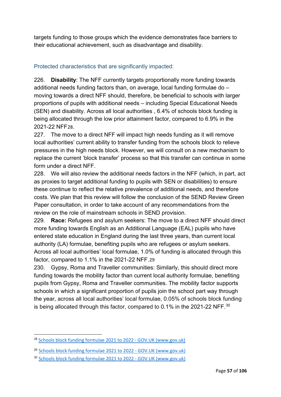targets funding to those groups which the evidence demonstrates face barriers to their educational achievement, such as disadvantage and disability.

## Protected characteristics that are significantly impacted:

226. **Disability**: The NFF currently targets proportionally more funding towards additional needs funding factors than, on average, local funding formulae do – moving towards a direct NFF should, therefore, be beneficial to schools with larger proportions of pupils with additional needs – including Special Educational Needs (SEN) and disability. Across all local authorities , 6.4% of schools block funding is being allocated through the low prior attainment factor, compared to 6.9% in the 2021-22 NFF[28](#page-56-0).

227. The move to a direct NFF will impact high needs funding as it will remove local authorities' current ability to transfer funding from the schools block to relieve pressures in the high needs block. However, we will consult on a new mechanism to replace the current 'block transfer' process so that this transfer can continue in some form under a direct NFF.

228. We will also review the additional needs factors in the NFF (which, in part, act as proxies to target additional funding to pupils with SEN or disabilities) to ensure these continue to reflect the relative prevalence of additional needs, and therefore costs. We plan that this review will follow the conclusion of the SEND Review Green Paper consultation, in order to take account of any recommendations from the review on the role of mainstream schools in SEND provision.

229. **Race:** Refugees and asylum seekers: The move to a direct NFF should direct more funding towards English as an Additional Language (EAL) pupils who have entered state education in England during the last three years, than current local authority (LA) formulae, benefiting pupils who are refugees or asylum seekers. Across all local authorities' local formulae, 1.0% of funding is allocated through this factor, compared to 1.1% in the 2021-22 NFF.[29](#page-56-1)

230. Gypsy, Roma and Traveller communities: Similarly, this should direct more funding towards the mobility factor than current local authority formulae, benefiting pupils from Gypsy, Roma and Traveller communities. The mobility factor supports schools in which a significant proportion of pupils join the school part way through the year, across all local authorities' local formulae, 0.05% of schools block funding is being allocated through this factor, compared to 0.1% in the 2021-22 NFF. $^{\rm 30}$  $^{\rm 30}$  $^{\rm 30}$ 

<span id="page-56-0"></span><sup>&</sup>lt;sup>28</sup> [Schools block funding formulae 2021 to 2022 - GOV.UK \(www.gov.uk\)](https://www.gov.uk/government/publications/schools-block-funding-formulae-2021-to-2022/schools-block-funding-formulae-2021-to-2022)

<span id="page-56-1"></span><sup>29</sup> [Schools block funding formulae 2021 to 2022 - GOV.UK \(www.gov.uk\)](https://www.gov.uk/government/publications/schools-block-funding-formulae-2021-to-2022/schools-block-funding-formulae-2021-to-2022)

<span id="page-56-2"></span><sup>30</sup> [Schools block funding formulae 2021 to 2022 - GOV.UK \(www.gov.uk\)](https://www.gov.uk/government/publications/schools-block-funding-formulae-2021-to-2022/schools-block-funding-formulae-2021-to-2022)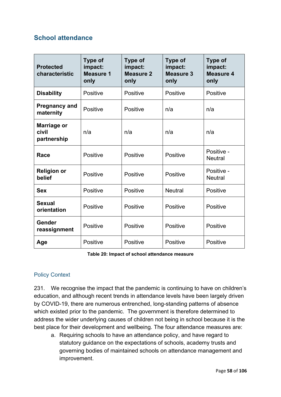## **School attendance**

| <b>Protected</b><br>characteristic  | <b>Type of</b><br>impact:<br><b>Measure 1</b><br>only | <b>Type of</b><br>impact:<br><b>Measure 2</b><br>only | <b>Type of</b><br>impact:<br><b>Measure 3</b><br>only | <b>Type of</b><br>impact:<br><b>Measure 4</b><br>only |
|-------------------------------------|-------------------------------------------------------|-------------------------------------------------------|-------------------------------------------------------|-------------------------------------------------------|
| <b>Disability</b>                   | Positive                                              | Positive                                              | Positive                                              | <b>Positive</b>                                       |
| <b>Pregnancy and</b><br>maternity   | Positive                                              | Positive                                              | n/a                                                   | n/a                                                   |
| Marriage or<br>civil<br>partnership | n/a                                                   | n/a                                                   | n/a                                                   | n/a                                                   |
| Race                                | Positive                                              | Positive                                              | Positive                                              | Positive -<br><b>Neutral</b>                          |
| <b>Religion or</b><br>belief        | Positive                                              | Positive                                              | Positive                                              | Positive -<br><b>Neutral</b>                          |
| <b>Sex</b>                          | Positive                                              | Positive                                              | <b>Neutral</b>                                        | Positive                                              |
| <b>Sexual</b><br>orientation        | Positive                                              | Positive                                              | Positive                                              | Positive                                              |
| Gender<br>reassignment              | Positive                                              | Positive                                              | Positive                                              | Positive                                              |
| Age                                 | Positive                                              | <b>Positive</b>                                       | Positive                                              | Positive                                              |

**Table 20: Impact of school attendance measure**

## Policy Context

231. We recognise the impact that the pandemic is continuing to have on children's education, and although recent trends in attendance levels have been largely driven by COVID-19, there are numerous entrenched, long-standing patterns of absence which existed prior to the pandemic. The government is therefore determined to address the wider underlying causes of children not being in school because it is the best place for their development and wellbeing. The four attendance measures are:

a. Requiring schools to have an attendance policy, and have regard to statutory guidance on the expectations of schools, academy trusts and governing bodies of maintained schools on attendance management and improvement.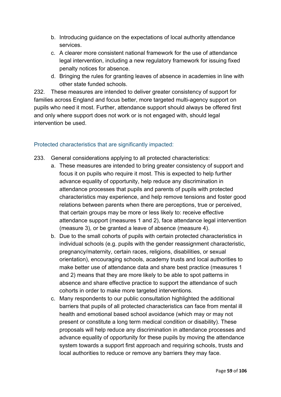- b. Introducing guidance on the expectations of local authority attendance services.
- c. A clearer more consistent national framework for the use of attendance legal intervention, including a new regulatory framework for issuing fixed penalty notices for absence.
- d. Bringing the rules for granting leaves of absence in academies in line with other state funded schools.

232. These measures are intended to deliver greater consistency of support for families across England and focus better, more targeted multi-agency support on pupils who need it most. Further, attendance support should always be offered first and only where support does not work or is not engaged with, should legal intervention be used.

## Protected characteristics that are significantly impacted:

- 233. General considerations applying to all protected characteristics:
	- a. These measures are intended to bring greater consistency of support and focus it on pupils who require it most. This is expected to help further advance equality of opportunity, help reduce any discrimination in attendance processes that pupils and parents of pupils with protected characteristics may experience, and help remove tensions and foster good relations between parents when there are perceptions, true or perceived, that certain groups may be more or less likely to: receive effective attendance support (measures 1 and 2), face attendance legal intervention (measure 3), or be granted a leave of absence (measure 4).
	- b. Due to the small cohorts of pupils with certain protected characteristics in individual schools (e.g. pupils with the gender reassignment characteristic, pregnancy/maternity, certain races, religions, disabilities, or sexual orientation), encouraging schools, academy trusts and local authorities to make better use of attendance data and share best practice (measures 1 and 2) means that they are more likely to be able to spot patterns in absence and share effective practice to support the attendance of such cohorts in order to make more targeted interventions.
	- c. Many respondents to our public consultation highlighted the additional barriers that pupils of all protected characteristics can face from mental ill health and emotional based school avoidance (which may or may not present or constitute a long term medical condition or disability). These proposals will help reduce any discrimination in attendance processes and advance equality of opportunity for these pupils by moving the attendance system towards a support first approach and requiring schools, trusts and local authorities to reduce or remove any barriers they may face.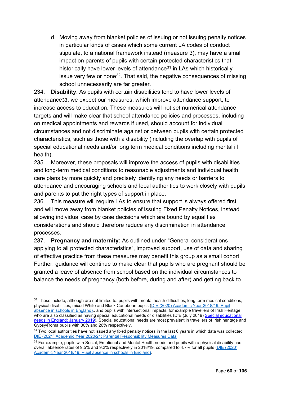d. Moving away from blanket policies of issuing or not issuing penalty notices in particular kinds of cases which some current LA codes of conduct stipulate, to a national framework instead (measure 3), may have a small impact on parents of pupils with certain protected characteristics that historically have lower levels of attendance $31$  in LAs which historically issue very few or none $32$ . That said, the negative consequences of missing school unnecessarily are far greater.

234. **Disability**: As pupils with certain disabilities tend to have lower levels of attendance[33](#page-59-2), we expect our measures, which improve attendance support, to increase access to education. These measures will not set numerical attendance targets and will make clear that school attendance policies and processes, including on medical appointments and rewards if used, should account for individual circumstances and not discriminate against or between pupils with certain protected characteristics, such as those with a disability (including the overlap with pupils of special educational needs and/or long term medical conditions including mental ill health).

235. Moreover, these proposals will improve the access of pupils with disabilities and long-term medical conditions to reasonable adjustments and individual health care plans by more quickly and precisely identifying any needs or barriers to attendance and encouraging schools and local authorities to work closely with pupils and parents to put the right types of support in place.

236. This measure will require LAs to ensure that support is always offered first and will move away from blanket policies of issuing Fixed Penalty Notices, instead allowing individual case by case decisions which are bound by equalities considerations and should therefore reduce any discrimination in attendance processes.

237. **Pregnancy and maternity:** As outlined under "General considerations applying to all protected characteristics", improved support, use of data and sharing of effective practice from these measures may benefit this group as a small cohort. Further, guidance will continue to make clear that pupils who are pregnant should be granted a leave of absence from school based on the individual circumstances to balance the needs of pregnancy (both before, during and after) and getting back to

<span id="page-59-0"></span> $31$  These include, although are not limited to: pupils with mental health difficulties, long term medical conditions, physical disabilities, mixed White and Black Caribbean pupils [\(DfE \(2020\) Academic Year 2018/19: Pupil](https://www.gov.uk/government/statistics/pupil-absence-in-schools-in-england-2018-to-2019)  [absence in schools in England\)](https://www.gov.uk/government/statistics/pupil-absence-in-schools-in-england-2018-to-2019)., and pupils with intersectional impacts, for example travellers of Irish Heritage who are also classified as having special educational needs or disabilities (DfE (July 2019) [Special educational](https://www.gov.uk/government/statistics/special-educational-needs-in-england-january-2019)  [needs in England: January 2019\)](https://www.gov.uk/government/statistics/special-educational-needs-in-england-january-2019). Special educational needs are most prevalent in travellers of Irish heritage and Gypsy/Roma pupils with 30% and 26% respectively.

<span id="page-59-1"></span><sup>&</sup>lt;sup>32</sup> Two local authorities have not issued any fixed penalty notices in the last 6 years in which data was collected [DfE \(2021\) Academic Year 2020/21: Parental Responsibility Measures Data](https://explore-education-statistics.service.gov.uk/find-statistics/parental-responsibility-measures/2020-21)

<span id="page-59-2"></span><sup>&</sup>lt;sup>33</sup> For example, pupils with Social, Emotional and Mental Health needs and pupils with a physical disability had overall absence rates of 9.5% and 9.2% respectively in 2018/19, compared to 4.7% for all pupils [\(DfE \(2020\)](https://www.gov.uk/government/statistics/pupil-absence-in-schools-in-england-2018-to-2019)  [Academic Year 2018/19: Pupil absence in schools in England\)](https://www.gov.uk/government/statistics/pupil-absence-in-schools-in-england-2018-to-2019).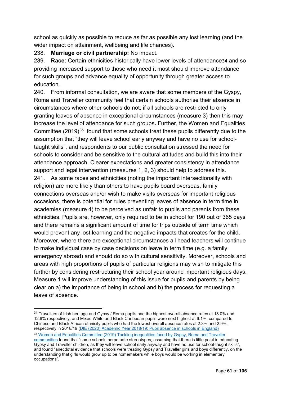school as quickly as possible to reduce as far as possible any lost learning (and the wider impact on attainment, wellbeing and life chances).

238. **Marriage or civil partnership:** No impact.

239. **Race:** Certain ethnicities historically have lower levels of attendance[34](#page-60-0) and so providing increased support to those who need it most should improve attendance for such groups and advance equality of opportunity through greater access to education.

240. From informal consultation, we are aware that some members of the Gyspy, Roma and Traveller community feel that certain schools authorise their absence in circumstances where other schools do not; if all schools are restricted to only granting leaves of absence in exceptional circumstances (measure 3) then this may increase the level of attendance for such groups**.** Further, the Women and Equalities Committee (2019)<sup>[35](#page-60-1)</sup> found that some schools treat these pupils differently due to the assumption that "they will leave school early anyway and have no use for schooltaught skills", and respondents to our public consultation stressed the need for schools to consider and be sensitive to the cultural attitudes and build this into their attendance approach. Clearer expectations and greater consistency in attendance support and legal intervention (measures 1, 2, 3) should help to address this. 241. As some races and ethnicities (noting the important intersectionality with religion) are more likely than others to have pupils board overseas, family connections overseas and/or wish to make visits overseas for important religious occasions, there is potential for rules preventing leaves of absence in term time in academies (measure 4) to be perceived as unfair to pupils and parents from these ethnicities. Pupils are, however, only required to be in school for 190 out of 365 days and there remains a significant amount of time for trips outside of term time which would prevent any lost learning and the negative impacts that creates for the child. Moreover, where there are exceptional circumstances all head teachers will continue to make individual case by case decisions on leave in term time (e.g. a family emergency abroad) and should do so with cultural sensitivity. Moreover, schools and areas with high proportions of pupils of particular religions may wish to mitigate this further by considering restructuring their school year around important religious days. Measure 1 will improve understanding of this issue for pupils and parents by being clear on a) the importance of being in school and b) the process for requesting a leave of absence.

<span id="page-60-0"></span><sup>&</sup>lt;sup>34</sup> Travellers of Irish heritage and Gypsy / Roma pupils had the highest overall absence rates at 18.0% and 12.6% respectively, and Mixed White and Black Caribbean pupils were next highest at 6.1%, compared to Chinese and Black African ethnicity pupils who had the lowest overall absence rates at 2.3% and 2.9%, respectively in 2018/19 [\(DfE \(2020\) Academic Year 2018/19: Pupil absence in schools in England\)](https://www.gov.uk/government/statistics/pupil-absence-in-schools-in-england-2018-to-2019) <sup>35</sup> [Women and Equalities Committee \(2019\) Tackling inequalities faced by Gypsy, Roma and Traveller](https://publications.parliament.uk/pa/cm201719/cmselect/cmwomeq/360/full-report.html#heading-9) 

<span id="page-60-1"></span>[communities](https://publications.parliament.uk/pa/cm201719/cmselect/cmwomeq/360/full-report.html#heading-9) found that "some schools perpetuate stereotypes, assuming that there is little point in educating Gypsy and Traveller children, as they will leave school early anyway and have no use for school-taught skills", and found "anecdotal evidence that schools were treating Gypsy and Traveller girls and boys differently, on the understanding that girls would grow up to be homemakers while boys would be working in elementary occupations".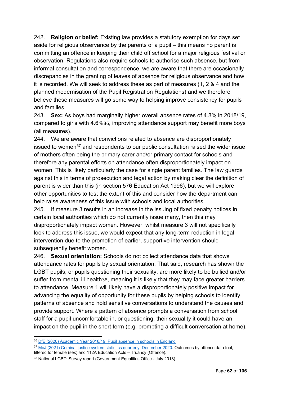242. **Religion or belief:** Existing law provides a statutory exemption for days set aside for religious observance by the parents of a pupil – this means no parent is committing an offence in keeping their child off school for a major religious festival or observation. Regulations also require schools to authorise such absence, but from informal consultation and correspondence, we are aware that there are occasionally discrepancies in the granting of leaves of absence for religious observance and how it is recorded. We will seek to address these as part of measures (1, 2 & 4 and the planned modernisation of the Pupil Registration Regulations) and we therefore believe these measures will go some way to helping improve consistency for pupils and families.

243. **Sex:** As boys had marginally higher overall absence rates of 4.8% in 2018/19, compared to girls with 4.6%[36](#page-61-0), improving attendance support may benefit more boys (all measures).

244. We are aware that convictions related to absence are disproportionately issued to women<sup>[37](#page-61-1)</sup> and respondents to our public consultation raised the wider issue of mothers often being the primary carer and/or primary contact for schools and therefore any parental efforts on attendance often disproportionately impact on women. This is likely particularly the case for single parent families. The law guards against this in terms of prosecution and legal action by making clear the definition of parent is wider than this (in section 576 Education Act 1996), but we will explore other opportunities to test the extent of this and consider how the department can help raise awareness of this issue with schools and local authorities.

245. If measure 3 results in an increase in the issuing of fixed penalty notices in certain local authorities which do not currently issue many, then this may disproportionately impact women. However, whilst measure 3 will not specifically look to address this issue, we would expect that any long-term reduction in legal intervention due to the promotion of earlier, supportive intervention should subsequently benefit women.

246. **Sexual orientation:** Schools do not collect attendance data that shows attendance rates for pupils by sexual orientation. That said, research has shown the LGBT pupils, or pupils questioning their sexuality, are more likely to be bullied and/or suffer from mental ill health[38](#page-61-2), meaning it is likely that they may face greater barriers to attendance. Measure 1 will likely have a disproportionately positive impact for advancing the equality of opportunity for these pupils by helping schools to identify patterns of absence and hold sensitive conversations to understand the causes and provide support. Where a pattern of absence prompts a conversation from school staff for a pupil uncomfortable in, or questioning, their sexuality it could have an impact on the pupil in the short term (e.g. prompting a difficult conversation at home).

<span id="page-61-0"></span><sup>36</sup> DfE [\(2020\) Academic Year 2018/19: Pupil absence in schools in England](https://www.gov.uk/government/statistics/pupil-absence-in-schools-in-england-2018-to-2019)

<span id="page-61-1"></span><sup>37</sup> [MoJ \(2021\) Criminal justice system statistics quarterly: December 2020.](https://www.gov.uk/government/statistics/criminal-justice-system-statistics-quarterly-december-2020) Outcomes by offence data tool, filtered for female (sex) and 112A Education Acts – Truancy (Offence).

<span id="page-61-2"></span><sup>38</sup> National LGBT: Survey report (Government Equalities Office - July 2018)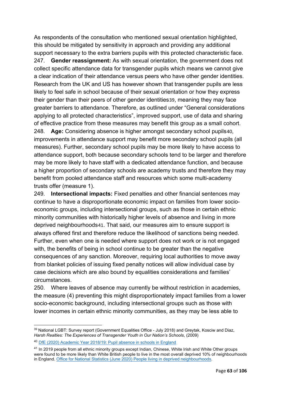As respondents of the consultation who mentioned sexual orientation highlighted, this should be mitigated by sensitivity in approach and providing any additional support necessary to the extra barriers pupils with this protected characteristic face. 247. **Gender reassignment:** As with sexual orientation, the government does not collect specific attendance data for transgender pupils which means we cannot give a clear indication of their attendance versus peers who have other gender identities. Research from the UK and US has however shown that transgender pupils are less likely to feel safe in school because of their sexual orientation or how they express their gender than their peers of other gender identities[39](#page-62-0), meaning they may face greater barriers to attendance. Therefore, as outlined under "General considerations applying to all protected characteristics", improved support, use of data and sharing of effective practice from these measures may benefit this group as a small cohort. 248. **Age:** Considering absence is higher amongst secondary school pupils[40](#page-62-1), improvements in attendance support may benefit more secondary school pupils (all measures). Further, secondary school pupils may be more likely to have access to attendance support, both because secondary schools tend to be larger and therefore may be more likely to have staff with a dedicated attendance function, and because a higher proportion of secondary schools are academy trusts and therefore they may benefit from pooled attendance staff and resources which some multi-academy trusts offer (measure 1).

249. **Intersectional impacts:** Fixed penalties and other financial sentences may continue to have a disproportionate economic impact on families from lower socioeconomic groups, including intersectional groups, such as those in certain ethnic minority communities with historically higher levels of absence and living in more deprived neighbourhoods[41](#page-62-2). That said, our measures aim to ensure support is always offered first and therefore reduce the likelihood of sanctions being needed. Further, even when one is needed where support does not work or is not engaged with, the benefits of being in school continue to be greater than the negative consequences of any sanction. Moreover, requiring local authorities to move away from blanket policies of issuing fixed penalty notices will allow individual case by case decisions which are also bound by equalities considerations and families' circumstances.

250. Where leaves of absence may currently be without restriction in academies, the measure (4) preventing this might disproportionately impact families from a lower socio-economic background, including intersectional groups such as those with lower incomes in certain ethnic minority communities, as they may be less able to

<span id="page-62-0"></span><sup>&</sup>lt;sup>39</sup> National LGBT: Survey report (Government Equalities Office - July 2018) and Greytak, Kosciw and Diaz, *Harsh Realties: The Experiences of Transgender Youth in Our Nation's Schools*, (2009)

<span id="page-62-1"></span><sup>40</sup> DfE (2020) Academic Year [2018/19: Pupil absence in schools in England](https://www.gov.uk/government/statistics/pupil-absence-in-schools-in-england-2018-to-2019)

<span id="page-62-2"></span><sup>&</sup>lt;sup>41</sup> In 2019 people from all ethnic minority groups except Indian, Chinese, White Irish and White Other groups were found to be more likely than White British people to live in the most overall deprived 10% of neighbourhoods in England. Office for National Statistics (June 2020) [People living in deprived neighbourhoods.](https://www.ethnicity-facts-figures.service.gov.uk/uk-population-by-ethnicity/demographics/people-living-in-deprived-neighbourhoods/latest)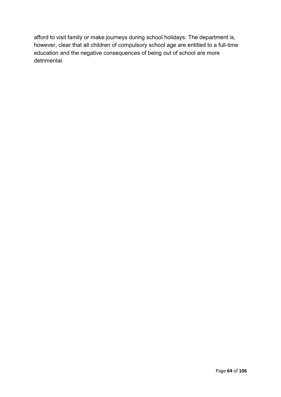afford to visit family or make journeys during school holidays. The department is, however, clear that all children of compulsory school age are entitled to a full-time education and the negative consequences of being out of school are more detrimental.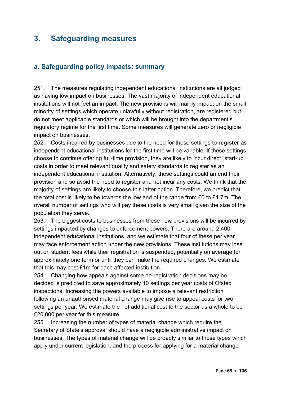# **3. Safeguarding measures**

## **a. Safeguarding policy impacts: summary**

251. The measures regulating independent educational institutions are all judged as having low impact on businesses. The vast majority of independent educational institutions will not feel an impact. The new provisions will mainly impact on the small minority of settings which operate unlawfully without registration, are registered but do not meet applicable standards or which will be brought into the department's regulatory regime for the first time. Some measures will generate zero or negligible impact on businesses.

252. Costs incurred by businesses due to the need for these settings to **register** as independent educational institutions for the first time will be variable. If these settings choose to continue offering full-time provision, they are likely to incur direct "start-up" costs in order to meet relevant quality and safety standards to register as an independent educational institution. Alternatively, these settings could amend their provision and so avoid the need to register and not incur any costs. We think that the majority of settings are likely to choose this latter option. Therefore, we predict that the total cost is likely to be towards the low end of the range from £0 to £1.7m. The overall number of settings who will pay these costs is very small given the size of the population they serve.

253. The biggest costs to businesses from these new provisions will be incurred by settings impacted by changes to enforcement powers. There are around 2,400 independent educational institutions, and we estimate that four of these per year may face enforcement action under the new provisions. These institutions may lose out on student fees while their registration is suspended, potentially on average for approximately one term or until they can make the required changes. We estimate that this may cost £1m for each affected institution.

254. Changing how appeals against some de-registration decisions may be decided is predicted to save approximately 10 settings per year costs of Ofsted inspections. Increasing the powers available to impose a relevant restriction following an unauthorised material change may give rise to appeal costs for two settings per year. We estimate the net additional cost to the sector as a whole to be £20,000 per year for this measure.

255. Increasing the number of types of material change which require the Secretary of State's approval should have a negligible administrative impact on businesses. The types of material change will be broadly similar to those types which apply under current legislation, and the process for applying for a material change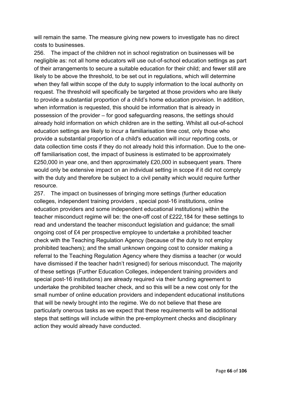will remain the same. The measure giving new powers to investigate has no direct costs to businesses.

256. The impact of the children not in school registration on businesses will be negligible as: not all home educators will use out-of-school education settings as part of their arrangements to secure a suitable education for their child; and fewer still are likely to be above the threshold, to be set out in regulations, which will determine when they fall within scope of the duty to supply information to the local authority on request. The threshold will specifically be targeted at those providers who are likely to provide a substantial proportion of a child's home education provision. In addition, when information is requested, this should be information that is already in possession of the provider – for good safeguarding reasons, the settings should already hold information on which children are in the setting. Whilst all out-of-school education settings are likely to incur a familiarisation time cost, only those who provide a substantial proportion of a child's education will incur reporting costs, or data collection time costs if they do not already hold this information. Due to the oneoff familiarisation cost, the impact of business is estimated to be approximately £250,000 in year one, and then approximately £20,000 in subsequent years. There would only be extensive impact on an individual setting in scope if it did not comply with the duty and therefore be subject to a civil penalty which would require further resource.

257. The impact on businesses of bringing more settings (further education colleges, independent training providers , special post-16 institutions, online education providers and some independent educational institutions) within the teacher misconduct regime will be: the one-off cost of £222,184 for these settings to read and understand the teacher misconduct legislation and guidance; the small ongoing cost of £4 per prospective employee to undertake a prohibited teacher check with the Teaching Regulation Agency (because of the duty to not employ prohibited teachers); and the small unknown ongoing cost to consider making a referral to the Teaching Regulation Agency where they dismiss a teacher (or would have dismissed if the teacher hadn't resigned) for serious misconduct. The majority of these settings (Further Education Colleges, independent training providers and special post-16 institutions) are already required via their funding agreement to undertake the prohibited teacher check, and so this will be a new cost only for the small number of online education providers and independent educational institutions that will be newly brought into the regime. We do not believe that these are particularly onerous tasks as we expect that these requirements will be additional steps that settings will include within the pre-employment checks and disciplinary action they would already have conducted.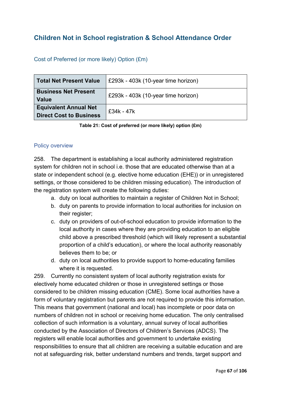# **Children Not in School registration & School Attendance Order**

## Cost of Preferred (or more likely) Option (£m)

| Total Net Present Value                                        | £293k - 403k (10-year time horizon) |
|----------------------------------------------------------------|-------------------------------------|
| <b>Business Net Present</b><br>Value                           | £293k - 403k (10-year time horizon) |
| <b>Equivalent Annual Net</b><br><b>Direct Cost to Business</b> | $£34k - 47k$                        |

**Table 21: Cost of preferred (or more likely) option (£m)**

### Policy overview

258. The department is establishing a local authority administered registration system for children not in school i.e. those that are educated otherwise than at a state or independent school (e.g. elective home education (EHE)) or in unregistered settings, or those considered to be children missing education). The introduction of the registration system will create the following duties:

- a. duty on local authorities to maintain a register of Children Not in School;
- b. duty on parents to provide information to local authorities for inclusion on their register;
- c. duty on providers of out-of-school education to provide information to the local authority in cases where they are providing education to an eligible child above a prescribed threshold (which will likely represent a substantial proportion of a child's education), or where the local authority reasonably believes them to be; or
- d. duty on local authorities to provide support to home-educating families where it is requested.

259. Currently no consistent system of local authority registration exists for electively home educated children or those in unregistered settings or those considered to be children missing education (CME). Some local authorities have a form of voluntary registration but parents are not required to provide this information. This means that government (national and local) has incomplete or poor data on numbers of children not in school or receiving home education. The only centralised collection of such information is a voluntary, annual survey of local authorities conducted by the Association of Directors of Children's Services (ADCS). The registers will enable local authorities and government to undertake existing responsibilities to ensure that all children are receiving a suitable education and are not at safeguarding risk, better understand numbers and trends, target support and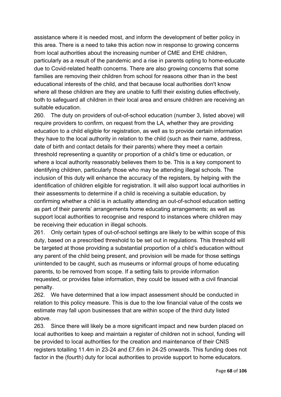assistance where it is needed most, and inform the development of better policy in this area. There is a need to take this action now in response to growing concerns from local authorities about the increasing number of CME and EHE children, particularly as a result of the pandemic and a rise in parents opting to home-educate due to Covid-related health concerns. There are also growing concerns that some families are removing their children from school for reasons other than in the best educational interests of the child, and that because local authorities don't know where all these children are they are unable to fulfil their existing duties effectively, both to safeguard all children in their local area and ensure children are receiving an suitable education.

260. The duty on providers of out-of-school education (number 3, listed above) will require providers to confirm, on request from the LA, whether they are providing education to a child eligible for registration, as well as to provide certain information they have to the local authority in relation to the child (such as their name, address, date of birth and contact details for their parents) where they meet a certain threshold representing a quantity or proportion of a child's time or education, or where a local authority reasonably believes them to be. This is a key component to identifying children, particularly those who may be attending illegal schools. The inclusion of this duty will enhance the accuracy of the registers, by helping with the identification of children eligible for registration. It will also support local authorities in their assessments to determine if a child is receiving a suitable education, by confirming whether a child is in actuality attending an out-of-school education setting as part of their parents' arrangements home educating arrangements; as well as support local authorities to recognise and respond to instances where children may be receiving their education in illegal schools.

261. Only certain types of out-of-school settings are likely to be within scope of this duty, based on a prescribed threshold to be set out in regulations. This threshold will be targeted at those providing a substantial proportion of a child's education without any parent of the child being present, and provision will be made for those settings unintended to be caught, such as museums or informal groups of home educating parents, to be removed from scope. If a setting fails to provide information requested, or provides false information, they could be issued with a civil financial penalty.

262. We have determined that a low impact assessment should be conducted in relation to this policy measure. This is due to the low financial value of the costs we estimate may fall upon businesses that are within scope of the third duty listed above.

263. Since there will likely be a more significant impact and new burden placed on local authorities to keep and maintain a register of children not in school, funding will be provided to local authorities for the creation and maintenance of their CNIS registers totalling 11.4m in 23-24 and £7.6m in 24-25 onwards. This funding does not factor in the (fourth) duty for local authorities to provide support to home educators.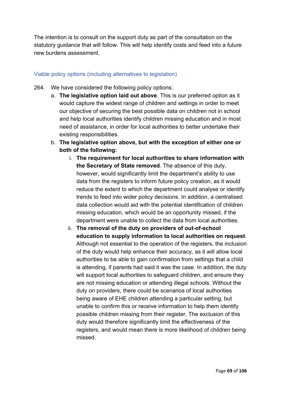The intention is to consult on the support duty as part of the consultation on the statutory guidance that will follow. This will help identify costs and feed into a future new burdens assessment.

### Viable policy options (including alternatives to legislation)

- 264. We have considered the following policy options:
	- a. **The legislative option laid out above**. This is our preferred option as it would capture the widest range of children and settings in order to meet our objective of securing the best possible data on children not in school and help local authorities identify children missing education and in most need of assistance, in order for local authorities to better undertake their existing responsibilities.
	- b. **The legislative option above, but with the exception of either one or both of the following:** 
		- i. **The requirement for local authorities to share information with the Secretary of State removed**. The absence of this duty, however, would significantly limit the department's ability to use data from the registers to inform future policy creation, as it would reduce the extent to which the department could analyse or identify trends to feed into wider policy decisions. In addition, a centralised data collection would aid with the potential identification of children missing education, which would be an opportunity missed, if the department were unable to collect the data from local authorities.
		- ii. **The removal of the duty on providers of out-of-school education to supply information to local authorities on request**. Although not essential to the operation of the registers, the inclusion of the duty would help enhance their accuracy, as it will allow local authorities to be able to gain confirmation from settings that a child is attending, if parents had said it was the case. In addition, the duty will support local authorities to safeguard children, and ensure they are not missing education or attending illegal schools. Without the duty on providers, there could be scenarios of local authorities being aware of EHE children attending a particular setting, but unable to confirm this or receive information to help them identify possible children missing from their register. The exclusion of this duty would therefore significantly limit the effectiveness of the registers, and would mean there is more likelihood of children being missed.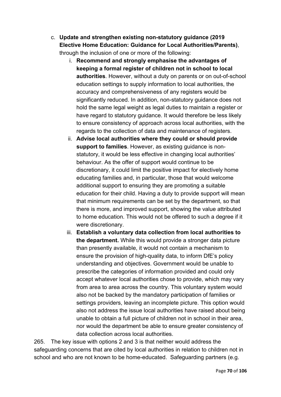- c. **Update and strengthen existing non-statutory guidance (2019 Elective Home Education: Guidance for Local Authorities/Parents)**, through the inclusion of one or more of the following:
	- i. **Recommend and strongly emphasise the advantages of keeping a formal register of children not in school to local authorities**. However, without a duty on parents or on out-of-school education settings to supply information to local authorities, the accuracy and comprehensiveness of any registers would be significantly reduced. In addition, non-statutory guidance does not hold the same legal weight as legal duties to maintain a register or have regard to statutory guidance. It would therefore be less likely to ensure consistency of approach across local authorities, with the regards to the collection of data and maintenance of registers.
	- ii. **Advise local authorities where they could or should provide support to families**. However, as existing guidance is nonstatutory, it would be less effective in changing local authorities' behaviour. As the offer of support would continue to be discretionary, it could limit the positive impact for electively home educating families and, in particular, those that would welcome additional support to ensuring they are promoting a suitable education for their child. Having a duty to provide support will mean that minimum requirements can be set by the department, so that there is more, and improved support, showing the value attributed to home education. This would not be offered to such a degree if it were discretionary.
	- iii. **Establish a voluntary data collection from local authorities to the department.** While this would provide a stronger data picture than presently available, it would not contain a mechanism to ensure the provision of high-quality data, to inform DfE's policy understanding and objectives. Government would be unable to prescribe the categories of information provided and could only accept whatever local authorities chose to provide, which may vary from area to area across the country. This voluntary system would also not be backed by the mandatory participation of families or settings providers, leaving an incomplete picture. This option would also not address the issue local authorities have raised about being unable to obtain a full picture of children not in school in their area, nor would the department be able to ensure greater consistency of data collection across local authorities.

265. The key issue with options 2 and 3 is that neither would address the safeguarding concerns that are cited by local authorities in relation to children not in school and who are not known to be home-educated. Safeguarding partners (e.g.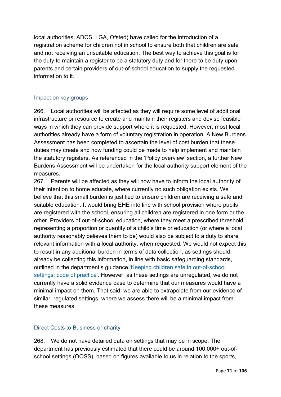local authorities, ADCS, LGA, Ofsted) have called for the introduction of a registration scheme for children not in school to ensure both that children are safe and not receiving an unsuitable education. The best way to achieve this goal is for the duty to maintain a register to be a statutory duty and for there to be duty upon parents and certain providers of out-of-school education to supply the requested information to it.

## Impact on key groups

266. Local authorities will be affected as they will require some level of additional infrastructure or resource to create and maintain their registers and devise feasible ways in which they can provide support where it is requested. However, most local authorities already have a form of voluntary registration in operation. A New Burdens Assessment has been completed to ascertain the level of cost burden that these duties may create and how funding could be made to help implement and maintain the statutory registers. As referenced in the 'Policy overview' section, a further New Burdens Assessment will be undertaken for the local authority support element of the measures.

267. Parents will be affected as they will now have to inform the local authority of their intention to home educate, where currently no such obligation exists. We believe that this small burden is justified to ensure children are receiving a safe and suitable education. It would bring EHE into line with school provision where pupils are registered with the school, ensuring all children are registered in one form or the other. Providers of out-of-school education, where they meet a prescribed threshold representing a proportion or quantity of a child's time or education (or where a local authority reasonably believes them to be) would also be subject to a duty to share relevant information with a local authority, when requested. We would not expect this to result in any additional burden in terms of data collection, as settings should already be collecting this information, in line with basic safeguarding standards, outlined in the department's guidance ['Keeping children safe in out-of-school](https://www.gov.uk/government/collections/keeping-children-safe-in-out-of-school-settings)  [settings: code of practice'.](https://www.gov.uk/government/collections/keeping-children-safe-in-out-of-school-settings) However, as these settings are unregulated, we do not currently have a solid evidence base to determine that our measures would have a minimal impact on them. That said, we are able to extrapolate from our evidence of similar, regulated settings, where we assess there will be a minimal impact from these measures.

## Direct Costs to Business or charity

268. We do not have detailed data on settings that may be in scope. The department has previously estimated that there could be around 100,000+ out-ofschool settings (OOSS), based on figures available to us in relation to the sports,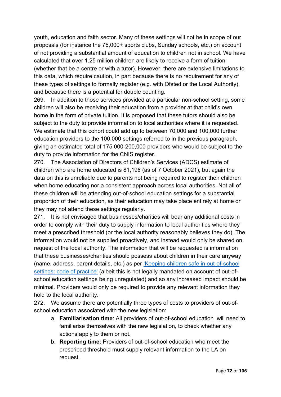youth, education and faith sector. Many of these settings will not be in scope of our proposals (for instance the 75,000+ sports clubs, Sunday schools, etc.) on account of not providing a substantial amount of education to children not in school. We have calculated that over 1.25 million children are likely to receive a form of tuition (whether that be a centre or with a tutor). However, there are extensive limitations to this data, which require caution, in part because there is no requirement for any of these types of settings to formally register (e.g. with Ofsted or the Local Authority), and because there is a potential for double counting.

269. In addition to those services provided at a particular non-school setting, some children will also be receiving their education from a provider at that child's own home in the form of private tuition. It is proposed that these tutors should also be subject to the duty to provide information to local authorities where it is requested. We estimate that this cohort could add up to between 70,000 and 100,000 further education providers to the 100,000 settings referred to in the previous paragraph, giving an estimated total of 175,000-200,000 providers who would be subject to the duty to provide information for the CNIS register.

270. The Association of Directors of Children's Services (ADCS) estimate of children who are home educated is 81,196 (as of 7 October 2021), but again the data on this is unreliable due to parents not being required to register their children when home educating nor a consistent approach across local authorities. Not all of these children will be attending out-of-school education settings for a substantial proportion of their education, as their education may take place entirely at home or they may not attend these settings regularly.

271. It is not envisaged that businesses/charities will bear any additional costs in order to comply with their duty to supply information to local authorities where they meet a prescribed threshold (or the local authority reasonably believes they do). The information would not be supplied proactively, and instead would only be shared on request of the local authority. The information that will be requested is information that these businesses/charities should possess about children in their care anyway (name, address, parent details, etc.) as per ['Keeping children safe in out-of-school](https://www.gov.uk/government/collections/keeping-children-safe-in-out-of-school-settings)  [settings: code of practice'](https://www.gov.uk/government/collections/keeping-children-safe-in-out-of-school-settings) (albeit this is not legally mandated on account of out-ofschool education settings being unregulated) and so any increased impact should be minimal. Providers would only be required to provide any relevant information they hold to the local authority.

272. We assume there are potentially three types of costs to providers of out-ofschool education associated with the new legislation:

- a. **Familiarisation time**: All providers of out-of-school education will need to familiarise themselves with the new legislation, to check whether any actions apply to them or not.
- b. **Reporting time:** Providers of out-of-school education who meet the prescribed threshold must supply relevant information to the LA on request.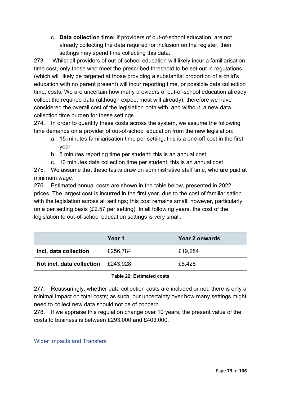c. **Data collection time:** If providers of out-of-school education are not already collecting the data required for inclusion on the register, then settings may spend time collecting this data.

273. Whilst all providers of out-of-school education will likely incur a familiarisation time cost, only those who meet the prescribed threshold to be set out in regulations (which will likely be targeted at those providing a substantial proportion of a child's education with no parent present) will incur reporting time, or possible data collection time, costs. We are uncertain how many providers of out-of-school education already collect the required data (although expect most will already), therefore we have considered the overall cost of the legislation both with, and without, a new data collection time burden for these settings.

274. In order to quantify these costs across the system, we assume the following time demands on a provider of out-of-school education from the new legislation:

- a. 15 minutes familiarisation time per setting; this is a one-off cost in the first year
- b. 5 minutes reporting time per student; this is an annual cost
- c. 10 minutes data collection time per student; this is an annual cost

275. We assume that these tasks draw on administrative staff time, who are paid at minimum wage.

276. Estimated annual costs are shown in the table below, presented in 2022 prices. The largest cost is incurred in the first year, due to the cost of familiarisation with the legislation across all settings; this cost remains small, however, particularly on a per setting basis (£2.57 per setting). In all following years, the cost of the legislation to out-of-school education settings is very small.

|                           | Year 1   | <b>Year 2 onwards</b> |  |
|---------------------------|----------|-----------------------|--|
| Incl. data collection     | £256,784 | £19,284               |  |
| Not incl. data collection | £243,928 | £6,428                |  |

## **Table 22: Estimated costs**

277. Reassuringly, whether data collection costs are included or not, there is only a minimal impact on total costs; as such, our uncertainty over how many settings might need to collect new data should not be of concern.

278. If we appraise this regulation change over 10 years, the present value of the costs to business is between £293,000 and £403,000.

# Wider Impacts and Transfers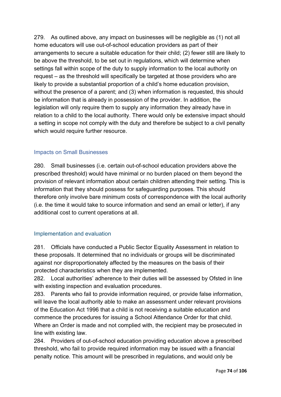279. As outlined above, any impact on businesses will be negligible as (1) not all home educators will use out-of-school education providers as part of their arrangements to secure a suitable education for their child; (2) fewer still are likely to be above the threshold, to be set out in regulations, which will determine when settings fall within scope of the duty to supply information to the local authority on request – as the threshold will specifically be targeted at those providers who are likely to provide a substantial proportion of a child's home education provision, without the presence of a parent; and (3) when information is requested, this should be information that is already in possession of the provider. In addition, the legislation will only require them to supply any information they already have in relation to a child to the local authority. There would only be extensive impact should a setting in scope not comply with the duty and therefore be subject to a civil penalty which would require further resource.

## Impacts on Small Businesses

280. Small businesses (i.e. certain out-of-school education providers above the prescribed threshold) would have minimal or no burden placed on them beyond the provision of relevant information about certain children attending their setting. This is information that they should possess for safeguarding purposes. This should therefore only involve bare minimum costs of correspondence with the local authority (i.e. the time it would take to source information and send an email or letter), if any additional cost to current operations at all.

# Implementation and evaluation

281. Officials have conducted a Public Sector Equality Assessment in relation to these proposals. It determined that no individuals or groups will be discriminated against nor disproportionately affected by the measures on the basis of their protected characteristics when they are implemented.

282. Local authorities' adherence to their duties will be assessed by Ofsted in line with existing inspection and evaluation procedures.

283. Parents who fail to provide information required, or provide false information, will leave the local authority able to make an assessment under relevant provisions of the Education Act 1996 that a child is not receiving a suitable education and commence the procedures for issuing a School Attendance Order for that child. Where an Order is made and not complied with, the recipient may be prosecuted in line with existing law.

284. Providers of out-of-school education providing education above a prescribed threshold, who fail to provide required information may be issued with a financial penalty notice. This amount will be prescribed in regulations, and would only be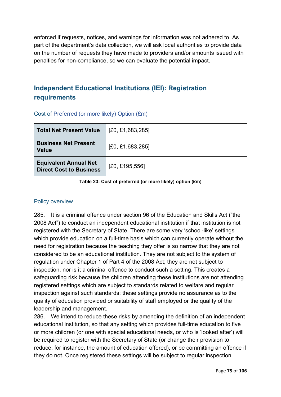enforced if requests, notices, and warnings for information was not adhered to. As part of the department's data collection, we will ask local authorities to provide data on the number of requests they have made to providers and/or amounts issued with penalties for non-compliance, so we can evaluate the potential impact.

# **Independent Educational Institutions (IEI): Registration requirements**

| <b>Total Net Present Value</b>                                 | [£0, £1,683,285] |  |  |
|----------------------------------------------------------------|------------------|--|--|
| <b>Business Net Present</b><br><b>Value</b>                    | [£0, £1,683,285] |  |  |
| <b>Equivalent Annual Net</b><br><b>Direct Cost to Business</b> | [£0, £195,556]   |  |  |

Cost of Preferred (or more likely) Option (£m)

**Table 23: Cost of preferred (or more likely) option (£m)**

## Policy overview

285. It is a criminal offence under section 96 of the Education and Skills Act ("the 2008 Act") to conduct an independent educational institution if that institution is not registered with the Secretary of State. There are some very 'school-like' settings which provide education on a full-time basis which can currently operate without the need for registration because the teaching they offer is so narrow that they are not considered to be an educational institution. They are not subject to the system of regulation under Chapter 1 of Part 4 of the 2008 Act; they are not subject to inspection, nor is it a criminal offence to conduct such a setting. This creates a safeguarding risk because the children attending these institutions are not attending registered settings which are subject to standards related to welfare and regular inspection against such standards; these settings provide no assurance as to the quality of education provided or suitability of staff employed or the quality of the leadership and management.

286. We intend to reduce these risks by amending the definition of an independent educational institution, so that any setting which provides full-time education to five or more children (or one with special educational needs, or who is 'looked after') will be required to register with the Secretary of State (or change their provision to reduce, for instance, the amount of education offered), or be committing an offence if they do not. Once registered these settings will be subject to regular inspection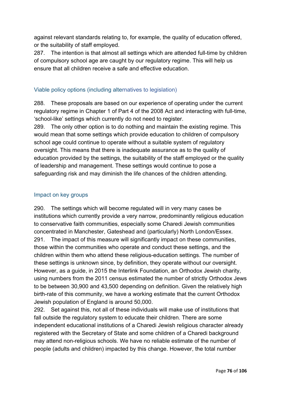against relevant standards relating to, for example, the quality of education offered, or the suitability of staff employed.

287. The intention is that almost all settings which are attended full-time by children of compulsory school age are caught by our regulatory regime. This will help us ensure that all children receive a safe and effective education.

# Viable policy options (including alternatives to legislation)

288. These proposals are based on our experience of operating under the current regulatory regime in Chapter 1 of Part 4 of the 2008 Act and interacting with full-time, 'school-like' settings which currently do not need to register.

289. The only other option is to do nothing and maintain the existing regime. This would mean that some settings which provide education to children of compulsory school age could continue to operate without a suitable system of regulatory oversight. This means that there is inadequate assurance as to the quality of education provided by the settings, the suitability of the staff employed or the quality of leadership and management. These settings would continue to pose a safeguarding risk and may diminish the life chances of the children attending.

## Impact on key groups

290. The settings which will become regulated will in very many cases be institutions which currently provide a very narrow, predominantly religious education to conservative faith communities, especially some Charedi Jewish communities concentrated in Manchester, Gateshead and (particularly) North London/Essex. 291. The impact of this measure will significantly impact on these communities, those within the communities who operate and conduct these settings, and the children within them who attend these religious-education settings. The number of these settings is unknown since, by definition, they operate without our oversight. However, as a guide, in 2015 the Interlink Foundation, an Orthodox Jewish charity, using numbers from the 2011 census estimated the number of strictly Orthodox Jews to be between 30,900 and 43,500 depending on definition. Given the relatively high birth-rate of this community, we have a working estimate that the current Orthodox Jewish population of England is around 50,000.

292. Set against this, not all of these individuals will make use of institutions that fall outside the regulatory system to educate their children. There are some independent educational institutions of a Charedi Jewish religious character already registered with the Secretary of State and some children of a Charedi background may attend non-religious schools. We have no reliable estimate of the number of people (adults and children) impacted by this change. However, the total number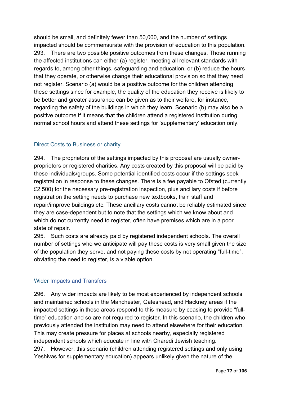should be small, and definitely fewer than 50,000, and the number of settings impacted should be commensurate with the provision of education to this population. 293. There are two possible positive outcomes from these changes. Those running the affected institutions can either (a) register, meeting all relevant standards with regards to, among other things, safeguarding and education, or (b) reduce the hours that they operate, or otherwise change their educational provision so that they need not register. Scenario (a) would be a positive outcome for the children attending these settings since for example, the quality of the education they receive is likely to be better and greater assurance can be given as to their welfare, for instance, regarding the safety of the buildings in which they learn. Scenario (b) may also be a positive outcome if it means that the children attend a registered institution during normal school hours and attend these settings for 'supplementary' education only.

## Direct Costs to Business or charity

294. The proprietors of the settings impacted by this proposal are usually ownerproprietors or registered charities. Any costs created by this proposal will be paid by these individuals/groups. Some potential identified costs occur if the settings seek registration in response to these changes. There is a fee payable to Ofsted (currently £2,500) for the necessary pre-registration inspection, plus ancillary costs if before registration the setting needs to purchase new textbooks, train staff and repair/improve buildings etc. These ancillary costs cannot be reliably estimated since they are case-dependent but to note that the settings which we know about and which do not currently need to register, often have premises which are in a poor state of repair.

295. Such costs are already paid by registered independent schools. The overall number of settings who we anticipate will pay these costs is very small given the size of the population they serve, and not paying these costs by not operating "full-time", obviating the need to register, is a viable option.

## Wider Impacts and Transfers

296. Any wider impacts are likely to be most experienced by independent schools and maintained schools in the Manchester, Gateshead, and Hackney areas if the impacted settings in these areas respond to this measure by ceasing to provide "fulltime" education and so are not required to register. In this scenario, the children who previously attended the institution may need to attend elsewhere for their education. This may create pressure for places at schools nearby, especially registered independent schools which educate in line with Charedi Jewish teaching. 297. However, this scenario (children attending registered settings and only using Yeshivas for supplementary education) appears unlikely given the nature of the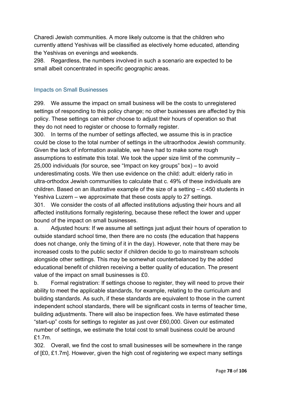Charedi Jewish communities. A more likely outcome is that the children who currently attend Yeshivas will be classified as electively home educated, attending the Yeshivas on evenings and weekends.

298. Regardless, the numbers involved in such a scenario are expected to be small albeit concentrated in specific geographic areas.

## Impacts on Small Businesses

299. We assume the impact on small business will be the costs to unregistered settings of responding to this policy change; no other businesses are affected by this policy. These settings can either choose to adjust their hours of operation so that they do not need to register or choose to formally register.

300. In terms of the number of settings affected, we assume this is in practice could be close to the total number of settings in the ultraorthodox Jewish community. Given the lack of information available, we have had to make some rough assumptions to estimate this total. We took the upper size limit of the community – 25,000 individuals (for source, see "Impact on key groups" box) – to avoid underestimating costs. We then use evidence on the child: adult: elderly ratio in ultra-orthodox Jewish communities to calculate that c. 49% of these individuals are children. Based on an illustrative example of the size of a setting – c.450 students in Yeshiva Luzern – we approximate that these costs apply to 27 settings. 301. We consider the costs of all affected institutions adjusting their hours and all

affected institutions formally registering, because these reflect the lower and upper bound of the impact on small businesses.

a. Adjusted hours: If we assume all settings just adjust their hours of operation to outside standard school time, then there are no costs (the education that happens does not change, only the timing of it in the day). However, note that there may be increased costs to the public sector if children decide to go to mainstream schools alongside other settings. This may be somewhat counterbalanced by the added educational benefit of children receiving a better quality of education. The present value of the impact on small businesses is £0.

b. Formal registration: If settings choose to register, they will need to prove their ability to meet the applicable standards, for example, relating to the curriculum and building standards. As such, if these standards are equivalent to those in the current independent school standards, there will be significant costs in terms of teacher time, building adjustments. There will also be inspection fees. We have estimated these "start-up" costs for settings to register as just over £60,000. Given our estimated number of settings, we estimate the total cost to small business could be around £1.7m.

302. Overall, we find the cost to small businesses will be somewhere in the range of [£0, £1.7m]. However, given the high cost of registering we expect many settings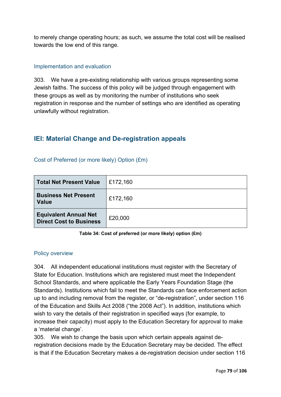to merely change operating hours; as such, we assume the total cost will be realised towards the low end of this range.

## Implementation and evaluation

303. We have a pre-existing relationship with various groups representing some Jewish faiths. The success of this policy will be judged through engagement with these groups as well as by monitoring the number of institutions who seek registration in response and the number of settings who are identified as operating unlawfully without registration.

# **IEI: Material Change and De-registration appeals**

| <b>Total Net Present Value</b>                                 | £172,160 |
|----------------------------------------------------------------|----------|
| <b>Business Net Present</b><br><b>Value</b>                    | £172,160 |
| <b>Equivalent Annual Net</b><br><b>Direct Cost to Business</b> | £20,000  |

#### Cost of Preferred (or more likely) Option (£m)

**Table 34: Cost of preferred (or more likely) option (£m)**

## Policy overview

304. All independent educational institutions must register with the Secretary of State for Education. Institutions which are registered must meet the Independent School Standards, and where applicable the Early Years Foundation Stage (the Standards). Institutions which fail to meet the Standards can face enforcement action up to and including removal from the register, or "de-registration", under section 116 of the Education and Skills Act 2008 ("the 2008 Act"). In addition, institutions which wish to vary the details of their registration in specified ways (for example, to increase their capacity) must apply to the Education Secretary for approval to make a 'material change'.

305. We wish to change the basis upon which certain appeals against deregistration decisions made by the Education Secretary may be decided. The effect is that if the Education Secretary makes a de-registration decision under section 116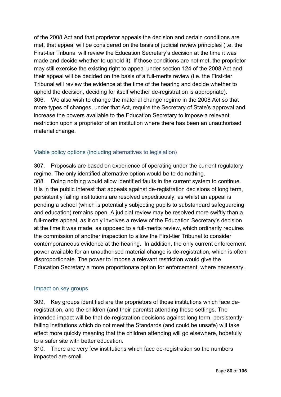of the 2008 Act and that proprietor appeals the decision and certain conditions are met, that appeal will be considered on the basis of judicial review principles (i.e. the First-tier Tribunal will review the Education Secretary's decision at the time it was made and decide whether to uphold it). If those conditions are not met, the proprietor may still exercise the existing right to appeal under section 124 of the 2008 Act and their appeal will be decided on the basis of a full-merits review (i.e. the First-tier Tribunal will review the evidence at the time of the hearing and decide whether to uphold the decision, deciding for itself whether de-registration is appropriate). 306. We also wish to change the material change regime in the 2008 Act so that more types of changes, under that Act, require the Secretary of State's approval and increase the powers available to the Education Secretary to impose a relevant restriction upon a proprietor of an institution where there has been an unauthorised material change.

# Viable policy options (including alternatives to legislation)

307. Proposals are based on experience of operating under the current regulatory regime. The only identified alternative option would be to do nothing. 308. Doing nothing would allow identified faults in the current system to continue. It is in the public interest that appeals against de-registration decisions of long term, persistently failing institutions are resolved expeditiously, as whilst an appeal is pending a school (which is potentially subjecting pupils to substandard safeguarding and education) remains open. A judicial review may be resolved more swiftly than a full-merits appeal, as it only involves a review of the Education Secretary's decision at the time it was made, as opposed to a full-merits review, which ordinarily requires the commission of another inspection to allow the First-tier Tribunal to consider contemporaneous evidence at the hearing. In addition, the only current enforcement power available for an unauthorised material change is de-registration, which is often disproportionate. The power to impose a relevant restriction would give the Education Secretary a more proportionate option for enforcement, where necessary.

## Impact on key groups

309. Key groups identified are the proprietors of those institutions which face deregistration, and the children (and their parents) attending these settings. The intended impact will be that de-registration decisions against long term, persistently failing institutions which do not meet the Standards (and could be unsafe) will take effect more quickly meaning that the children attending will go elsewhere, hopefully to a safer site with better education.

310. There are very few institutions which face de-registration so the numbers impacted are small.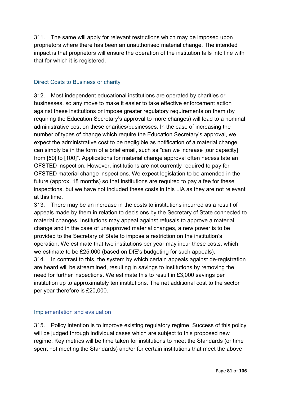311. The same will apply for relevant restrictions which may be imposed upon proprietors where there has been an unauthorised material change. The intended impact is that proprietors will ensure the operation of the institution falls into line with that for which it is registered.

# Direct Costs to Business or charity

312. Most independent educational institutions are operated by charities or businesses, so any move to make it easier to take effective enforcement action against these institutions or impose greater regulatory requirements on them (by requiring the Education Secretary's approval to more changes) will lead to a nominal administrative cost on these charities/businesses. In the case of increasing the number of types of change which require the Education Secretary's approval, we expect the administrative cost to be negligible as notification of a material change can simply be in the form of a brief email, such as "can we increase [our capacity] from [50] to [100]". Applications for material change approval often necessitate an OFSTED inspection. However, institutions are not currently required to pay for OFSTED material change inspections. We expect legislation to be amended in the future (approx. 18 months) so that institutions are required to pay a fee for these inspections, but we have not included these costs in this LIA as they are not relevant at this time.

313. There may be an increase in the costs to institutions incurred as a result of appeals made by them in relation to decisions by the Secretary of State connected to material changes. Institutions may appeal against refusals to approve a material change and in the case of unapproved material changes, a new power is to be provided to the Secretary of State to impose a restriction on the institution's operation. We estimate that two institutions per year may incur these costs, which we estimate to be £25,000 (based on DfE's budgeting for such appeals). 314. In contrast to this, the system by which certain appeals against de-registration are heard will be streamlined, resulting in savings to institutions by removing the need for further inspections. We estimate this to result in £3,000 savings per institution up to approximately ten institutions. The net additional cost to the sector per year therefore is £20,000.

# Implementation and evaluation

315. Policy intention is to improve existing regulatory regime. Success of this policy will be judged through individual cases which are subject to this proposed new regime. Key metrics will be time taken for institutions to meet the Standards (or time spent not meeting the Standards) and/or for certain institutions that meet the above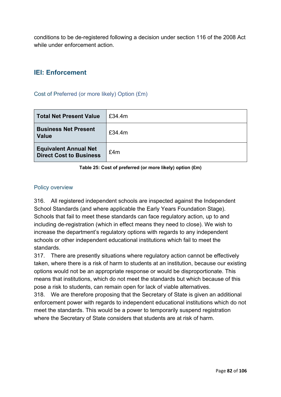conditions to be de-registered following a decision under section 116 of the 2008 Act while under enforcement action.

# **IEI: Enforcement**

### Cost of Preferred (or more likely) Option (£m)

| <b>Total Net Present Value</b>                                 | £34.4m |
|----------------------------------------------------------------|--------|
| <b>Business Net Present</b><br><b>Value</b>                    | £34.4m |
| <b>Equivalent Annual Net</b><br><b>Direct Cost to Business</b> | £4m    |

**Table 25: Cost of preferred (or more likely) option (£m)**

## Policy overview

316. All registered independent schools are inspected against the Independent School Standards (and where applicable the Early Years Foundation Stage). Schools that fail to meet these standards can face regulatory action, up to and including de-registration (which in effect means they need to close). We wish to increase the department's regulatory options with regards to any independent schools or other independent educational institutions which fail to meet the standards.

317. There are presently situations where regulatory action cannot be effectively taken, where there is a risk of harm to students at an institution, because our existing options would not be an appropriate response or would be disproportionate. This means that institutions, which do not meet the standards but which because of this pose a risk to students, can remain open for lack of viable alternatives.

318. We are therefore proposing that the Secretary of State is given an additional enforcement power with regards to independent educational institutions which do not meet the standards. This would be a power to temporarily suspend registration where the Secretary of State considers that students are at risk of harm.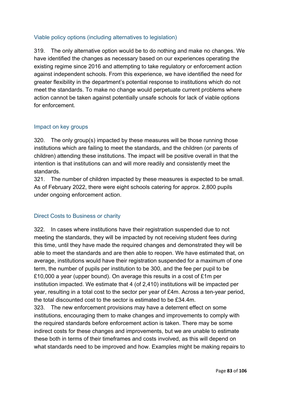# Viable policy options (including alternatives to legislation)

319. The only alternative option would be to do nothing and make no changes. We have identified the changes as necessary based on our experiences operating the existing regime since 2016 and attempting to take regulatory or enforcement action against independent schools. From this experience, we have identified the need for greater flexibility in the department's potential response to institutions which do not meet the standards. To make no change would perpetuate current problems where action cannot be taken against potentially unsafe schools for lack of viable options for enforcement.

#### Impact on key groups

320. The only group(s) impacted by these measures will be those running those institutions which are failing to meet the standards, and the children (or parents of children) attending these institutions. The impact will be positive overall in that the intention is that institutions can and will more readily and consistently meet the standards.

321. The number of children impacted by these measures is expected to be small. As of February 2022, there were eight schools catering for approx. 2,800 pupils under ongoing enforcement action.

## Direct Costs to Business or charity

322. In cases where institutions have their registration suspended due to not meeting the standards, they will be impacted by not receiving student fees during this time, until they have made the required changes and demonstrated they will be able to meet the standards and are then able to reopen. We have estimated that, on average, institutions would have their registration suspended for a maximum of one term, the number of pupils per institution to be 300, and the fee per pupil to be £10,000 a year (upper bound). On average this results in a cost of £1m per institution impacted. We estimate that 4 (of 2,410) institutions will be impacted per year, resulting in a total cost to the sector per year of £4m. Across a ten-year period, the total discounted cost to the sector is estimated to be £34.4m.

323. The new enforcement provisions may have a deterrent effect on some institutions, encouraging them to make changes and improvements to comply with the required standards before enforcement action is taken. There may be some indirect costs for these changes and improvements, but we are unable to estimate these both in terms of their timeframes and costs involved, as this will depend on what standards need to be improved and how. Examples might be making repairs to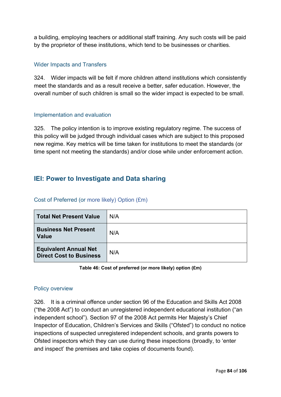a building, employing teachers or additional staff training. Any such costs will be paid by the proprietor of these institutions, which tend to be businesses or charities.

## Wider Impacts and Transfers

324. Wider impacts will be felt if more children attend institutions which consistently meet the standards and as a result receive a better, safer education. However, the overall number of such children is small so the wider impact is expected to be small.

## Implementation and evaluation

325. The policy intention is to improve existing regulatory regime. The success of this policy will be judged through individual cases which are subject to this proposed new regime. Key metrics will be time taken for institutions to meet the standards (or time spent not meeting the standards) and/or close while under enforcement action.

# **IEI: Power to Investigate and Data sharing**

| <b>Total Net Present Value</b>                                 | N/A |
|----------------------------------------------------------------|-----|
| <b>Business Net Present</b><br><b>Value</b>                    | N/A |
| <b>Equivalent Annual Net</b><br><b>Direct Cost to Business</b> | N/A |

# Cost of Preferred (or more likely) Option (£m)

#### **Table 46: Cost of preferred (or more likely) option (£m)**

## Policy overview

326. It is a criminal offence under section 96 of the Education and Skills Act 2008 ("the 2008 Act") to conduct an unregistered independent educational institution ("an independent school"). Section 97 of the 2008 Act permits Her Majesty's Chief Inspector of Education, Children's Services and Skills ("Ofsted") to conduct no notice inspections of suspected unregistered independent schools, and grants powers to Ofsted inspectors which they can use during these inspections (broadly, to 'enter and inspect' the premises and take copies of documents found).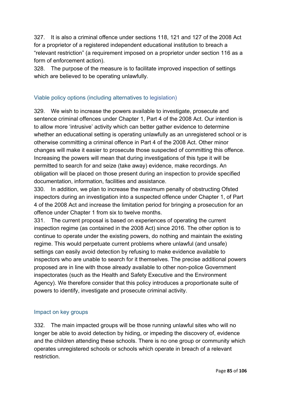327. It is also a criminal offence under sections 118, 121 and 127 of the 2008 Act for a proprietor of a registered independent educational institution to breach a "relevant restriction" (a requirement imposed on a proprietor under section 116 as a form of enforcement action).

328. The purpose of the measure is to facilitate improved inspection of settings which are believed to be operating unlawfully.

# Viable policy options (including alternatives to legislation)

329. We wish to increase the powers available to investigate, prosecute and sentence criminal offences under Chapter 1, Part 4 of the 2008 Act. Our intention is to allow more 'intrusive' activity which can better gather evidence to determine whether an educational setting is operating unlawfully as an unregistered school or is otherwise committing a criminal offence in Part 4 of the 2008 Act. Other minor changes will make it easier to prosecute those suspected of committing this offence. Increasing the powers will mean that during investigations of this type it will be permitted to search for and seize (take away) evidence, make recordings. An obligation will be placed on those present during an inspection to provide specified documentation, information, facilities and assistance.

330. In addition, we plan to increase the maximum penalty of obstructing Ofsted inspectors during an investigation into a suspected offence under Chapter 1, of Part 4 of the 2008 Act and increase the limitation period for bringing a prosecution for an offence under Chapter 1 from six to twelve months.

331. The current proposal is based on experiences of operating the current inspection regime (as contained in the 2008 Act) since 2016. The other option is to continue to operate under the existing powers, do nothing and maintain the existing regime. This would perpetuate current problems where unlawful (and unsafe) settings can easily avoid detection by refusing to make evidence available to inspectors who are unable to search for it themselves. The precise additional powers proposed are in line with those already available to other non-police Government inspectorates (such as the Health and Safety Executive and the Environment Agency). We therefore consider that this policy introduces a proportionate suite of powers to identify, investigate and prosecute criminal activity.

# Impact on key groups

332. The main impacted groups will be those running unlawful sites who will no longer be able to avoid detection by hiding, or impeding the discovery of, evidence and the children attending these schools. There is no one group or community which operates unregistered schools or schools which operate in breach of a relevant restriction.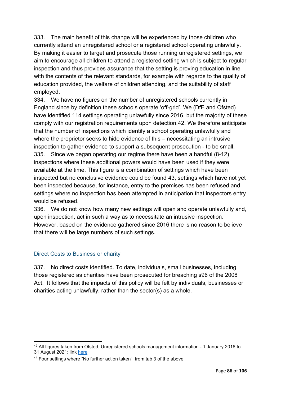333. The main benefit of this change will be experienced by those children who currently attend an unregistered school or a registered school operating unlawfully. By making it easier to target and prosecute those running unregistered settings, we aim to encourage all children to attend a registered setting which is subject to regular inspection and thus provides assurance that the setting is proving education in line with the contents of the relevant standards, for example with regards to the quality of education provided, the welfare of children attending, and the suitability of staff employed.

334. We have no figures on the number of unregistered schools currently in England since by definition these schools operate 'off-grid'. We (DfE and Ofsted) have identified 114 settings operating unlawfully since 2016, but the majority of these comply with our registration requirements upon detection.[42.](#page-85-0) We therefore anticipate that the number of inspections which identify a school operating unlawfully and where the proprietor seeks to hide evidence of this – necessitating an intrusive inspection to gather evidence to support a subsequent prosecution - to be small. 335. Since we began operating our regime there have been a handful (8-12) inspections where these additional powers would have been used if they were available at the time. This figure is a combination of settings which have been inspected but no conclusive evidence could be found [43](#page-85-1), settings which have not yet been inspected because, for instance, entry to the premises has been refused and settings where no inspection has been attempted in anticipation that inspectors entry would be refused.

336. We do not know how many new settings will open and operate unlawfully and, upon inspection, act in such a way as to necessitate an intrusive inspection. However, based on the evidence gathered since 2016 there is no reason to believe that there will be large numbers of such settings.

# Direct Costs to Business or charity

337. No direct costs identified. To date, individuals, small businesses, including those registered as charities have been prosecuted for breaching s96 of the 2008 Act. It follows that the impacts of this policy will be felt by individuals, businesses or charities acting unlawfully, rather than the sector(s) as a whole.

<span id="page-85-0"></span><sup>42</sup> All figures taken from Ofsted, Unregistered schools management information - 1 January 2016 to 31 August 2021: link [here](https://www.gov.uk/government/statistical-data-sets/unregistered-schools-management-information)

<span id="page-85-1"></span><sup>&</sup>lt;sup>43</sup> Four settings where "No further action taken", from tab 3 of the above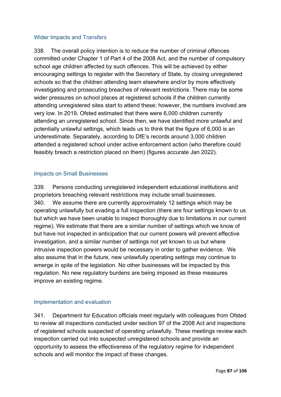## Wider Impacts and Transfers

338. The overall policy intention is to reduce the number of criminal offences committed under Chapter 1 of Part 4 of the 2008 Act, and the number of compulsory school age children affected by such offences. This will be achieved by either encouraging settings to register with the Secretary of State, by closing unregistered schools so that the children attending learn elsewhere and/or by more effectively investigating and prosecuting breaches of relevant restrictions. There may be some wider pressures on school places at registered schools if the children currently attending unregistered sites start to attend these; however, the numbers involved are very low. In 2019, Ofsted estimated that there were 6,000 children currently attending an unregistered school. Since then, we have identified more unlawful and potentially unlawful settings, which leads us to think that the figure of 6,000 is an underestimate. Separately, according to DfE's records around 3,000 children attended a registered school under active enforcement action (who therefore could feasibly breach a restriction placed on them) (figures accurate Jan 2022).

## Impacts on Small Businesses

339. Persons conducting unregistered independent educational institutions and proprietors breaching relevant restrictions may include small businesses. 340. We assume there are currently approximately 12 settings which may be operating unlawfully but evading a full inspection (there are four settings known to us but which we have been unable to inspect thoroughly due to limitations in our current regime). We estimate that there are a similar number of settings which we know of but have not inspected in anticipation that our current powers will prevent effective investigation, and a similar number of settings not yet known to us but where intrusive inspection powers would be necessary in order to gather evidence. We also assume that in the future, new unlawfully operating settings may continue to emerge in spite of the legislation. No other businesses will be impacted by this regulation. No new regulatory burdens are being imposed as these measures improve an existing regime.

# Implementation and evaluation

341. Department for Education officials meet regularly with colleagues from Ofsted to review all inspections conducted under section 97 of the 2008 Act and inspections of registered schools suspected of operating unlawfully. These meetings review each inspection carried out into suspected unregistered schools and provide an opportunity to assess the effectiveness of the regulatory regime for independent schools and will monitor the impact of these changes.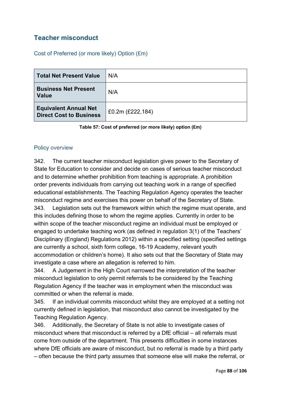# **Teacher misconduct**

Cost of Preferred (or more likely) Option (£m)

| <b>Total Net Present Value</b>                                 | N/A                 |
|----------------------------------------------------------------|---------------------|
| <b>Business Net Present</b><br><b>Value</b>                    | N/A                 |
| <b>Equivalent Annual Net</b><br><b>Direct Cost to Business</b> | £0.2m $(E222, 184)$ |

**Table 57: Cost of preferred (or more likely) option (£m)**

## Policy overview

342. The current teacher misconduct legislation gives power to the Secretary of State for Education to consider and decide on cases of serious teacher misconduct and to determine whether prohibition from teaching is appropriate. A prohibition order prevents individuals from carrying out teaching work in a range of specified educational establishments. The Teaching Regulation Agency operates the teacher misconduct regime and exercises this power on behalf of the Secretary of State. 343. Legislation sets out the framework within which the regime must operate, and this includes defining those to whom the regime applies. Currently in order to be within scope of the teacher misconduct regime an individual must be employed or engaged to undertake teaching work (as defined in regulation 3(1) of the Teachers' Disciplinary (England) Regulations 2012) within a specified setting (specified settings are currently a school, sixth form college, 16-19 Academy, relevant youth accommodation or children's home). It also sets out that the Secretary of State may investigate a case where an allegation is referred to him.

344. A Judgement in the High Court narrowed the interpretation of the teacher misconduct legislation to only permit referrals to be considered by the Teaching Regulation Agency if the teacher was in employment when the misconduct was committed or when the referral is made.

345. If an individual commits misconduct whilst they are employed at a setting not currently defined in legislation, that misconduct also cannot be investigated by the Teaching Regulation Agency.

346. Additionally, the Secretary of State is not able to investigate cases of misconduct where that misconduct is referred by a DfE official – all referrals must come from outside of the department. This presents difficulties in some instances where DfE officials are aware of misconduct, but no referral is made by a third party – often because the third party assumes that someone else will make the referral, or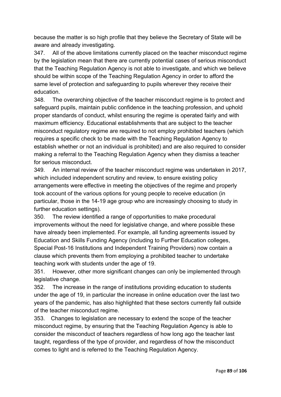because the matter is so high profile that they believe the Secretary of State will be aware and already investigating.

347. All of the above limitations currently placed on the teacher misconduct regime by the legislation mean that there are currently potential cases of serious misconduct that the Teaching Regulation Agency is not able to investigate, and which we believe should be within scope of the Teaching Regulation Agency in order to afford the same level of protection and safeguarding to pupils wherever they receive their education.

348. The overarching objective of the teacher misconduct regime is to protect and safeguard pupils, maintain public confidence in the teaching profession, and uphold proper standards of conduct, whilst ensuring the regime is operated fairly and with maximum efficiency. Educational establishments that are subject to the teacher misconduct regulatory regime are required to not employ prohibited teachers (which requires a specific check to be made with the Teaching Regulation Agency to establish whether or not an individual is prohibited) and are also required to consider making a referral to the Teaching Regulation Agency when they dismiss a teacher for serious misconduct.

349. An internal review of the teacher misconduct regime was undertaken in 2017, which included independent scrutiny and review, to ensure existing policy arrangements were effective in meeting the objectives of the regime and properly took account of the various options for young people to receive education (in particular, those in the 14-19 age group who are increasingly choosing to study in further education settings).

350. The review identified a range of opportunities to make procedural improvements without the need for legislative change, and where possible these have already been implemented. For example, all funding agreements issued by Education and Skills Funding Agency (including to Further Education colleges, Special Post-16 Institutions and Independent Training Providers) now contain a clause which prevents them from employing a prohibited teacher to undertake teaching work with students under the age of 19.

351. However, other more significant changes can only be implemented through legislative change.

352. The increase in the range of institutions providing education to students under the age of 19, in particular the increase in online education over the last two years of the pandemic, has also highlighted that these sectors currently fall outside of the teacher misconduct regime.

353. Changes to legislation are necessary to extend the scope of the teacher misconduct regime, by ensuring that the Teaching Regulation Agency is able to consider the misconduct of teachers regardless of how long ago the teacher last taught, regardless of the type of provider, and regardless of how the misconduct comes to light and is referred to the Teaching Regulation Agency.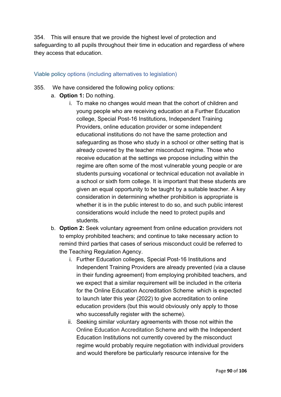354. This will ensure that we provide the highest level of protection and safeguarding to all pupils throughout their time in education and regardless of where they access that education.

## Viable policy options (including alternatives to legislation)

- 355. We have considered the following policy options:
	- a. **Option 1:** Do nothing.
		- i. To make no changes would mean that the cohort of children and young people who are receiving education at a Further Education college, Special Post-16 Institutions, Independent Training Providers, online education provider or some independent educational institutions do not have the same protection and safeguarding as those who study in a school or other setting that is already covered by the teacher misconduct regime. Those who receive education at the settings we propose including within the regime are often some of the most vulnerable young people or are students pursuing vocational or technical education not available in a school or sixth form college. It is important that these students are given an equal opportunity to be taught by a suitable teacher. A key consideration in determining whether prohibition is appropriate is whether it is in the public interest to do so, and such public interest considerations would include the need to protect pupils and students.
	- b. **Option 2:** Seek voluntary agreement from online education providers not to employ prohibited teachers; and continue to take necessary action to remind third parties that cases of serious misconduct could be referred to the Teaching Regulation Agency.
		- i. Further Education colleges, Special Post-16 Institutions and Independent Training Providers are already prevented (via a clause in their funding agreement) from employing prohibited teachers, and we expect that a similar requirement will be included in the criteria for the Online Education Accreditation Scheme which is expected to launch later this year (2022) to give accreditation to online education providers (but this would obviously only apply to those who successfully register with the scheme).
		- ii. Seeking similar voluntary agreements with those not within the Online Education Accreditation Scheme and with the Independent Education Institutions not currently covered by the misconduct regime would probably require negotiation with individual providers and would therefore be particularly resource intensive for the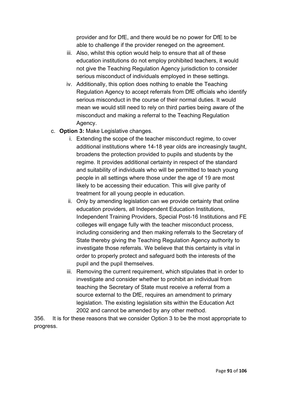provider and for DfE, and there would be no power for DfE to be able to challenge if the provider reneged on the agreement.

- iii. Also, whilst this option would help to ensure that all of these education institutions do not employ prohibited teachers, it would not give the Teaching Regulation Agency jurisdiction to consider serious misconduct of individuals employed in these settings.
- iv. Additionally, this option does nothing to enable the Teaching Regulation Agency to accept referrals from DfE officials who identify serious misconduct in the course of their normal duties. It would mean we would still need to rely on third parties being aware of the misconduct and making a referral to the Teaching Regulation Agency.
- c. **Option 3:** Make Legislative changes.
	- i. Extending the scope of the teacher misconduct regime, to cover additional institutions where 14-18 year olds are increasingly taught, broadens the protection provided to pupils and students by the regime. It provides additional certainty in respect of the standard and suitability of individuals who will be permitted to teach young people in all settings where those under the age of 19 are most likely to be accessing their education. This will give parity of treatment for all young people in education.
	- ii. Only by amending legislation can we provide certainty that online education providers, all Independent Education Institutions, Independent Training Providers, Special Post-16 Institutions and FE colleges will engage fully with the teacher misconduct process, including considering and then making referrals to the Secretary of State thereby giving the Teaching Regulation Agency authority to investigate those referrals. We believe that this certainty is vital in order to properly protect and safeguard both the interests of the pupil and the pupil themselves.
	- iii. Removing the current requirement, which stipulates that in order to investigate and consider whether to prohibit an individual from teaching the Secretary of State must receive a referral from a source external to the DfE, requires an amendment to primary legislation. The existing legislation sits within the Education Act 2002 and cannot be amended by any other method.

356. It is for these reasons that we consider Option 3 to be the most appropriate to progress.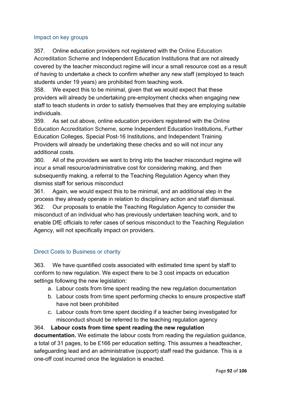## Impact on key groups

357. Online education providers not registered with the Online Education Accreditation Scheme and Independent Education Institutions that are not already covered by the teacher misconduct regime will incur a small resource cost as a result of having to undertake a check to confirm whether any new staff (employed to teach students under 19 years) are prohibited from teaching work.

358. We expect this to be minimal, given that we would expect that these providers will already be undertaking pre-employment checks when engaging new staff to teach students in order to satisfy themselves that they are employing suitable individuals.

359. As set out above, online education providers registered with the Online Education Accreditation Scheme, some Independent Education Institutions, Further Education Colleges, Special Post-16 Institutions, and Independent Training Providers will already be undertaking these checks and so will not incur any additional costs.

360. All of the providers we want to bring into the teacher misconduct regime will incur a small resource/administrative cost for considering making, and then subsequently making, a referral to the Teaching Regulation Agency when they dismiss staff for serious misconduct

361. Again, we would expect this to be minimal, and an additional step in the process they already operate in relation to disciplinary action and staff dismissal. 362. Our proposals to enable the Teaching Regulation Agency to consider the misconduct of an individual who has previously undertaken teaching work, and to enable DfE officials to refer cases of serious misconduct to the Teaching Regulation Agency, will not specifically impact on providers.

# Direct Costs to Business or charity

363. We have quantified costs associated with estimated time spent by staff to conform to new regulation. We expect there to be 3 cost impacts on education settings following the new legislation:

- a. Labour costs from time spent reading the new regulation documentation
- b. Labour costs from time spent performing checks to ensure prospective staff have not been prohibited
- c. Labour costs from time spent deciding if a teacher being investigated for misconduct should be referred to the teaching regulation agency

364. **Labour costs from time spent reading the new regulation documentation.** We estimate the labour costs from reading the regulation guidance, a total of 31 pages, to be £166 per education setting. This assumes a headteacher, safeguarding lead and an administrative (support) staff read the guidance. This is a one-off cost incurred once the legislation is enacted.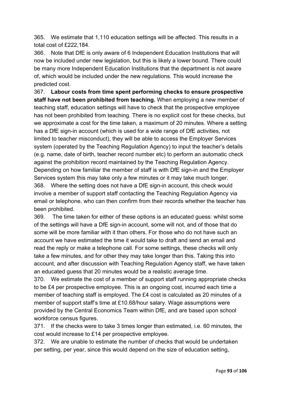365. We estimate that 1,110 education settings will be affected. This results in a total cost of £222,184.

366. Note that DfE is only aware of 6 Independent Education Institutions that will now be included under new legislation, but this is likely a lower bound. There could be many more Independent Education Institutions that the department is not aware of, which would be included under the new regulations. This would increase the predicted cost.

367. **Labour costs from time spent performing checks to ensure prospective staff have not been prohibited from teaching.** When employing a new member of teaching staff, education settings will have to check that the prospective employee has not been prohibited from teaching. There is no explicit cost for these checks, but we approximate a cost for the time taken, a maximum of 20 minutes. Where a setting has a DfE sign-in account (which is used for a wide range of DfE activities, not limited to teacher misconduct), they will be able to access the Employer Services system (operated by the Teaching Regulation Agency) to input the teacher's details (e.g. name, date of birth, teacher record number etc) to perform an automatic check against the prohibition record maintained by the Teaching Regulation Agency. Depending on how familiar the member of staff is with DfE sign-in and the Employer Services system this may take only a few minutes or it may take much longer. 368. Where the setting does not have a DfE sign-in account, this check would involve a member of support staff contacting the Teaching Regulation Agency via email or telephone, who can then confirm from their records whether the teacher has been prohibited.

369. The time taken for either of these options is an educated guess: whilst some of the settings will have a DfE sign-in account, some will not, and of those that do some will be more familiar with it than others. For those who do not have such an account we have estimated the time it would take to draft and send an email and read the reply or make a telephone call. For some settings, these checks will only take a few minutes, and for other they may take longer than this. Taking this into account, and after discussion with Teaching Regulation Agency staff, we have taken an educated guess that 20 minutes would be a realistic average time.

370. We estimate the cost of a member of support staff running appropriate checks to be £4 per prospective employee. This is an ongoing cost, incurred each time a member of teaching staff is employed. The £4 cost is calculated as 20 minutes of a member of support staff's time at £10.68/hour salary. Wage assumptions were provided by the Central Economics Team within DfE, and are based upon school workforce census figures.

371. If the checks were to take 3 times longer than estimated, i.e. 60 minutes, the cost would increase to £14 per prospective employee.

372. We are unable to estimate the number of checks that would be undertaken per setting, per year, since this would depend on the size of education setting,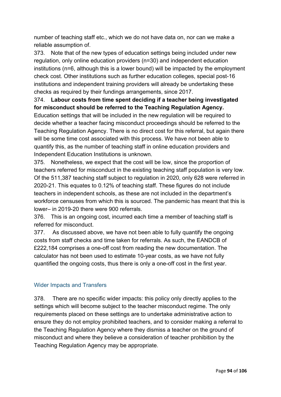number of teaching staff etc., which we do not have data on, nor can we make a reliable assumption of.

373. Note that of the new types of education settings being included under new regulation, only online education providers (n=30) and independent education institutions (n=6, although this is a lower bound) will be impacted by the employment check cost. Other institutions such as further education colleges, special post-16 institutions and independent training providers will already be undertaking these checks as required by their fundings arrangements, since 2017.

# 374. **Labour costs from time spent deciding if a teacher being investigated for misconduct should be referred to the Teaching Regulation Agency.**

Education settings that will be included in the new regulation will be required to decide whether a teacher facing misconduct proceedings should be referred to the Teaching Regulation Agency. There is no direct cost for this referral, but again there will be some time cost associated with this process. We have not been able to quantify this, as the number of teaching staff in online education providers and Independent Education Institutions is unknown.

375. Nonetheless, we expect that the cost will be low, since the proportion of teachers referred for misconduct in the existing teaching staff population is very low. Of the 511,387 teaching staff subject to regulation in 2020, only 628 were referred in 2020-21. This equates to 0.12% of teaching staff. These figures do not include teachers in independent schools, as these are not included in the department's workforce censuses from which this is sourced. The pandemic has meant that this is lower– in 2019-20 there were 900 referrals.

376. This is an ongoing cost, incurred each time a member of teaching staff is referred for misconduct.

377. As discussed above, we have not been able to fully quantify the ongoing costs from staff checks and time taken for referrals. As such, the EANDCB of £222,184 comprises a one-off cost from reading the new documentation. The calculator has not been used to estimate 10-year costs, as we have not fully quantified the ongoing costs, thus there is only a one-off cost in the first year.

# Wider Impacts and Transfers

378. There are no specific wider impacts: this policy only directly applies to the settings which will become subject to the teacher misconduct regime. The only requirements placed on these settings are to undertake administrative action to ensure they do not employ prohibited teachers, and to consider making a referral to the Teaching Regulation Agency where they dismiss a teacher on the ground of misconduct and where they believe a consideration of teacher prohibition by the Teaching Regulation Agency may be appropriate.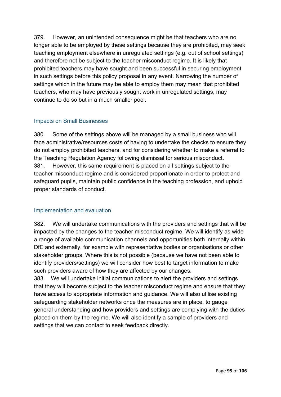379. However, an unintended consequence might be that teachers who are no longer able to be employed by these settings because they are prohibited, may seek teaching employment elsewhere in unregulated settings (e.g. out of school settings) and therefore not be subject to the teacher misconduct regime. It is likely that prohibited teachers may have sought and been successful in securing employment in such settings before this policy proposal in any event. Narrowing the number of settings which in the future may be able to employ them may mean that prohibited teachers, who may have previously sought work in unregulated settings, may continue to do so but in a much smaller pool.

## Impacts on Small Businesses

380. Some of the settings above will be managed by a small business who will face administrative/resources costs of having to undertake the checks to ensure they do not employ prohibited teachers, and for considering whether to make a referral to the Teaching Regulation Agency following dismissal for serious misconduct. 381. However, this same requirement is placed on all settings subject to the teacher misconduct regime and is considered proportionate in order to protect and safeguard pupils, maintain public confidence in the teaching profession, and uphold proper standards of conduct.

# Implementation and evaluation

382. We will undertake communications with the providers and settings that will be impacted by the changes to the teacher misconduct regime. We will identify as wide a range of available communication channels and opportunities both internally within DfE and externally, for example with representative bodies or organisations or other stakeholder groups. Where this is not possible (because we have not been able to identify providers/settings) we will consider how best to target information to make such providers aware of how they are affected by our changes.

383. We will undertake initial communications to alert the providers and settings that they will become subject to the teacher misconduct regime and ensure that they have access to appropriate information and guidance. We will also utilise existing safeguarding stakeholder networks once the measures are in place, to gauge general understanding and how providers and settings are complying with the duties placed on them by the regime. We will also identify a sample of providers and settings that we can contact to seek feedback directly.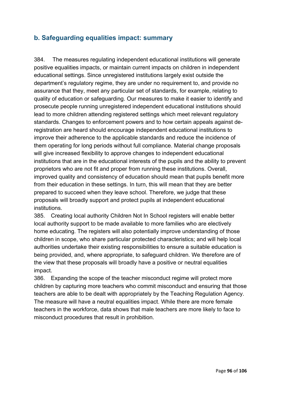# **b. Safeguarding equalities impact: summary**

384. The measures regulating independent educational institutions will generate positive equalities impacts, or maintain current impacts on children in independent educational settings. Since unregistered institutions largely exist outside the department's regulatory regime, they are under no requirement to, and provide no assurance that they, meet any particular set of standards, for example, relating to quality of education or safeguarding. Our measures to make it easier to identify and prosecute people running unregistered independent educational institutions should lead to more children attending registered settings which meet relevant regulatory standards. Changes to enforcement powers and to how certain appeals against deregistration are heard should encourage independent educational institutions to improve their adherence to the applicable standards and reduce the incidence of them operating for long periods without full compliance. Material change proposals will give increased flexibility to approve changes to independent educational institutions that are in the educational interests of the pupils and the ability to prevent proprietors who are not fit and proper from running these institutions. Overall, improved quality and consistency of education should mean that pupils benefit more from their education in these settings. In turn, this will mean that they are better prepared to succeed when they leave school. Therefore, we judge that these proposals will broadly support and protect pupils at independent educational institutions.

385. Creating local authority Children Not In School registers will enable better local authority support to be made available to more families who are electively home educating. The registers will also potentially improve understanding of those children in scope, who share particular protected characteristics; and will help local authorities undertake their existing responsibilities to ensure a suitable education is being provided, and, where appropriate, to safeguard children. We therefore are of the view that these proposals will broadly have a positive or neutral equalities impact.

386. Expanding the scope of the teacher misconduct regime will protect more children by capturing more teachers who commit misconduct and ensuring that those teachers are able to be dealt with appropriately by the Teaching Regulation Agency. The measure will have a neutral equalities impact. While there are more female teachers in the workforce, data shows that male teachers are more likely to face to misconduct procedures that result in prohibition.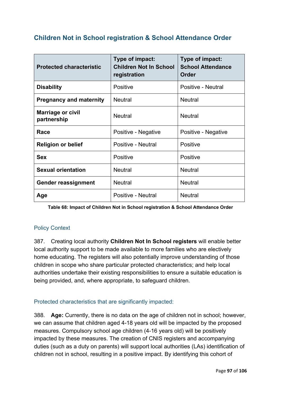# **Children Not in School registration & School Attendance Order**

| <b>Protected characteristic</b>         | Type of impact:<br><b>Children Not In School</b><br>registration | Type of impact:<br><b>School Attendance</b><br><b>Order</b> |  |
|-----------------------------------------|------------------------------------------------------------------|-------------------------------------------------------------|--|
| <b>Disability</b>                       | <b>Positive</b>                                                  | Positive - Neutral                                          |  |
| <b>Pregnancy and maternity</b>          | <b>Neutral</b>                                                   | <b>Neutral</b>                                              |  |
| <b>Marriage or civil</b><br>partnership | <b>Neutral</b>                                                   | <b>Neutral</b>                                              |  |
| Race                                    | Positive - Negative                                              | Positive - Negative                                         |  |
| <b>Religion or belief</b>               | Positive - Neutral                                               | <b>Positive</b>                                             |  |
| <b>Sex</b>                              | <b>Positive</b>                                                  | <b>Positive</b>                                             |  |
| <b>Sexual orientation</b>               | <b>Neutral</b>                                                   | <b>Neutral</b>                                              |  |
| <b>Gender reassignment</b>              | <b>Neutral</b>                                                   | <b>Neutral</b>                                              |  |
| Age                                     | Positive - Neutral                                               | <b>Neutral</b>                                              |  |

**Table 68: Impact of Children Not in School registration & School Attendance Order**

## Policy Context

387. Creating local authority **Children Not In School registers** will enable better local authority support to be made available to more families who are electively home educating. The registers will also potentially improve understanding of those children in scope who share particular protected characteristics; and help local authorities undertake their existing responsibilities to ensure a suitable education is being provided, and, where appropriate, to safeguard children.

Protected characteristics that are significantly impacted:

388. **Age:** Currently, there is no data on the age of children not in school; however, we can assume that children aged 4-18 years old will be impacted by the proposed measures. Compulsory school age children (4-16 years old) will be positively impacted by these measures. The creation of CNIS registers and accompanying duties (such as a duty on parents) will support local authorities (LAs) identification of children not in school, resulting in a positive impact. By identifying this cohort of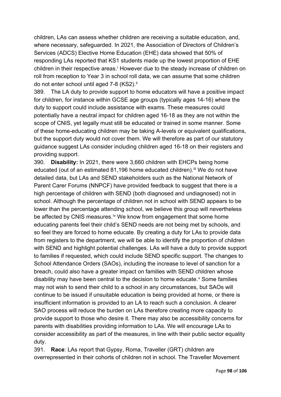children, LAs can assess whether children are receiving a suitable education, and, where necessary, safeguarded. In 2021, the Association of Directors of Children's Services (ADCS) Elective Home Education (EHE) data showed that 50% of responding LAs reported that KS1 students made up the lowest proportion of EHE ch[i](#page-105-0)ldren in their respective areas.<sup>i</sup> However due to the steady increase of children on roll from reception to Year 3 in school roll data, we can assume that some children do not enter school until aged 7-8 (KS2).<sup>[ii](#page-105-1)</sup>

389. The LA duty to provide support to home educators will have a positive impact for children, for instance within GCSE age groups (typically ages 14-16) where the duty to support could include assistance with exams. These measures could potentially have a neutral impact for children aged 16-18 as they are not within the scope of CNIS, yet legally must still be educated or trained in some manner. Some of these home-educating children may be taking A-levels or equivalent qualifications, but the support duty would not cover them. We will therefore as part of our statutory guidance suggest LAs consider including children aged 16-18 on their registers and providing support.

390. **Disability:** In 2021, there were 3,660 children with EHCPs being home educated (out of an estimated 81,196 home educated children).<sup>[iii](#page-105-2)</sup> We do not have detailed data, but LAs and SEND stakeholders such as the National Network of Parent Carer Forums (NNPCF) have provided feedback to suggest that there is a high percentage of children with SEND (both diagnosed and undiagnosed) not in school. Although the percentage of children not in school with SEND appears to be lower than the percentage attending school, we believe this group will nevertheless be affected by CNIS measures.<sup>[iv](#page-105-3)</sup> We know from engagement that some home educating parents feel their child's SEND needs are not being met by schools, and so feel they are forced to home educate. By creating a duty for LAs to provide data from registers to the department, we will be able to identify the proportion of children with SEND and highlight potential challenges. LAs will have a duty to provide support to families if requested, which could include SEND specific support. The changes to School Attendance Orders (SAOs), including the increase to level of sanction for a breach, could also have a greater impact on families with SEND children whose disability may ha[v](#page-105-4)e been central to the decision to home educate.<sup>v</sup> Some families may not wish to send their child to a school in any circumstances, but SAOs will continue to be issued if unsuitable education is being provided at home, or there is insufficient information is provided to an LA to reach such a conclusion. A clearer SAO process will reduce the burden on LAs therefore creating more capacity to provide support to those who desire it. There may also be accessibility concerns for parents with disabilities providing information to LAs. We will encourage LAs to consider accessibility as part of the measures, in line with their public sector equality duty.

391. **Race**: LAs report that Gypsy, Roma, Traveller (GRT) children are overrepresented in their cohorts of children not in school. The Traveller Movement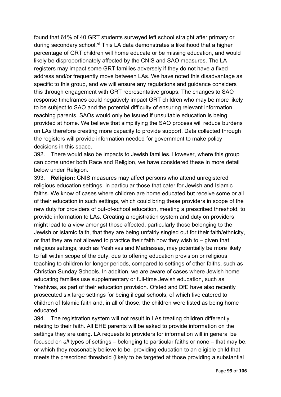found that 61% of 40 GRT students surveyed left school straight after primary or during secondary school.**[vi](#page-105-5)** This LA data demonstrates a likelihood that a higher percentage of GRT children will home educate or be missing education, and would likely be disproportionately affected by the CNIS and SAO measures. The LA registers may impact some GRT families adversely if they do not have a fixed address and/or frequently move between LAs. We have noted this disadvantage as specific to this group, and we will ensure any regulations and guidance considers this through engagement with GRT representative groups. The changes to SAO response timeframes could negatively impact GRT children who may be more likely to be subject to SAO and the potential difficulty of ensuring relevant information reaching parents. SAOs would only be issued if unsuitable education is being provided at home. We believe that simplifying the SAO process will reduce burdens on LAs therefore creating more capacity to provide support. Data collected through the registers will provide information needed for government to make policy decisions in this space.

392. There would also be impacts to Jewish families. However, where this group can come under both Race and Religion, we have considered these in more detail below under Religion.

393. **Religion:** CNIS measures may affect persons who attend unregistered religious education settings, in particular those that cater for Jewish and Islamic faiths. We know of cases where children are home educated but receive some or all of their education in such settings, which could bring these providers in scope of the new duty for providers of out-of-school education, meeting a prescribed threshold, to provide information to LAs. Creating a registration system and duty on providers might lead to a view amongst those affected, particularly those belonging to the Jewish or Islamic faith, that they are being unfairly singled out for their faith/ethnicity, or that they are not allowed to practice their faith how they wish to – given that religious settings, such as Yeshivas and Madrassas, may potentially be more likely to fall within scope of the duty, due to offering education provision or religious teaching to children for longer periods, compared to settings of other faiths, such as Christian Sunday Schools. In addition, we are aware of cases where Jewish home educating families use supplementary or full-time Jewish education, such as Yeshivas, as part of their education provision. Ofsted and DfE have also recently prosecuted six large settings for being illegal schools, of which five catered to children of Islamic faith and, in all of those, the children were listed as being home educated.

394. The registration system will not result in LAs treating children differently relating to their faith. All EHE parents will be asked to provide information on the settings they are using. LA requests to providers for information will in general be focused on *all* types of settings – belonging to particular faiths or none – that may be, or which they reasonably believe to be, providing education to an eligible child that meets the prescribed threshold (likely to be targeted at those providing a substantial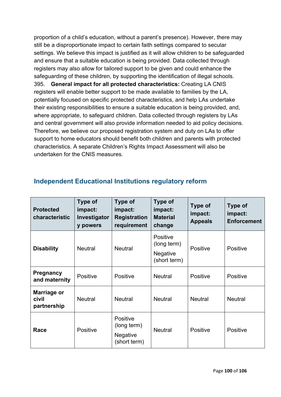proportion of a child's education, without a parent's presence). However, there may still be a disproportionate impact to certain faith settings compared to secular settings. We believe this impact is justified as it will allow children to be safeguarded and ensure that a suitable education is being provided. Data collected through registers may also allow for tailored support to be given and could enhance the safeguarding of these children, by supporting the identification of illegal schools. 395. **General impact for all protected characteristics:** Creating LA CNIS registers will enable better support to be made available to families by the LA, potentially focused on specific protected characteristics, and help LAs undertake their existing responsibilities to ensure a suitable education is being provided, and, where appropriate, to safeguard children. Data collected through registers by LAs and central government will also provide information needed to aid policy decisions. Therefore, we believe our proposed registration system and duty on LAs to offer support to home educators should benefit both children and parents with protected characteristics. A separate Children's Rights Impact Assessment will also be undertaken for the CNIS measures.

| <b>Protected</b><br>characteristic  | Type of<br>impact:<br>Investigator<br>y powers | Type of<br>impact:<br><b>Registration</b><br>requirement   | Type of<br>impact:<br><b>Material</b><br>change                               | <b>Type of</b><br>impact:<br><b>Appeals</b> | <b>Type of</b><br>impact:<br><b>Enforcement</b> |
|-------------------------------------|------------------------------------------------|------------------------------------------------------------|-------------------------------------------------------------------------------|---------------------------------------------|-------------------------------------------------|
| <b>Disability</b>                   | <b>Neutral</b>                                 | <b>Neutral</b>                                             | <b>Positive</b><br>(long term)<br>Positive<br><b>Negative</b><br>(short term) |                                             | <b>Positive</b>                                 |
| <b>Pregnancy</b><br>and maternity   | Positive                                       | Positive                                                   | <b>Neutral</b>                                                                | Positive                                    | Positive                                        |
| Marriage or<br>civil<br>partnership | <b>Neutral</b>                                 | <b>Neutral</b>                                             | <b>Neutral</b>                                                                | <b>Neutral</b>                              | <b>Neutral</b>                                  |
| Race                                | Positive                                       | Positive<br>(long term)<br><b>Negative</b><br>(short term) | <b>Neutral</b>                                                                | Positive                                    | <b>Positive</b>                                 |

# **Independent Educational Institutions regulatory reform**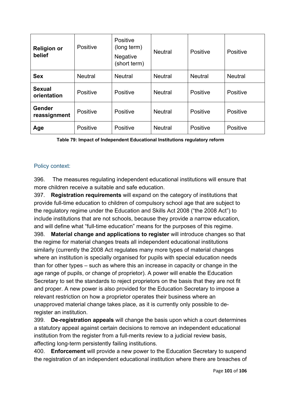| <b>Religion or</b><br>belief | Positive       | Positive<br>(long term)<br><b>Negative</b><br>(short term) | <b>Neutral</b>             | Positive       | Positive |
|------------------------------|----------------|------------------------------------------------------------|----------------------------|----------------|----------|
| <b>Sex</b>                   | <b>Neutral</b> | <b>Neutral</b>                                             | <b>Neutral</b>             | <b>Neutral</b> |          |
| <b>Sexual</b><br>orientation | Positive       | Positive                                                   | <b>Neutral</b>             | Positive       | Positive |
| Gender<br>reassignment       | Positive       | Positive                                                   | Positive<br><b>Neutral</b> |                | Positive |
| Age                          | Positive       | Positive                                                   | <b>Neutral</b>             | Positive       | Positive |

**Table 79: Impact of Independent Educational Institutions regulatory reform**

# Policy context:

396. The measures regulating independent educational institutions will ensure that more children receive a suitable and safe education.

397. **Registration requirements** will expand on the category of institutions that provide full-time education to children of compulsory school age that are subject to the regulatory regime under the Education and Skills Act 2008 ("the 2008 Act") to include institutions that are not schools, because they provide a narrow education, and will define what "full-time education" means for the purposes of this regime. 398. **Material change and applications to register** will introduce changes so that the regime for material changes treats all independent educational institutions similarly (currently the 2008 Act regulates many more types of material changes where an institution is specially organised for pupils with special education needs than for other types – such as where this an increase in capacity or change in the age range of pupils, or change of proprietor). A power will enable the Education Secretary to set the standards to reject proprietors on the basis that they are not fit and proper. A new power is also provided for the Education Secretary to impose a relevant restriction on how a proprietor operates their business where an unapproved material change takes place, as it is currently only possible to deregister an institution.

399. **De-registration appeals** will change the basis upon which a court determines a statutory appeal against certain decisions to remove an independent educational institution from the register from a full-merits review to a judicial review basis, affecting long-term persistently failing institutions.

400. **Enforcement** will provide a new power to the Education Secretary to suspend the registration of an independent educational institution where there are breaches of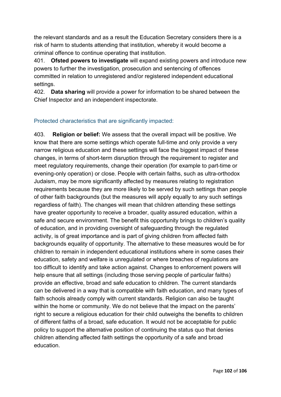the relevant standards and as a result the Education Secretary considers there is a risk of harm to students attending that institution, whereby it would become a criminal offence to continue operating that institution.

401. **Ofsted powers to investigate** will expand existing powers and introduce new powers to further the investigation, prosecution and sentencing of offences committed in relation to unregistered and/or registered independent educational settings.

402. **Data sharing** will provide a power for information to be shared between the Chief Inspector and an independent inspectorate.

# Protected characteristics that are significantly impacted:

403. **Religion or belief:** We assess that the overall impact will be positive. We know that there are some settings which operate full-time and only provide a very narrow religious education and these settings will face the biggest impact of these changes, in terms of short-term disruption through the requirement to register and meet regulatory requirements, change their operation (for example to part-time or evening-only operation) or close. People with certain faiths, such as ultra-orthodox Judaism, may be more significantly affected by measures relating to registration requirements because they are more likely to be served by such settings than people of other faith backgrounds (but the measures will apply equally to any such settings regardless of faith). The changes will mean that children attending these settings have greater opportunity to receive a broader, quality assured education, within a safe and secure environment. The benefit this opportunity brings to children's quality of education, and in providing oversight of safeguarding through the regulated activity, is of great importance and is part of giving children from affected faith backgrounds equality of opportunity. The alternative to these measures would be for children to remain in independent educational institutions where in some cases their education, safety and welfare is unregulated or where breaches of regulations are too difficult to identify and take action against. Changes to enforcement powers will help ensure that all settings (including those serving people of particular faiths) provide an effective, broad and safe education to children. The current standards can be delivered in a way that is compatible with faith education, and many types of faith schools already comply with current standards. Religion can also be taught within the home or community. We do not believe that the impact on the parents' right to secure a religious education for their child outweighs the benefits to children of different faiths of a broad, safe education. It would not be acceptable for public policy to support the alternative position of continuing the status quo that denies children attending affected faith settings the opportunity of a safe and broad education.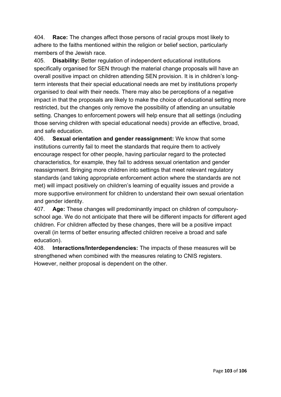404. **Race:** The changes affect those persons of racial groups most likely to adhere to the faiths mentioned within the religion or belief section, particularly members of the Jewish race.

405. **Disability:** Better regulation of independent educational institutions specifically organised for SEN through the material change proposals will have an overall positive impact on children attending SEN provision. It is in children's longterm interests that their special educational needs are met by institutions properly organised to deal with their needs. There may also be perceptions of a negative impact in that the proposals are likely to make the choice of educational setting more restricted, but the changes only remove the possibility of attending an unsuitable setting. Changes to enforcement powers will help ensure that all settings (including those serving children with special educational needs) provide an effective, broad, and safe education.

406. **Sexual orientation and gender reassignment:** We know that some institutions currently fail to meet the standards that require them to actively encourage respect for other people, having particular regard to the protected characteristics, for example, they fail to address sexual orientation and gender reassignment. Bringing more children into settings that meet relevant regulatory standards (and taking appropriate enforcement action where the standards are not met) will impact positively on children's learning of equality issues and provide a more supportive environment for children to understand their own sexual orientation and gender identity.

407. **Age:** These changes will predominantly impact on children of compulsoryschool age. We do not anticipate that there will be different impacts for different aged children. For children affected by these changes, there will be a positive impact overall (in terms of better ensuring affected children receive a broad and safe education).

408. **Interactions/Interdependencies:** The impacts of these measures will be strengthened when combined with the measures relating to CNIS registers. However, neither proposal is dependent on the other.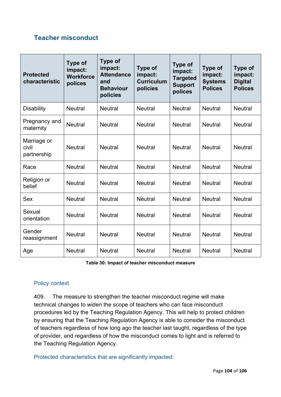# **Teacher misconduct**

| <b>Protected</b><br>characteristic  | Type of<br>impact:<br><b>Workforce</b><br>polices | <b>Type of</b><br>impact:<br><b>Attendance</b><br>and<br><b>Behaviour</b><br>policies | Type of<br>impact:<br><b>Curriculum</b><br>policies | <b>Type of</b><br>impact:<br><b>Targeted</b><br><b>Support</b><br>polices | Type of<br>impact:<br><b>Systems</b><br><b>Polices</b> | Type of<br>impact:<br><b>Digital</b><br><b>Polices</b> |
|-------------------------------------|---------------------------------------------------|---------------------------------------------------------------------------------------|-----------------------------------------------------|---------------------------------------------------------------------------|--------------------------------------------------------|--------------------------------------------------------|
| <b>Disability</b>                   | <b>Neutral</b>                                    | <b>Neutral</b>                                                                        | <b>Neutral</b>                                      | <b>Neutral</b>                                                            | <b>Neutral</b>                                         | <b>Neutral</b>                                         |
| Pregnancy and<br>maternity          | <b>Neutral</b>                                    | <b>Neutral</b>                                                                        | <b>Neutral</b>                                      | <b>Neutral</b>                                                            | <b>Neutral</b>                                         | <b>Neutral</b>                                         |
| Marriage or<br>civil<br>partnership | <b>Neutral</b>                                    | <b>Neutral</b>                                                                        | <b>Neutral</b>                                      | <b>Neutral</b>                                                            | <b>Neutral</b>                                         | <b>Neutral</b>                                         |
| Race                                | <b>Neutral</b>                                    | <b>Neutral</b>                                                                        | <b>Neutral</b>                                      | <b>Neutral</b>                                                            | <b>Neutral</b>                                         | <b>Neutral</b>                                         |
| Religion or<br>belief               | <b>Neutral</b>                                    | <b>Neutral</b>                                                                        | <b>Neutral</b>                                      | <b>Neutral</b>                                                            | <b>Neutral</b>                                         | <b>Neutral</b>                                         |
| <b>Sex</b>                          | <b>Neutral</b>                                    | <b>Neutral</b>                                                                        | <b>Neutral</b>                                      | <b>Neutral</b>                                                            | <b>Neutral</b>                                         | <b>Neutral</b>                                         |
| Sexual<br>orientation               | <b>Neutral</b>                                    | <b>Neutral</b>                                                                        | <b>Neutral</b>                                      | <b>Neutral</b>                                                            | <b>Neutral</b>                                         | <b>Neutral</b>                                         |
| Gender<br>reassignment              | <b>Neutral</b>                                    | <b>Neutral</b>                                                                        | <b>Neutral</b>                                      | <b>Neutral</b>                                                            | <b>Neutral</b>                                         | <b>Neutral</b>                                         |
| Age                                 | <b>Neutral</b>                                    | <b>Neutral</b>                                                                        | <b>Neutral</b>                                      | <b>Neutral</b>                                                            | <b>Neutral</b>                                         | <b>Neutral</b>                                         |

**Table 30: Impact of teacher misconduct measure**

## Policy context

409. The measure to strengthen the teacher misconduct regime will make technical changes to widen the scope of teachers who can face misconduct procedures led by the Teaching Regulation Agency. This will help to protect children by ensuring that the Teaching Regulation Agency is able to consider the misconduct of teachers regardless of how long ago the teacher last taught, regardless of the type of provider, and regardless of how the misconduct comes to light and is referred to the Teaching Regulation Agency.

Protected characteristics that are significantly impacted: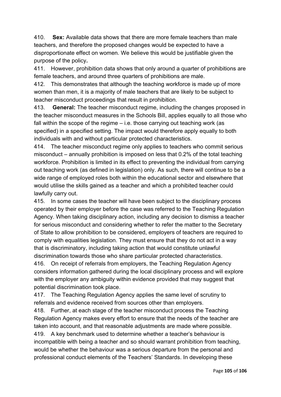410. **Sex:** Available data shows that there are more female teachers than male teachers, and therefore the proposed changes would be expected to have a disproportionate effect on women. We believe this would be justifiable given the purpose of the policy**.** 

411. However, prohibition data shows that only around a quarter of prohibitions are female teachers, and around three quarters of prohibitions are male.

412. This demonstrates that although the teaching workforce is made up of more women than men, it is a majority of male teachers that are likely to be subject to teacher misconduct proceedings that result in prohibition.

413. **General:** The teacher misconduct regime, including the changes proposed in the teacher misconduct measures in the Schools Bill, applies equally to all those who fall within the scope of the regime – i.e. those carrying out teaching work (as specified) in a specified setting. The impact would therefore apply equally to both individuals with and without particular protected characteristics.

414. The teacher misconduct regime only applies to teachers who commit serious misconduct – annually prohibition is imposed on less that 0.2% of the total teaching workforce. Prohibition is limited in its effect to preventing the individual from carrying out teaching work (as defined in legislation) only. As such, there will continue to be a wide range of employed roles both within the educational sector and elsewhere that would utilise the skills gained as a teacher and which a prohibited teacher could lawfully carry out.

415. In some cases the teacher will have been subject to the disciplinary process operated by their employer before the case was referred to the Teaching Regulation Agency. When taking disciplinary action, including any decision to dismiss a teacher for serious misconduct and considering whether to refer the matter to the Secretary of State to allow prohibition to be considered, employers of teachers are required to comply with equalities legislation. They must ensure that they do not act in a way that is discriminatory, including taking action that would constitute unlawful discrimination towards those who share particular protected characteristics.

416. On receipt of referrals from employers, the Teaching Regulation Agency considers information gathered during the local disciplinary process and will explore with the employer any ambiguity within evidence provided that may suggest that potential discrimination took place.

417. The Teaching Regulation Agency applies the same level of scrutiny to referrals and evidence received from sources other than employers.

418. Further, at each stage of the teacher misconduct process the Teaching Regulation Agency makes every effort to ensure that the needs of the teacher are taken into account, and that reasonable adjustments are made where possible. 419. A key benchmark used to determine whether a teacher's behaviour is incompatible with being a teacher and so should warrant prohibition from teaching, would be whether the behaviour was a serious departure from the personal and professional conduct elements of the Teachers' Standards. In developing these